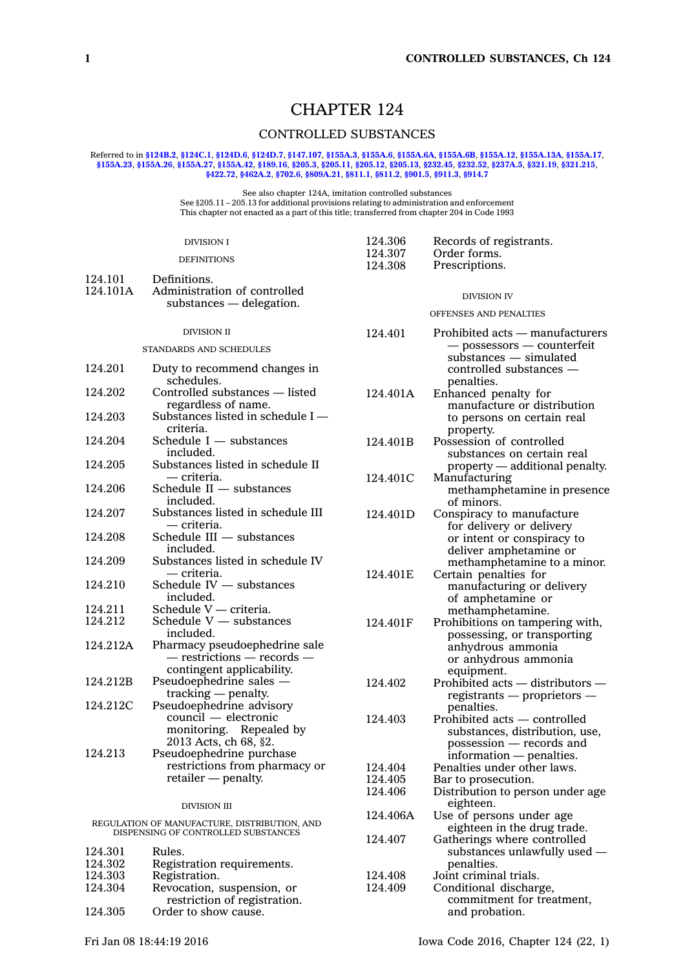# CHAPTER 124

# CONTROLLED SUBSTANCES

#### Referred to in **[§124B.2](https://www.legis.iowa.gov/docs/code/124B.2.pdf)**, **[§124C.1](https://www.legis.iowa.gov/docs/code/124C.1.pdf)**, **[§124D.6](https://www.legis.iowa.gov/docs/code/124D.6.pdf)**, **[§124D.7](https://www.legis.iowa.gov/docs/code/124D.7.pdf)**, **[§147.107](https://www.legis.iowa.gov/docs/code/147.107.pdf)**, **[§155A.3](https://www.legis.iowa.gov/docs/code/155A.3.pdf)**, **[§155A.6](https://www.legis.iowa.gov/docs/code/155A.6.pdf)**, **[§155A.6A](https://www.legis.iowa.gov/docs/code/155A.6A.pdf)**, **[§155A.6B](https://www.legis.iowa.gov/docs/code/155A.6B.pdf)**, **[§155A.12](https://www.legis.iowa.gov/docs/code/155A.12.pdf)**, **[§155A.13A](https://www.legis.iowa.gov/docs/code/155A.13A.pdf)**, **[§155A.17](https://www.legis.iowa.gov/docs/code/155A.17.pdf)**, \$155A.23, \$155A.26, \$155A.27, \$155A.42, \$189.16, \$205.3, \$205.11, \$205.12, \$205.13, \$232.45, \$232.52, \$237A.5, \$321.19, \$321.215, **[§422.72](https://www.legis.iowa.gov/docs/code/422.72.pdf)**, **[§462A.2](https://www.legis.iowa.gov/docs/code/462A.2.pdf)**, **[§702.6](https://www.legis.iowa.gov/docs/code/702.6.pdf)**, **[§809A.21](https://www.legis.iowa.gov/docs/code/809A.21.pdf)**, **[§811.1](https://www.legis.iowa.gov/docs/code/811.1.pdf)**, **[§811.2](https://www.legis.iowa.gov/docs/code/811.2.pdf)**, **[§901.5](https://www.legis.iowa.gov/docs/code/901.5.pdf)**, **[§911.3](https://www.legis.iowa.gov/docs/code/911.3.pdf)**, **[§914.7](https://www.legis.iowa.gov/docs/code/914.7.pdf)**

See also chapter 124A, imitation controlled substances See §205.11 – 205.13 for additional provisions relating to administration and enforcement This chapter not enacted as <sup>a</sup> part of this title; transferred from chapter 204 in Code 1993

|                                                                                  | <b>DIVISION I</b>                                     | 124.306<br>124.307 | Records of registrants.                                |
|----------------------------------------------------------------------------------|-------------------------------------------------------|--------------------|--------------------------------------------------------|
|                                                                                  | <b>DEFINITIONS</b>                                    | 124.308            | Order forms.<br>Prescriptions.                         |
| 124.101                                                                          | Definitions.                                          |                    |                                                        |
| 124.101A                                                                         | Administration of controlled                          |                    | <b>DIVISION IV</b>                                     |
|                                                                                  | substances — delegation.                              |                    |                                                        |
|                                                                                  |                                                       |                    | OFFENSES AND PENALTIES                                 |
|                                                                                  | <b>DIVISION II</b>                                    | 124.401            | Prohibited acts - manufacturers                        |
|                                                                                  | STANDARDS AND SCHEDULES                               |                    | — possessors — counterfeit                             |
| 124.201                                                                          | Duty to recommend changes in                          |                    | substances - simulated<br>controlled substances -      |
|                                                                                  | schedules.                                            |                    | penalties.                                             |
| 124.202                                                                          | Controlled substances - listed<br>regardless of name. | 124.401A           | Enhanced penalty for<br>manufacture or distribution    |
| 124.203                                                                          | Substances listed in schedule I-<br>criteria.         |                    | to persons on certain real<br>property.                |
| 124.204                                                                          | Schedule $I$ $-$ substances                           | 124.401B           | Possession of controlled                               |
|                                                                                  | included.                                             |                    | substances on certain real                             |
| 124.205                                                                          | Substances listed in schedule II                      |                    | property — additional penalty.                         |
|                                                                                  | — criteria.                                           | 124.401C           | Manufacturing                                          |
| 124.206                                                                          | Schedule II - substances                              |                    | methamphetamine in presence                            |
| 124.207                                                                          | included.<br>Substances listed in schedule III        |                    | of minors.                                             |
|                                                                                  | — criteria.                                           | 124.401D           | Conspiracy to manufacture                              |
| 124.208                                                                          | Schedule III - substances                             |                    | for delivery or delivery<br>or intent or conspiracy to |
|                                                                                  | included.                                             |                    | deliver amphetamine or                                 |
| 124.209                                                                          | Substances listed in schedule IV                      |                    | methamphetamine to a minor.                            |
|                                                                                  | — criteria.                                           | 124.401E           | Certain penalties for                                  |
| 124.210                                                                          | Schedule $IV -$ substances                            |                    | manufacturing or delivery                              |
|                                                                                  | included.                                             |                    | of amphetamine or                                      |
| 124.211                                                                          | Schedule V - criteria.                                |                    | methamphetamine.                                       |
| 124.212                                                                          | Schedule V - substances<br>included.                  | 124.401F           | Prohibitions on tampering with,                        |
| 124.212A                                                                         | Pharmacy pseudoephedrine sale                         |                    | possessing, or transporting<br>anhydrous ammonia       |
|                                                                                  | $-$ restrictions $-$ records $-$                      |                    | or anhydrous ammonia                                   |
|                                                                                  | contingent applicability.                             |                    | equipment.                                             |
| 124.212B                                                                         | Pseudoephedrine sales -                               | 124.402            | Prohibited acts — distributors —                       |
|                                                                                  | $tracking - penalty$ .                                |                    | $registrants$ - proprietors -                          |
| 124.212C                                                                         | Pseudoephedrine advisory                              |                    | penalties.                                             |
|                                                                                  | council — electronic                                  | 124.403            | Prohibited acts — controlled                           |
|                                                                                  | monitoring. Repealed by                               |                    | substances, distribution, use,                         |
|                                                                                  | 2013 Acts, ch 68, §2.                                 |                    | possession - records and                               |
| 124.213                                                                          | Pseudoephedrine purchase                              |                    | information — penalties.                               |
|                                                                                  | restrictions from pharmacy or                         | 124.404            | Penalties under other laws.                            |
|                                                                                  | retailer - penalty.                                   | 124.405            | Bar to prosecution.                                    |
|                                                                                  |                                                       | 124.406            | Distribution to person under age<br>eighteen.          |
|                                                                                  | <b>DIVISION III</b>                                   | 124.406A           | Use of persons under age                               |
| REGULATION OF MANUFACTURE, DISTRIBUTION, AND DISPENSING OF CONTROLLED SUBSTANCES |                                                       |                    | eighteen in the drug trade.                            |
|                                                                                  |                                                       | 124.407            | Gatherings where controlled                            |
| 124.301                                                                          | Rules.                                                |                    | substances unlawfully used -                           |
| 124.302                                                                          | Registration requirements.                            |                    | penalties.                                             |
| 124.303                                                                          | Registration.                                         | 124.408            | Joint criminal trials.                                 |
| 124.304                                                                          | Revocation, suspension, or                            | 124.409            | Conditional discharge,                                 |
|                                                                                  | restriction of registration.                          |                    | commitment for treatment,                              |
| 124.305                                                                          | Order to show cause.                                  |                    | and probation.                                         |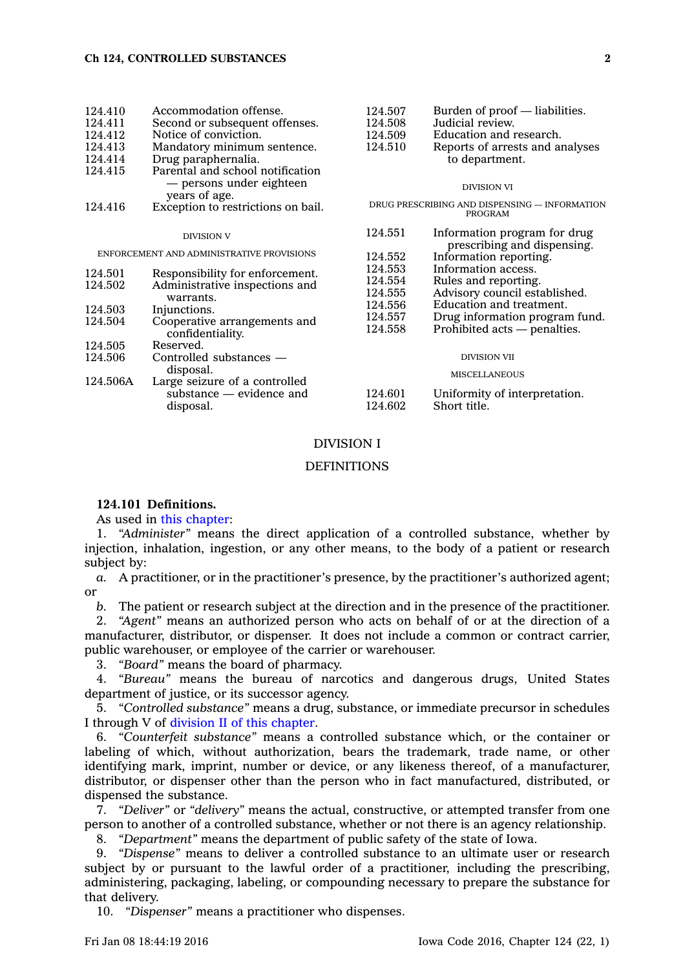| 124.410                                   | Accommodation offense.             | 124.507                                                  | Burden of proof — liabilities.  |
|-------------------------------------------|------------------------------------|----------------------------------------------------------|---------------------------------|
| 124.411                                   | Second or subsequent offenses.     | 124.508                                                  | Judicial review.                |
| 124.412                                   | Notice of conviction.              | 124.509                                                  | Education and research.         |
| 124.413                                   | Mandatory minimum sentence.        | 124.510                                                  | Reports of arrests and analyses |
| 124.414                                   | Drug paraphernalia.                |                                                          | to department.                  |
| 124.415                                   | Parental and school notification   |                                                          |                                 |
|                                           | — persons under eighteen           |                                                          | <b>DIVISION VI</b>              |
|                                           | years of age.                      |                                                          |                                 |
| 124.416                                   | Exception to restrictions on bail. | DRUG PRESCRIBING AND DISPENSING — INFORMATION<br>PROGRAM |                                 |
|                                           | <b>DIVISION V</b>                  | 124.551                                                  | Information program for drug    |
|                                           |                                    |                                                          | prescribing and dispensing.     |
| ENFORCEMENT AND ADMINISTRATIVE PROVISIONS |                                    | 124.552                                                  | Information reporting.          |
| 124.501                                   | Responsibility for enforcement.    | 124.553                                                  | Information access.             |
| 124.502                                   | Administrative inspections and     | 124.554                                                  | Rules and reporting.            |
|                                           | warrants.                          | 124.555                                                  | Advisory council established.   |
| 124.503                                   | Injunctions.                       | 124.556                                                  | Education and treatment.        |
| 124.504                                   | Cooperative arrangements and       | 124.557                                                  | Drug information program fund.  |
|                                           | confidentiality.                   | 124.558                                                  | Prohibited acts — penalties.    |
| 124.505                                   | Reserved.                          |                                                          |                                 |
| 124.506                                   | Controlled substances —            |                                                          | <b>DIVISION VII</b>             |
|                                           | disposal.                          |                                                          | <b>MISCELLANEOUS</b>            |
| 124.506A                                  | Large seizure of a controlled      |                                                          |                                 |
|                                           | substance — evidence and           | 124.601                                                  | Uniformity of interpretation.   |
|                                           | disposal.                          | 124.602                                                  | Short title.                    |
|                                           |                                    |                                                          |                                 |

## DIVISION I

## **DEFINITIONS**

# **124.101 Definitions.**

As used in this [chapter](https://www.legis.iowa.gov/docs/code//124.pdf):

1. *"Administer"* means the direct application of <sup>a</sup> controlled substance, whether by injection, inhalation, ingestion, or any other means, to the body of <sup>a</sup> patient or research subject by:

*a.* A practitioner, or in the practitioner's presence, by the practitioner's authorized agent; or

*b.* The patient or research subject at the direction and in the presence of the practitioner.

2. *"Agent"* means an authorized person who acts on behalf of or at the direction of <sup>a</sup> manufacturer, distributor, or dispenser. It does not include <sup>a</sup> common or contract carrier, public warehouser, or employee of the carrier or warehouser.

3. *"Board"* means the board of pharmacy.

4. *"Bureau"* means the bureau of narcotics and dangerous drugs, United States department of justice, or its successor agency.

5. *"Controlled substance"* means <sup>a</sup> drug, substance, or immediate precursor in schedules I through V of division II of this [chapter](https://www.legis.iowa.gov/docs/code//124.pdf).

6. *"Counterfeit substance"* means <sup>a</sup> controlled substance which, or the container or labeling of which, without authorization, bears the trademark, trade name, or other identifying mark, imprint, number or device, or any likeness thereof, of <sup>a</sup> manufacturer, distributor, or dispenser other than the person who in fact manufactured, distributed, or dispensed the substance.

7. *"Deliver"* or *"delivery"* means the actual, constructive, or attempted transfer from one person to another of <sup>a</sup> controlled substance, whether or not there is an agency relationship.

8. *"Department"* means the department of public safety of the state of Iowa.

9. *"Dispense"* means to deliver <sup>a</sup> controlled substance to an ultimate user or research subject by or pursuant to the lawful order of <sup>a</sup> practitioner, including the prescribing, administering, packaging, labeling, or compounding necessary to prepare the substance for that delivery.

10. *"Dispenser"* means <sup>a</sup> practitioner who dispenses.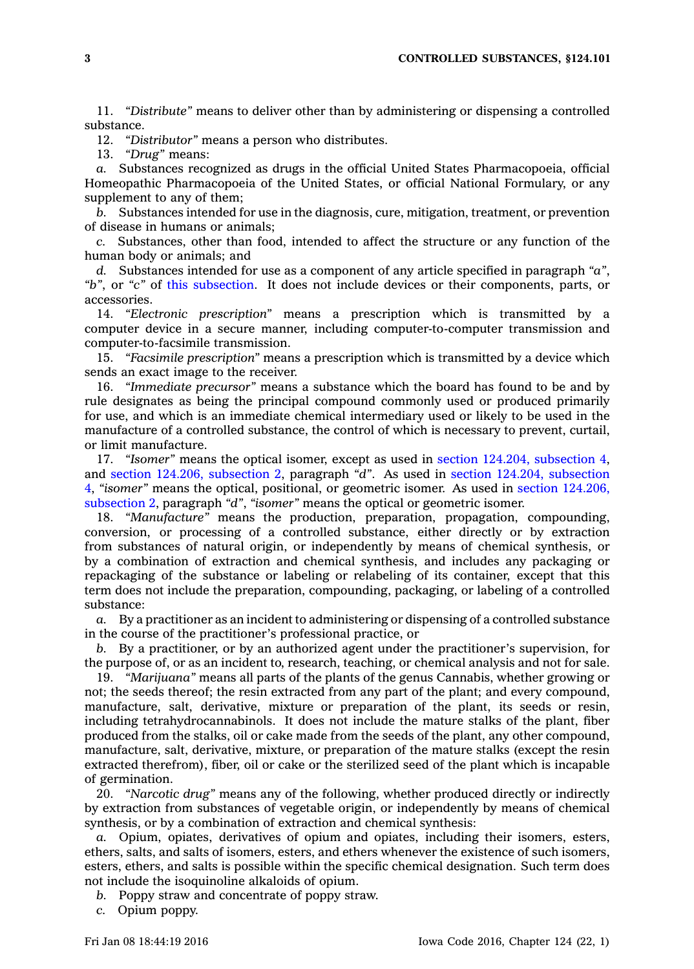11. *"Distribute"* means to deliver other than by administering or dispensing <sup>a</sup> controlled substance.

12. *"Distributor"* means <sup>a</sup> person who distributes.

13. *"Drug"* means:

*a.* Substances recognized as drugs in the official United States Pharmacopoeia, official Homeopathic Pharmacopoeia of the United States, or official National Formulary, or any supplement to any of them;

*b.* Substances intended for use in the diagnosis, cure, mitigation, treatment, or prevention of disease in humans or animals;

*c.* Substances, other than food, intended to affect the structure or any function of the human body or animals; and

*d.* Substances intended for use as <sup>a</sup> component of any article specified in paragraph *"a"*, *"b"*, or *"c"* of this [subsection](https://www.legis.iowa.gov/docs/code//124.101.pdf). It does not include devices or their components, parts, or accessories.

14. *"Electronic prescription"* means <sup>a</sup> prescription which is transmitted by <sup>a</sup> computer device in <sup>a</sup> secure manner, including computer-to-computer transmission and computer-to-facsimile transmission.

15. *"Facsimile prescription"* means <sup>a</sup> prescription which is transmitted by <sup>a</sup> device which sends an exact image to the receiver.

16. *"Immediate precursor"* means <sup>a</sup> substance which the board has found to be and by rule designates as being the principal compound commonly used or produced primarily for use, and which is an immediate chemical intermediary used or likely to be used in the manufacture of <sup>a</sup> controlled substance, the control of which is necessary to prevent, curtail, or limit manufacture.

17. *"Isomer"* means the optical isomer, except as used in section 124.204, [subsection](https://www.legis.iowa.gov/docs/code//124.204.pdf) 4, and section 124.206, [subsection](https://www.legis.iowa.gov/docs/code//124.206.pdf) 2, paragraph *"d"*. As used in section 124.204, [subsection](https://www.legis.iowa.gov/docs/code//124.204.pdf) [4](https://www.legis.iowa.gov/docs/code//124.204.pdf), *"isomer"* means the optical, positional, or geometric isomer. As used in section [124.206,](https://www.legis.iowa.gov/docs/code//124.206.pdf) [subsection](https://www.legis.iowa.gov/docs/code//124.206.pdf) 2, paragraph *"d"*, *"isomer"* means the optical or geometric isomer.

18. *"Manufacture"* means the production, preparation, propagation, compounding, conversion, or processing of <sup>a</sup> controlled substance, either directly or by extraction from substances of natural origin, or independently by means of chemical synthesis, or by <sup>a</sup> combination of extraction and chemical synthesis, and includes any packaging or repackaging of the substance or labeling or relabeling of its container, except that this term does not include the preparation, compounding, packaging, or labeling of <sup>a</sup> controlled substance:

*a.* By <sup>a</sup> practitioner as an incident to administering or dispensing of <sup>a</sup> controlled substance in the course of the practitioner's professional practice, or

*b.* By <sup>a</sup> practitioner, or by an authorized agent under the practitioner's supervision, for the purpose of, or as an incident to, research, teaching, or chemical analysis and not for sale.

19. *"Marijuana"* means all parts of the plants of the genus Cannabis, whether growing or not; the seeds thereof; the resin extracted from any part of the plant; and every compound, manufacture, salt, derivative, mixture or preparation of the plant, its seeds or resin, including tetrahydrocannabinols. It does not include the mature stalks of the plant, fiber produced from the stalks, oil or cake made from the seeds of the plant, any other compound, manufacture, salt, derivative, mixture, or preparation of the mature stalks (except the resin extracted therefrom), fiber, oil or cake or the sterilized seed of the plant which is incapable of germination.

20. *"Narcotic drug"* means any of the following, whether produced directly or indirectly by extraction from substances of vegetable origin, or independently by means of chemical synthesis, or by <sup>a</sup> combination of extraction and chemical synthesis:

*a.* Opium, opiates, derivatives of opium and opiates, including their isomers, esters, ethers, salts, and salts of isomers, esters, and ethers whenever the existence of such isomers, esters, ethers, and salts is possible within the specific chemical designation. Such term does not include the isoquinoline alkaloids of opium.

*b.* Poppy straw and concentrate of poppy straw.

*c.* Opium poppy.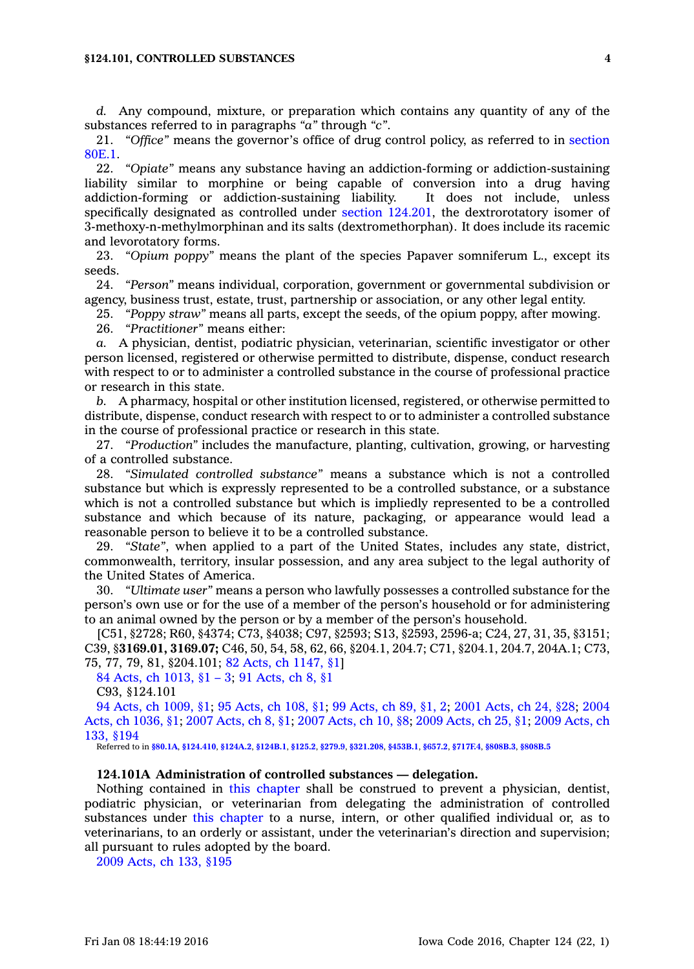*d.* Any compound, mixture, or preparation which contains any quantity of any of the substances referred to in paragraphs *"a"* through *"c"*.

21. *"Office"* means the governor's office of drug control policy, as referred to in [section](https://www.legis.iowa.gov/docs/code//80E.1.pdf) [80E.1](https://www.legis.iowa.gov/docs/code//80E.1.pdf).

22. *"Opiate"* means any substance having an addiction-forming or addiction-sustaining liability similar to morphine or being capable of conversion into <sup>a</sup> drug having addiction-forming or addiction-sustaining liability. It does not include, unless specifically designated as controlled under section [124.201](https://www.legis.iowa.gov/docs/code//124.201.pdf), the dextrorotatory isomer of 3-methoxy-n-methylmorphinan and its salts (dextromethorphan). It does include its racemic and levorotatory forms.

23. *"Opium poppy"* means the plant of the species Papaver somniferum L., except its seeds.

24. *"Person"* means individual, corporation, government or governmental subdivision or agency, business trust, estate, trust, partnership or association, or any other legal entity.

25. *"Poppy straw"* means all parts, except the seeds, of the opium poppy, after mowing.

26. *"Practitioner"* means either:

*a.* A physician, dentist, podiatric physician, veterinarian, scientific investigator or other person licensed, registered or otherwise permitted to distribute, dispense, conduct research with respect to or to administer <sup>a</sup> controlled substance in the course of professional practice or research in this state.

*b.* A pharmacy, hospital or other institution licensed, registered, or otherwise permitted to distribute, dispense, conduct research with respect to or to administer <sup>a</sup> controlled substance in the course of professional practice or research in this state.

27. *"Production"* includes the manufacture, planting, cultivation, growing, or harvesting of <sup>a</sup> controlled substance.

28. *"Simulated controlled substance"* means <sup>a</sup> substance which is not <sup>a</sup> controlled substance but which is expressly represented to be <sup>a</sup> controlled substance, or <sup>a</sup> substance which is not <sup>a</sup> controlled substance but which is impliedly represented to be <sup>a</sup> controlled substance and which because of its nature, packaging, or appearance would lead <sup>a</sup> reasonable person to believe it to be <sup>a</sup> controlled substance.

29. *"State"*, when applied to <sup>a</sup> part of the United States, includes any state, district, commonwealth, territory, insular possession, and any area subject to the legal authority of the United States of America.

30. *"Ultimate user"* means <sup>a</sup> person who lawfully possesses <sup>a</sup> controlled substance for the person's own use or for the use of <sup>a</sup> member of the person's household or for administering to an animal owned by the person or by <sup>a</sup> member of the person's household.

[C51, §2728; R60, §4374; C73, §4038; C97, §2593; S13, §2593, 2596-a; C24, 27, 31, 35, §3151; C39, §**3169.01, 3169.07;** C46, 50, 54, 58, 62, 66, §204.1, 204.7; C71, §204.1, 204.7, 204A.1; C73, 75, 77, 79, 81, §204.101; 82 Acts, ch [1147,](https://www.legis.iowa.gov/docs/acts/1982/CH1147.pdf) §1]

84 Acts, ch [1013,](https://www.legis.iowa.gov/docs/acts/1984/CH1013.pdf) §1 – 3; 91 [Acts,](https://www.legis.iowa.gov/docs/acts/1991/CH0008.pdf) ch 8, §1

```
C93, §124.101
```
94 Acts, ch [1009,](https://www.legis.iowa.gov/docs/acts/1994/CH1009.pdf) §1; 95 [Acts,](https://www.legis.iowa.gov/docs/acts/1995/CH0108.pdf) ch 108, §1; 99 [Acts,](https://www.legis.iowa.gov/docs/acts/1999/CH0089.pdf) ch 89, §1, 2; 2001 [Acts,](https://www.legis.iowa.gov/docs/acts/2001/CH0024.pdf) ch 24, §28; [2004](https://www.legis.iowa.gov/docs/acts/2004/CH1036.pdf) Acts, ch [1036,](https://www.legis.iowa.gov/docs/acts/2004/CH1036.pdf) §1; 2007 [Acts,](https://www.legis.iowa.gov/docs/acts/2007/CH0008.pdf) ch 8, §1; 2007 [Acts,](https://www.legis.iowa.gov/docs/acts/2007/CH0010.pdf) ch 10, §8; 2009 [Acts,](https://www.legis.iowa.gov/docs/acts/2009/CH0025.pdf) ch 25, §1; 2009 [Acts,](https://www.legis.iowa.gov/docs/acts/2009/CH0133.pdf) ch 133, [§194](https://www.legis.iowa.gov/docs/acts/2009/CH0133.pdf)

Referred to in **[§80.1A](https://www.legis.iowa.gov/docs/code/80.1A.pdf)**, **[§124.410](https://www.legis.iowa.gov/docs/code/124.410.pdf)**, **[§124A.2](https://www.legis.iowa.gov/docs/code/124A.2.pdf)**, **[§124B.1](https://www.legis.iowa.gov/docs/code/124B.1.pdf)**, **[§125.2](https://www.legis.iowa.gov/docs/code/125.2.pdf)**, **[§279.9](https://www.legis.iowa.gov/docs/code/279.9.pdf)**, **[§321.208](https://www.legis.iowa.gov/docs/code/321.208.pdf)**, **[§453B.1](https://www.legis.iowa.gov/docs/code/453B.1.pdf)**, **[§657.2](https://www.legis.iowa.gov/docs/code/657.2.pdf)**, **[§717F.4](https://www.legis.iowa.gov/docs/code/717F.4.pdf)**, **[§808B.3](https://www.legis.iowa.gov/docs/code/808B.3.pdf)**, **[§808B.5](https://www.legis.iowa.gov/docs/code/808B.5.pdf)**

#### **124.101A Administration of controlled substances — delegation.**

Nothing contained in this [chapter](https://www.legis.iowa.gov/docs/code//124.pdf) shall be construed to prevent <sup>a</sup> physician, dentist, podiatric physician, or veterinarian from delegating the administration of controlled substances under this [chapter](https://www.legis.iowa.gov/docs/code//124.pdf) to <sup>a</sup> nurse, intern, or other qualified individual or, as to veterinarians, to an orderly or assistant, under the veterinarian's direction and supervision; all pursuant to rules adopted by the board.

2009 [Acts,](https://www.legis.iowa.gov/docs/acts/2009/CH0133.pdf) ch 133, §195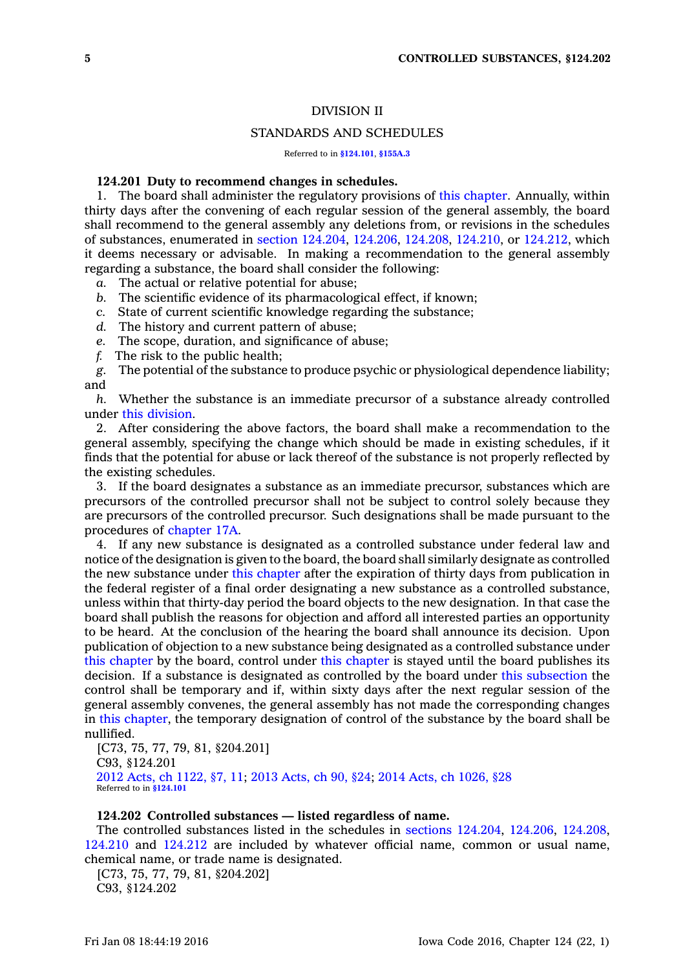## DIVISION II

## STANDARDS AND SCHEDULES

Referred to in **[§124.101](https://www.legis.iowa.gov/docs/code/124.101.pdf)**, **[§155A.3](https://www.legis.iowa.gov/docs/code/155A.3.pdf)**

## **124.201 Duty to recommend changes in schedules.**

1. The board shall administer the regulatory provisions of this [chapter](https://www.legis.iowa.gov/docs/code//124.pdf). Annually, within thirty days after the convening of each regular session of the general assembly, the board shall recommend to the general assembly any deletions from, or revisions in the schedules of substances, enumerated in section [124.204](https://www.legis.iowa.gov/docs/code//124.204.pdf), [124.206](https://www.legis.iowa.gov/docs/code//124.206.pdf), [124.208](https://www.legis.iowa.gov/docs/code//124.208.pdf), [124.210](https://www.legis.iowa.gov/docs/code//124.210.pdf), or [124.212](https://www.legis.iowa.gov/docs/code//124.212.pdf), which it deems necessary or advisable. In making <sup>a</sup> recommendation to the general assembly regarding <sup>a</sup> substance, the board shall consider the following:

- *a.* The actual or relative potential for abuse;
- *b.* The scientific evidence of its pharmacological effect, if known;
- *c.* State of current scientific knowledge regarding the substance;
- *d.* The history and current pattern of abuse;
- *e.* The scope, duration, and significance of abuse;
- *f.* The risk to the public health;

*g.* The potential of the substance to produce psychic or physiological dependence liability; and

*h.* Whether the substance is an immediate precursor of <sup>a</sup> substance already controlled under this [division](https://www.legis.iowa.gov/docs/code//124.pdf).

2. After considering the above factors, the board shall make <sup>a</sup> recommendation to the general assembly, specifying the change which should be made in existing schedules, if it finds that the potential for abuse or lack thereof of the substance is not properly reflected by the existing schedules.

3. If the board designates <sup>a</sup> substance as an immediate precursor, substances which are precursors of the controlled precursor shall not be subject to control solely because they are precursors of the controlled precursor. Such designations shall be made pursuant to the procedures of [chapter](https://www.legis.iowa.gov/docs/code//17A.pdf) 17A.

4. If any new substance is designated as <sup>a</sup> controlled substance under federal law and notice of the designation is given to the board, the board shall similarly designate as controlled the new substance under this [chapter](https://www.legis.iowa.gov/docs/code//124.pdf) after the expiration of thirty days from publication in the federal register of <sup>a</sup> final order designating <sup>a</sup> new substance as <sup>a</sup> controlled substance, unless within that thirty-day period the board objects to the new designation. In that case the board shall publish the reasons for objection and afford all interested parties an opportunity to be heard. At the conclusion of the hearing the board shall announce its decision. Upon publication of objection to <sup>a</sup> new substance being designated as <sup>a</sup> controlled substance under this [chapter](https://www.legis.iowa.gov/docs/code//124.pdf) by the board, control under this [chapter](https://www.legis.iowa.gov/docs/code//124.pdf) is stayed until the board publishes its decision. If <sup>a</sup> substance is designated as controlled by the board under this [subsection](https://www.legis.iowa.gov/docs/code//124.201.pdf) the control shall be temporary and if, within sixty days after the next regular session of the general assembly convenes, the general assembly has not made the corresponding changes in this [chapter](https://www.legis.iowa.gov/docs/code//124.pdf), the temporary designation of control of the substance by the board shall be nullified.

[C73, 75, 77, 79, 81, §204.201] C93, §124.201 2012 Acts, ch [1122,](https://www.legis.iowa.gov/docs/acts/2012/CH1122.pdf) §7, 11; 2013 [Acts,](https://www.legis.iowa.gov/docs/acts/2013/CH0090.pdf) ch 90, §24; 2014 Acts, ch [1026,](https://www.legis.iowa.gov/docs/acts/2014/CH1026.pdf) §28 Referred to in **[§124.101](https://www.legis.iowa.gov/docs/code/124.101.pdf)**

#### **124.202 Controlled substances — listed regardless of name.**

The controlled substances listed in the schedules in sections [124.204](https://www.legis.iowa.gov/docs/code//124.204.pdf), [124.206](https://www.legis.iowa.gov/docs/code//124.206.pdf), [124.208](https://www.legis.iowa.gov/docs/code//124.208.pdf), [124.210](https://www.legis.iowa.gov/docs/code//124.210.pdf) and [124.212](https://www.legis.iowa.gov/docs/code//124.212.pdf) are included by whatever official name, common or usual name, chemical name, or trade name is designated.

[C73, 75, 77, 79, 81, §204.202] C93, §124.202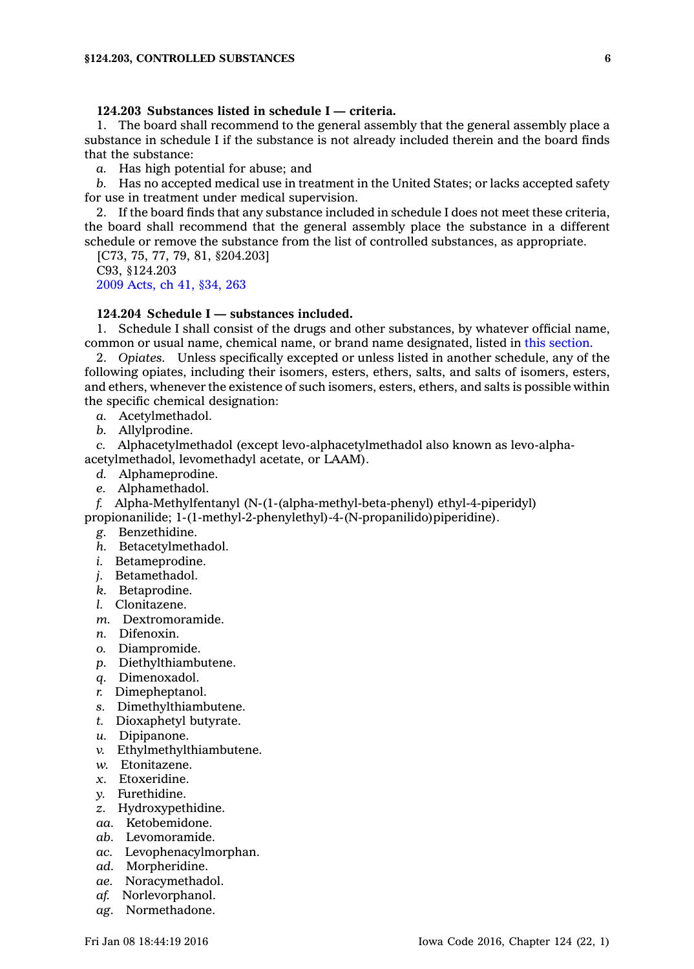# **124.203 Substances listed in schedule I — criteria.**

1. The board shall recommend to the general assembly that the general assembly place <sup>a</sup> substance in schedule I if the substance is not already included therein and the board finds that the substance:

*a.* Has high potential for abuse; and

*b.* Has no accepted medical use in treatment in the United States; or lacks accepted safety for use in treatment under medical supervision.

2. If the board finds that any substance included in schedule I does not meet these criteria, the board shall recommend that the general assembly place the substance in <sup>a</sup> different schedule or remove the substance from the list of controlled substances, as appropriate.

[C73, 75, 77, 79, 81, §204.203] C93, §124.203 2009 [Acts,](https://www.legis.iowa.gov/docs/acts/2009/CH0041.pdf) ch 41, §34, 263

## **124.204 Schedule I — substances included.**

1. Schedule I shall consist of the drugs and other substances, by whatever official name, common or usual name, chemical name, or brand name designated, listed in this [section](https://www.legis.iowa.gov/docs/code//124.204.pdf).

2. *Opiates.* Unless specifically excepted or unless listed in another schedule, any of the following opiates, including their isomers, esters, ethers, salts, and salts of isomers, esters, and ethers, whenever the existence of such isomers, esters, ethers, and salts is possible within the specific chemical designation:

*a.* Acetylmethadol.

*b.* Allylprodine.

*c.* Alphacetylmethadol (except levo-alphacetylmethadol also known as levo-alphaacetylmethadol, levomethadyl acetate, or LAAM).

- *d.* Alphameprodine.
- *e.* Alphamethadol.

*f.* Alpha-Methylfentanyl (N-(1-(alpha-methyl-beta-phenyl) ethyl-4-piperidyl)

propionanilide; 1-(1-methyl-2-phenylethyl)-4-(N-propanilido)piperidine).

- *g.* Benzethidine.
- *h.* Betacetylmethadol.
- *i.* Betameprodine.
- *j.* Betamethadol.
- *k.* Betaprodine.
- *l.* Clonitazene.
- *m.* Dextromoramide.
- *n.* Difenoxin.
- *o.* Diampromide.
- *p.* Diethylthiambutene.
- *q.* Dimenoxadol.
- *r.* Dimepheptanol.
- *s.* Dimethylthiambutene.
- *t.* Dioxaphetyl butyrate.
- *u.* Dipipanone.
- *v.* Ethylmethylthiambutene.
- *w.* Etonitazene.
- *x.* Etoxeridine.
- *y.* Furethidine.
- *z.* Hydroxypethidine.
- *aa.* Ketobemidone.
- *ab.* Levomoramide.
- *ac.* Levophenacylmorphan.
- *ad.* Morpheridine.
- *ae.* Noracymethadol.
- *af.* Norlevorphanol.
- *ag.* Normethadone.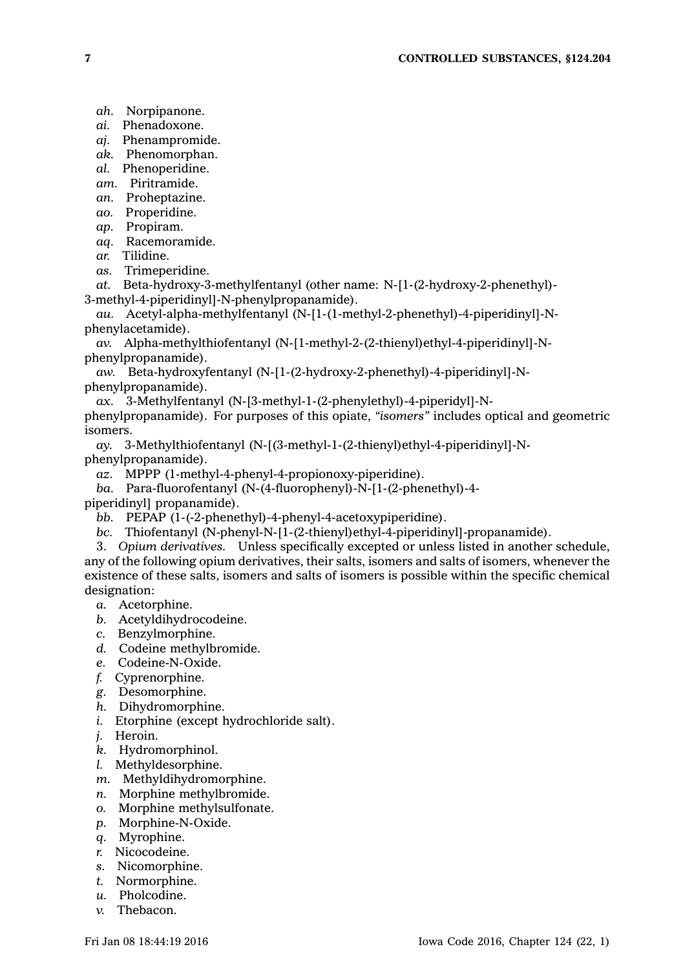*ah.* Norpipanone.

- *ai.* Phenadoxone.
- *aj.* Phenampromide.
- *ak.* Phenomorphan.
- *al.* Phenoperidine.
- *am.* Piritramide.
- *an.* Proheptazine.
- *ao.* Properidine.
- *ap.* Propiram.
- *aq.* Racemoramide.
- *ar.* Tilidine.
- *as.* Trimeperidine.

*at.* Beta-hydroxy-3-methylfentanyl (other name: N-[1-(2-hydroxy-2-phenethyl)- 3-methyl-4-piperidinyl]-N-phenylpropanamide).

*au.* Acetyl-alpha-methylfentanyl (N-[1-(1-methyl-2-phenethyl)-4-piperidinyl]-Nphenylacetamide).

*av.* Alpha-methylthiofentanyl (N-[1-methyl-2-(2-thienyl)ethyl-4-piperidinyl]-Nphenylpropanamide).

*aw.* Beta-hydroxyfentanyl (N-[1-(2-hydroxy-2-phenethyl)-4-piperidinyl]-Nphenylpropanamide).

*ax.* 3-Methylfentanyl (N-[3-methyl-1-(2-phenylethyl)-4-piperidyl]-N-

phenylpropanamide). For purposes of this opiate, *"isomers"* includes optical and geometric isomers.

*ay.* 3-Methylthiofentanyl (N-[(3-methyl-1-(2-thienyl)ethyl-4-piperidinyl]-Nphenylpropanamide).

*az.* MPPP (1-methyl-4-phenyl-4-propionoxy-piperidine).

*ba.* Para-fluorofentanyl (N-(4-fluorophenyl)-N-[1-(2-phenethyl)-4-

piperidinyl] propanamide).

*bb.* PEPAP (1-(-2-phenethyl)-4-phenyl-4-acetoxypiperidine).

*bc.* Thiofentanyl (N-phenyl-N-[1-(2-thienyl)ethyl-4-piperidinyl]-propanamide).

3. *Opium derivatives.* Unless specifically excepted or unless listed in another schedule, any of the following opium derivatives, their salts, isomers and salts of isomers, whenever the existence of these salts, isomers and salts of isomers is possible within the specific chemical designation:

- *a.* Acetorphine.
- *b.* Acetyldihydrocodeine.
- *c.* Benzylmorphine.
- *d.* Codeine methylbromide.
- *e.* Codeine-N-Oxide.
- *f.* Cyprenorphine.
- *g.* Desomorphine.
- *h.* Dihydromorphine.
- *i.* Etorphine (except hydrochloride salt).
- *j.* Heroin.
- *k.* Hydromorphinol.
- *l.* Methyldesorphine.
- *m.* Methyldihydromorphine.
- *n.* Morphine methylbromide.
- *o.* Morphine methylsulfonate.
- *p.* Morphine-N-Oxide.
- *q.* Myrophine.
- *r.* Nicocodeine.
- *s.* Nicomorphine.
- *t.* Normorphine.
- *u.* Pholcodine.
- *v.* Thebacon.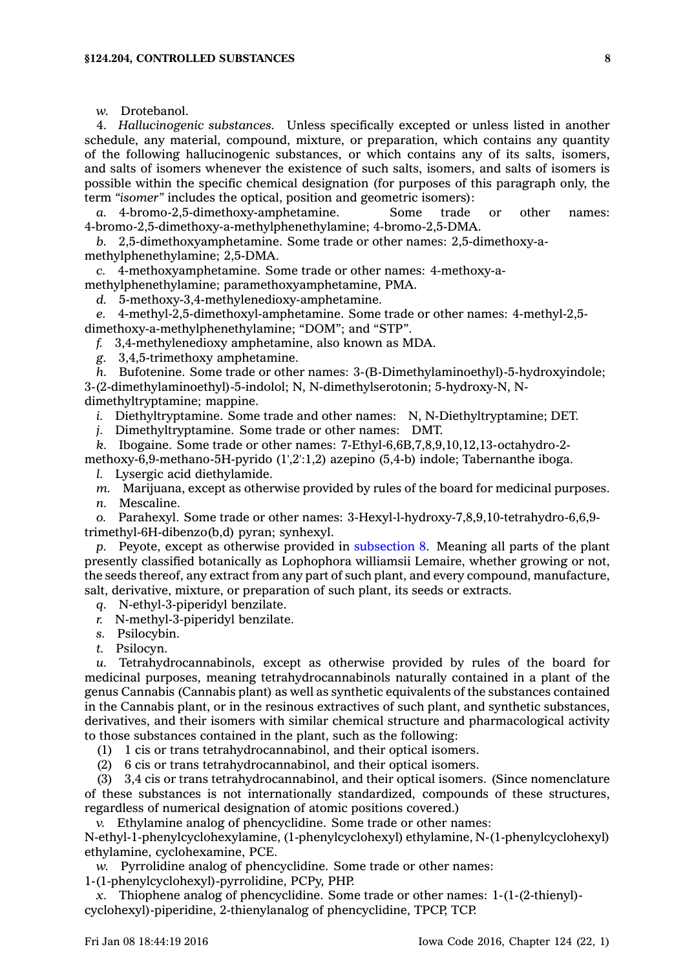*w.* Drotebanol.

4. *Hallucinogenic substances.* Unless specifically excepted or unless listed in another schedule, any material, compound, mixture, or preparation, which contains any quantity of the following hallucinogenic substances, or which contains any of its salts, isomers, and salts of isomers whenever the existence of such salts, isomers, and salts of isomers is possible within the specific chemical designation (for purposes of this paragraph only, the term *"isomer"* includes the optical, position and geometric isomers):

*a.* 4-bromo-2,5-dimethoxy-amphetamine. Some trade or other names: 4-bromo-2,5-dimethoxy-a-methylphenethylamine; 4-bromo-2,5-DMA.

*b.* 2,5-dimethoxyamphetamine. Some trade or other names: 2,5-dimethoxy-amethylphenethylamine; 2,5-DMA.

*c.* 4-methoxyamphetamine. Some trade or other names: 4-methoxy-a-

methylphenethylamine; paramethoxyamphetamine, PMA. *d.* 5-methoxy-3,4-methylenedioxy-amphetamine.

*e.* 4-methyl-2,5-dimethoxyl-amphetamine. Some trade or other names: 4-methyl-2,5-

dimethoxy-a-methylphenethylamine; "DOM"; and "STP".

*f.* 3,4-methylenedioxy amphetamine, also known as MDA.

*g.* 3,4,5-trimethoxy amphetamine.

*h.* Bufotenine. Some trade or other names: 3-(B-Dimethylaminoethyl)-5-hydroxyindole; 3-(2-dimethylaminoethyl)-5-indolol; N, N-dimethylserotonin; 5-hydroxy-N, Ndimethyltryptamine; mappine.

*i.* Diethyltryptamine. Some trade and other names: N, N-Diethyltryptamine; DET.

*j.* Dimethyltryptamine. Some trade or other names: DMT.

*k.* Ibogaine. Some trade or other names: 7-Ethyl-6,6B,7,8,9,10,12,13-octahydro-2-

methoxy-6,9-methano-5H-pyrido (1',2':1,2) azepino (5,4-b) indole; Tabernanthe iboga.

*l.* Lysergic acid diethylamide.

*m.* Marijuana, except as otherwise provided by rules of the board for medicinal purposes.

*n.* Mescaline.

*o.* Parahexyl. Some trade or other names: 3-Hexyl-l-hydroxy-7,8,9,10-tetrahydro-6,6,9 trimethyl-6H-dibenzo(b,d) pyran; synhexyl.

*p.* Peyote, except as otherwise provided in [subsection](https://www.legis.iowa.gov/docs/code//124.204.pdf) 8. Meaning all parts of the plant presently classified botanically as Lophophora williamsii Lemaire, whether growing or not, the seeds thereof, any extract from any part of such plant, and every compound, manufacture, salt, derivative, mixture, or preparation of such plant, its seeds or extracts.

*q.* N-ethyl-3-piperidyl benzilate.

*r.* N-methyl-3-piperidyl benzilate.

*s.* Psilocybin.

*t.* Psilocyn.

*u.* Tetrahydrocannabinols, except as otherwise provided by rules of the board for medicinal purposes, meaning tetrahydrocannabinols naturally contained in <sup>a</sup> plant of the genus Cannabis (Cannabis plant) as well as synthetic equivalents of the substances contained in the Cannabis plant, or in the resinous extractives of such plant, and synthetic substances, derivatives, and their isomers with similar chemical structure and pharmacological activity to those substances contained in the plant, such as the following:

(1) 1 cis or trans tetrahydrocannabinol, and their optical isomers.

(2) 6 cis or trans tetrahydrocannabinol, and their optical isomers.

(3) 3,4 cis or trans tetrahydrocannabinol, and their optical isomers. (Since nomenclature of these substances is not internationally standardized, compounds of these structures, regardless of numerical designation of atomic positions covered.)

*v.* Ethylamine analog of phencyclidine. Some trade or other names:

N-ethyl-1-phenylcyclohexylamine, (1-phenylcyclohexyl) ethylamine, N-(1-phenylcyclohexyl) ethylamine, cyclohexamine, PCE.

*w.* Pyrrolidine analog of phencyclidine. Some trade or other names:

1-(1-phenylcyclohexyl)-pyrrolidine, PCPy, PHP.

*x.* Thiophene analog of phencyclidine. Some trade or other names: 1-(1-(2-thienyl) cyclohexyl)-piperidine, 2-thienylanalog of phencyclidine, TPCP, TCP.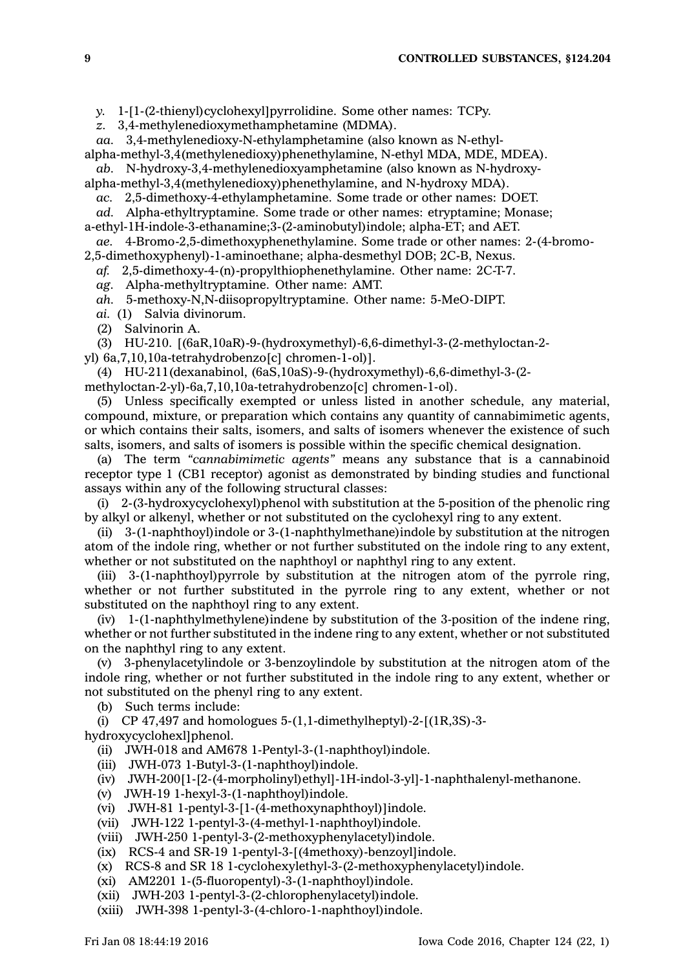*y.* 1-[1-(2-thienyl)cyclohexyl]pyrrolidine. Some other names: TCPy.

*z.* 3,4-methylenedioxymethamphetamine (MDMA).

*aa.* 3,4-methylenedioxy-N-ethylamphetamine (also known as N-ethyl-

alpha-methyl-3,4(methylenedioxy)phenethylamine, N-ethyl MDA, MDE, MDEA).

*ab.* N-hydroxy-3,4-methylenedioxyamphetamine (also known as N-hydroxyalpha-methyl-3,4(methylenedioxy)phenethylamine, and N-hydroxy MDA).

*ac.* 2,5-dimethoxy-4-ethylamphetamine. Some trade or other names: DOET.

*ad.* Alpha-ethyltryptamine. Some trade or other names: etryptamine; Monase;

a-ethyl-1H-indole-3-ethanamine;3-(2-aminobutyl)indole; alpha-ET; and AET.

*ae.* 4-Bromo-2,5-dimethoxyphenethylamine. Some trade or other names: 2-(4-bromo-2,5-dimethoxyphenyl)-1-aminoethane; alpha-desmethyl DOB; 2C-B, Nexus.

*af.* 2,5-dimethoxy-4-(n)-propylthiophenethylamine. Other name: 2C-T-7.

*ag.* Alpha-methyltryptamine. Other name: AMT.

*ah.* 5-methoxy-N,N-diisopropyltryptamine. Other name: 5-MeO-DIPT.

*ai.* (1) Salvia divinorum.

(2) Salvinorin A.

(3) HU-210. [(6aR,10aR)-9-(hydroxymethyl)-6,6-dimethyl-3-(2-methyloctan-2-

yl) 6a,7,10,10a-tetrahydrobenzo[c] chromen-1-ol)].

(4) HU-211(dexanabinol, (6aS,10aS)-9-(hydroxymethyl)-6,6-dimethyl-3-(2 methyloctan-2-yl)-6a,7,10,10a-tetrahydrobenzo[c] chromen-1-ol).

(5) Unless specifically exempted or unless listed in another schedule, any material, compound, mixture, or preparation which contains any quantity of cannabimimetic agents, or which contains their salts, isomers, and salts of isomers whenever the existence of such salts, isomers, and salts of isomers is possible within the specific chemical designation.

(a) The term *"cannabimimetic agents"* means any substance that is <sup>a</sup> cannabinoid receptor type 1 (CB1 receptor) agonist as demonstrated by binding studies and functional assays within any of the following structural classes:

(i) 2-(3-hydroxycyclohexyl)phenol with substitution at the 5-position of the phenolic ring by alkyl or alkenyl, whether or not substituted on the cyclohexyl ring to any extent.

(ii) 3-(1-naphthoyl)indole or 3-(1-naphthylmethane)indole by substitution at the nitrogen atom of the indole ring, whether or not further substituted on the indole ring to any extent, whether or not substituted on the naphthoyl or naphthyl ring to any extent.

(iii) 3-(1-naphthoyl)pyrrole by substitution at the nitrogen atom of the pyrrole ring, whether or not further substituted in the pyrrole ring to any extent, whether or not substituted on the naphthoyl ring to any extent.

(iv) 1-(1-naphthylmethylene)indene by substitution of the 3-position of the indene ring, whether or not further substituted in the indene ring to any extent, whether or not substituted on the naphthyl ring to any extent.

(v) 3-phenylacetylindole or 3-benzoylindole by substitution at the nitrogen atom of the indole ring, whether or not further substituted in the indole ring to any extent, whether or not substituted on the phenyl ring to any extent.

(b) Such terms include:

(i) CP 47,497 and homologues  $5-(1,1$ -dimethylheptyl $)-2-[(1R,3S)-3-$ 

hydroxycyclohexl]phenol.

(ii) JWH-018 and AM678 1-Pentyl-3-(1-naphthoyl)indole.

- (iii) JWH-073 1-Butyl-3-(1-naphthoyl)indole.
- (iv) JWH-200[1-[2-(4-morpholinyl)ethyl]-1H-indol-3-yl]-1-naphthalenyl-methanone.
- (v) JWH-19 1-hexyl-3-(1-naphthoyl)indole.
- (vi) JWH-81 1-pentyl-3-[1-(4-methoxynaphthoyl)]indole.
- (vii) JWH-122 1-pentyl-3-(4-methyl-1-naphthoyl)indole.
- (viii) JWH-250 1-pentyl-3-(2-methoxyphenylacetyl)indole.
- (ix) RCS-4 and SR-19 1-pentyl-3-[(4methoxy)-benzoyl]indole.
- (x) RCS-8 and SR 18 1-cyclohexylethyl-3-(2-methoxyphenylacetyl)indole.
- (xi) AM2201 1-(5-fluoropentyl)-3-(1-naphthoyl)indole.
- (xii) JWH-203 1-pentyl-3-(2-chlorophenylacetyl)indole.
- (xiii) JWH-398 1-pentyl-3-(4-chloro-1-naphthoyl)indole.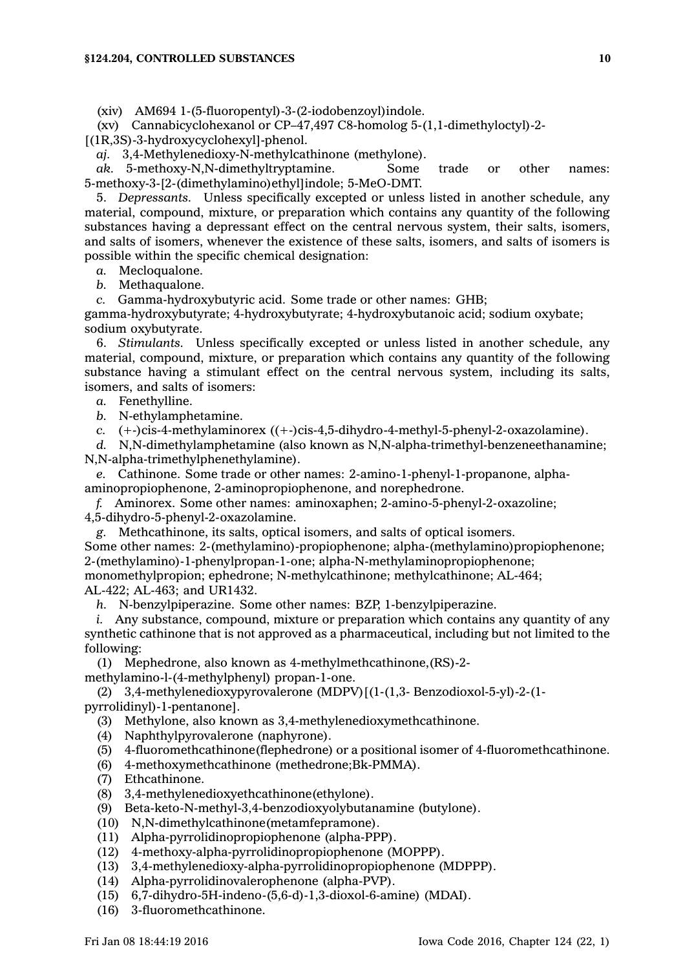(xiv) AM694 1-(5-fluoropentyl)-3-(2-iodobenzoyl)indole.

(xv) Cannabicyclohexanol or CP–47,497 C8-homolog 5-(1,1-dimethyloctyl)-2- [(1R,3S)-3-hydroxycyclohexyl]-phenol.

*aj.* 3,4-Methylenedioxy-N-methylcathinone (methylone).

*ak.* 5-methoxy-N,N-dimethyltryptamine. Some trade or other names: 5-methoxy-3-[2-(dimethylamino)ethyl]indole; 5-MeO-DMT.

5. *Depressants.* Unless specifically excepted or unless listed in another schedule, any material, compound, mixture, or preparation which contains any quantity of the following substances having <sup>a</sup> depressant effect on the central nervous system, their salts, isomers, and salts of isomers, whenever the existence of these salts, isomers, and salts of isomers is possible within the specific chemical designation:

*a.* Mecloqualone.

*b.* Methaqualone.

*c.* Gamma-hydroxybutyric acid. Some trade or other names: GHB;

gamma-hydroxybutyrate; 4-hydroxybutyrate; 4-hydroxybutanoic acid; sodium oxybate; sodium oxybutyrate.

6. *Stimulants.* Unless specifically excepted or unless listed in another schedule, any material, compound, mixture, or preparation which contains any quantity of the following substance having <sup>a</sup> stimulant effect on the central nervous system, including its salts, isomers, and salts of isomers:

*a.* Fenethylline.

*b.* N-ethylamphetamine.

*c.* (+-)cis-4-methylaminorex ((+-)cis-4,5-dihydro-4-methyl-5-phenyl-2-oxazolamine).

*d.* N,N-dimethylamphetamine (also known as N,N-alpha-trimethyl-benzeneethanamine; N,N-alpha-trimethylphenethylamine).

*e.* Cathinone. Some trade or other names: 2-amino-1-phenyl-1-propanone, alphaaminopropiophenone, 2-aminopropiophenone, and norephedrone.

*f.* Aminorex. Some other names: aminoxaphen; 2-amino-5-phenyl-2-oxazoline;

4,5-dihydro-5-phenyl-2-oxazolamine.

*g.* Methcathinone, its salts, optical isomers, and salts of optical isomers.

Some other names: 2-(methylamino)-propiophenone; alpha-(methylamino)propiophenone; 2-(methylamino)-1-phenylpropan-1-one; alpha-N-methylaminopropiophenone;

monomethylpropion; ephedrone; N-methylcathinone; methylcathinone; AL-464; AL-422; AL-463; and UR1432.

*h.* N-benzylpiperazine. Some other names: BZP, 1-benzylpiperazine.

*i.* Any substance, compound, mixture or preparation which contains any quantity of any synthetic cathinone that is not approved as <sup>a</sup> pharmaceutical, including but not limited to the following:

(1) Mephedrone, also known as 4-methylmethcathinone,(RS)-2-

methylamino-l-(4-methylphenyl) propan-1-one.

(2) 3,4-methylenedioxypyrovalerone (MDPV)[(1-(1,3- Benzodioxol-5-yl)-2-(1 pyrrolidinyl)-1-pentanone].

(3) Methylone, also known as 3,4-methylenedioxymethcathinone.

- (4) Naphthylpyrovalerone (naphyrone).
- (5) 4-fluoromethcathinone(flephedrone) or <sup>a</sup> positional isomer of 4-fluoromethcathinone.
- (6) 4-methoxymethcathinone (methedrone;Bk-PMMA).
- (7) Ethcathinone.
- (8) 3,4-methylenedioxyethcathinone(ethylone).
- (9) Beta-keto-N-methyl-3,4-benzodioxyolybutanamine (butylone).
- (10) N,N-dimethylcathinone(metamfepramone).
- (11) Alpha-pyrrolidinopropiophenone (alpha-PPP).
- (12) 4-methoxy-alpha-pyrrolidinopropiophenone (MOPPP).
- (13) 3,4-methylenedioxy-alpha-pyrrolidinopropiophenone (MDPPP).
- (14) Alpha-pyrrolidinovalerophenone (alpha-PVP).
- (15) 6,7-dihydro-5H-indeno-(5,6-d)-1,3-dioxol-6-amine) (MDAI).
- (16) 3-fluoromethcathinone.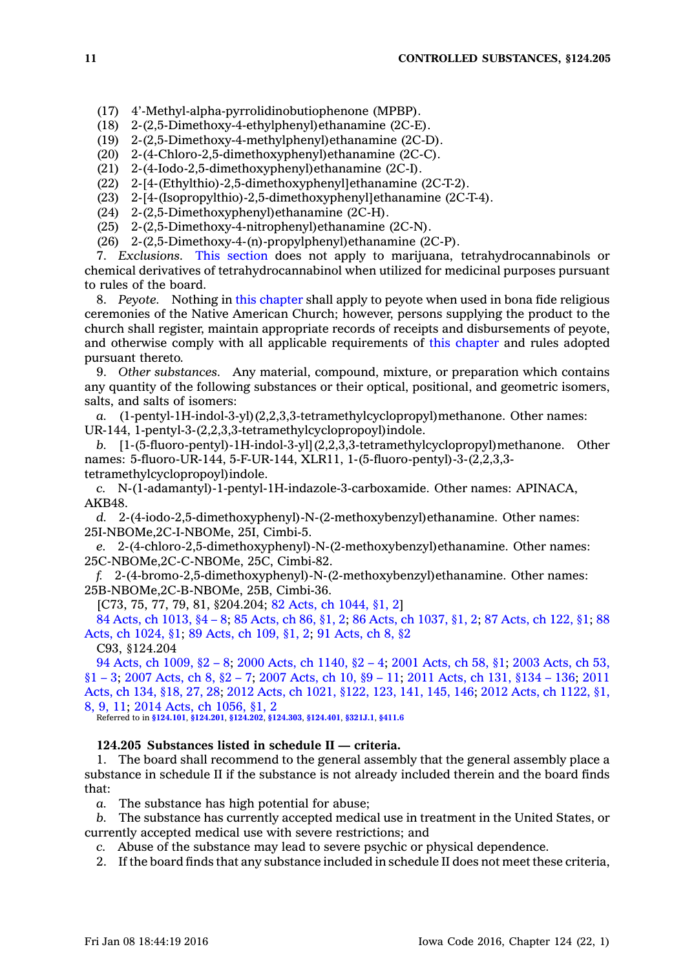- (17) 4'-Methyl-alpha-pyrrolidinobutiophenone (MPBP).
- (18) 2-(2,5-Dimethoxy-4-ethylphenyl)ethanamine (2C-E).
- (19) 2-(2,5-Dimethoxy-4-methylphenyl)ethanamine (2C-D).
- (20) 2-(4-Chloro-2,5-dimethoxyphenyl)ethanamine (2C-C).
- (21) 2-(4-Iodo-2,5-dimethoxyphenyl)ethanamine (2C-I).
- (22) 2-[4-(Ethylthio)-2,5-dimethoxyphenyl]ethanamine (2C-T-2).
- (23) 2-[4-(Isopropylthio)-2,5-dimethoxyphenyl]ethanamine (2C-T-4).
- (24) 2-(2,5-Dimethoxyphenyl)ethanamine (2C-H).
- (25) 2-(2,5-Dimethoxy-4-nitrophenyl)ethanamine (2C-N).
- (26) 2-(2,5-Dimethoxy-4-(n)-propylphenyl)ethanamine (2C-P).

7. *Exclusions.* This [section](https://www.legis.iowa.gov/docs/code//124.204.pdf) does not apply to marijuana, tetrahydrocannabinols or chemical derivatives of tetrahydrocannabinol when utilized for medicinal purposes pursuant to rules of the board.

8. *Peyote.* Nothing in this [chapter](https://www.legis.iowa.gov/docs/code//124.pdf) shall apply to peyote when used in bona fide religious ceremonies of the Native American Church; however, persons supplying the product to the church shall register, maintain appropriate records of receipts and disbursements of peyote, and otherwise comply with all applicable requirements of this [chapter](https://www.legis.iowa.gov/docs/code//124.pdf) and rules adopted pursuant thereto.

9. *Other substances.* Any material, compound, mixture, or preparation which contains any quantity of the following substances or their optical, positional, and geometric isomers, salts, and salts of isomers:

*a.* (1-pentyl-1H-indol-3-yl)(2,2,3,3-tetramethylcyclopropyl)methanone. Other names: UR-144, 1-pentyl-3-(2,2,3,3-tetramethylcyclopropoyl)indole.

*b.* [1-(5-fluoro-pentyl)-1H-indol-3-yl](2,2,3,3-tetramethylcyclopropyl)methanone. Other names: 5-fluoro-UR-144, 5-F-UR-144, XLR11, 1-(5-fluoro-pentyl)-3-(2,2,3,3 tetramethylcyclopropoyl)indole.

*c.* N-(1-adamantyl)-1-pentyl-1H-indazole-3-carboxamide. Other names: APINACA, AKB48.

*d.* 2-(4-iodo-2,5-dimethoxyphenyl)-N-(2-methoxybenzyl)ethanamine. Other names: 25I-NBOMe,2C-I-NBOMe, 25I, Cimbi-5.

*e.* 2-(4-chloro-2,5-dimethoxyphenyl)-N-(2-methoxybenzyl)ethanamine. Other names: 25C-NBOMe,2C-C-NBOMe, 25C, Cimbi-82.

*f.* 2-(4-bromo-2,5-dimethoxyphenyl)-N-(2-methoxybenzyl)ethanamine. Other names: 25B-NBOMe,2C-B-NBOMe, 25B, Cimbi-36.

[C73, 75, 77, 79, 81, §204.204; 82 Acts, ch [1044,](https://www.legis.iowa.gov/docs/acts/1982/CH1044.pdf) §1, 2]

84 Acts, ch [1013,](https://www.legis.iowa.gov/docs/acts/84/CH1013.pdf) §4 – 8; 85 [Acts,](https://www.legis.iowa.gov/docs/acts/85/CH0086.pdf) ch 86, §1, 2; 86 Acts, ch [1037,](https://www.legis.iowa.gov/docs/acts/86/CH1037.pdf) §1, 2; 87 [Acts,](https://www.legis.iowa.gov/docs/acts/87/CH0122.pdf) ch 122, §1; [88](https://www.legis.iowa.gov/docs/acts/88/CH1024.pdf) Acts, ch [1024,](https://www.legis.iowa.gov/docs/acts/88/CH1024.pdf) §1; 89 [Acts,](https://www.legis.iowa.gov/docs/acts/89/CH0109.pdf) ch 109, §1, 2; 91 [Acts,](https://www.legis.iowa.gov/docs/acts/91/CH0008.pdf) ch 8, §2

C93, §124.204

94 Acts, ch [1009,](https://www.legis.iowa.gov/docs/acts/94/CH1009.pdf) §2 – 8; 2000 Acts, ch [1140,](https://www.legis.iowa.gov/docs/acts/2000/CH1140.pdf) §2 – 4; 2001 [Acts,](https://www.legis.iowa.gov/docs/acts/2001/CH0058.pdf) ch 58, §1; 2003 [Acts,](https://www.legis.iowa.gov/docs/acts/2003/CH0053.pdf) ch 53, [§1](https://www.legis.iowa.gov/docs/acts/2003/CH0053.pdf) – 3; 2007 [Acts,](https://www.legis.iowa.gov/docs/acts/2007/CH0008.pdf) ch 8, §2 – 7; 2007 [Acts,](https://www.legis.iowa.gov/docs/acts/2007/CH0010.pdf) ch 10, §9 – 11; 2011 [Acts,](https://www.legis.iowa.gov/docs/acts/2011/CH0131.pdf) ch 131, §134 – 136; [2011](https://www.legis.iowa.gov/docs/acts/2011/CH0134.pdf) [Acts,](https://www.legis.iowa.gov/docs/acts/2011/CH0134.pdf) ch 134, §18, 27, 28; 2012 Acts, ch 1021, [§122,](https://www.legis.iowa.gov/docs/acts/2012/CH1021.pdf) 123, 141, 145, 146; 2012 Acts, ch [1122,](https://www.legis.iowa.gov/docs/acts/2012/CH1122.pdf) §1, 8, 9, [11](https://www.legis.iowa.gov/docs/acts/2012/CH1122.pdf); 2014 Acts, ch [1056,](https://www.legis.iowa.gov/docs/acts/2014/CH1056.pdf) §1, 2

Referred to in **[§124.101](https://www.legis.iowa.gov/docs/code/124.101.pdf)**, **[§124.201](https://www.legis.iowa.gov/docs/code/124.201.pdf)**, **[§124.202](https://www.legis.iowa.gov/docs/code/124.202.pdf)**, **[§124.303](https://www.legis.iowa.gov/docs/code/124.303.pdf)**, **[§124.401](https://www.legis.iowa.gov/docs/code/124.401.pdf)**, **[§321J.1](https://www.legis.iowa.gov/docs/code/321J.1.pdf)**, **[§411.6](https://www.legis.iowa.gov/docs/code/411.6.pdf)**

#### **124.205 Substances listed in schedule II — criteria.**

1. The board shall recommend to the general assembly that the general assembly place <sup>a</sup> substance in schedule II if the substance is not already included therein and the board finds that:

*a.* The substance has high potential for abuse;

*b.* The substance has currently accepted medical use in treatment in the United States, or currently accepted medical use with severe restrictions; and

*c.* Abuse of the substance may lead to severe psychic or physical dependence.

2. If the board finds that any substance included in schedule II does not meet these criteria,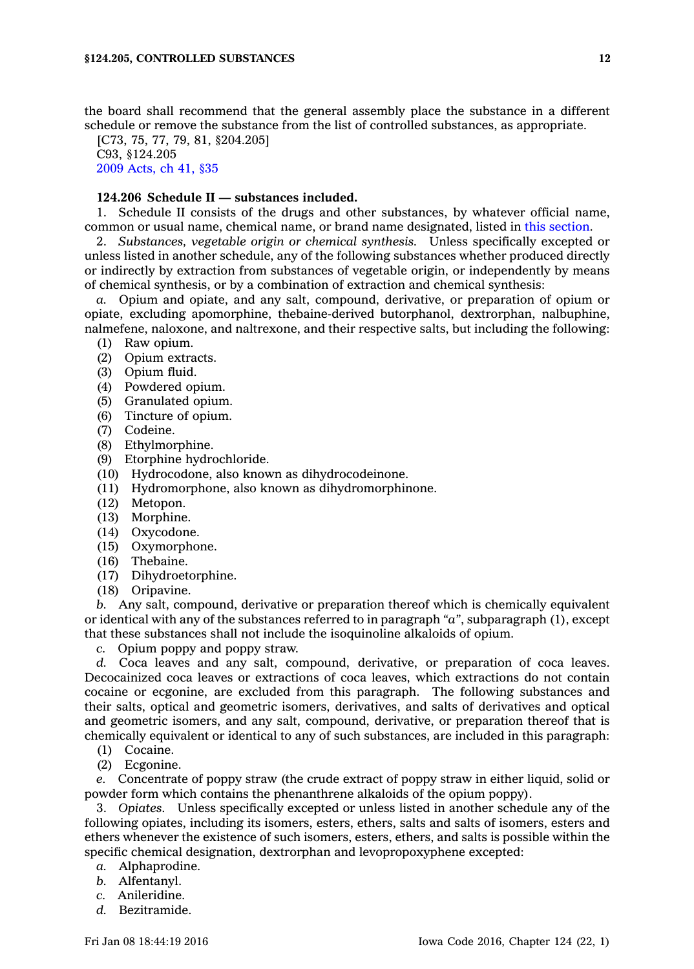the board shall recommend that the general assembly place the substance in <sup>a</sup> different schedule or remove the substance from the list of controlled substances, as appropriate.

[C73, 75, 77, 79, 81, §204.205] C93, §124.205 2009 [Acts,](https://www.legis.iowa.gov/docs/acts/2009/CH0041.pdf) ch 41, §35

# **124.206 Schedule II — substances included.**

1. Schedule II consists of the drugs and other substances, by whatever official name, common or usual name, chemical name, or brand name designated, listed in this [section](https://www.legis.iowa.gov/docs/code//124.206.pdf).

2. *Substances, vegetable origin or chemical synthesis.* Unless specifically excepted or unless listed in another schedule, any of the following substances whether produced directly or indirectly by extraction from substances of vegetable origin, or independently by means of chemical synthesis, or by <sup>a</sup> combination of extraction and chemical synthesis:

*a.* Opium and opiate, and any salt, compound, derivative, or preparation of opium or opiate, excluding apomorphine, thebaine-derived butorphanol, dextrorphan, nalbuphine, nalmefene, naloxone, and naltrexone, and their respective salts, but including the following:

- (1) Raw opium.
- (2) Opium extracts.
- (3) Opium fluid.
- (4) Powdered opium.
- (5) Granulated opium.
- (6) Tincture of opium.
- (7) Codeine.
- (8) Ethylmorphine.
- (9) Etorphine hydrochloride.
- (10) Hydrocodone, also known as dihydrocodeinone.
- (11) Hydromorphone, also known as dihydromorphinone.
- (12) Metopon.
- (13) Morphine.
- (14) Oxycodone.
- (15) Oxymorphone.
- (16) Thebaine.
- (17) Dihydroetorphine.
- (18) Oripavine.

*b.* Any salt, compound, derivative or preparation thereof which is chemically equivalent or identical with any of the substances referred to in paragraph *"a"*, subparagraph (1), except that these substances shall not include the isoquinoline alkaloids of opium.

*c.* Opium poppy and poppy straw.

*d.* Coca leaves and any salt, compound, derivative, or preparation of coca leaves. Decocainized coca leaves or extractions of coca leaves, which extractions do not contain cocaine or ecgonine, are excluded from this paragraph. The following substances and their salts, optical and geometric isomers, derivatives, and salts of derivatives and optical and geometric isomers, and any salt, compound, derivative, or preparation thereof that is chemically equivalent or identical to any of such substances, are included in this paragraph:

- (1) Cocaine.
- (2) Ecgonine.

*e.* Concentrate of poppy straw (the crude extract of poppy straw in either liquid, solid or powder form which contains the phenanthrene alkaloids of the opium poppy).

3. *Opiates.* Unless specifically excepted or unless listed in another schedule any of the following opiates, including its isomers, esters, ethers, salts and salts of isomers, esters and ethers whenever the existence of such isomers, esters, ethers, and salts is possible within the specific chemical designation, dextrorphan and levopropoxyphene excepted:

- *a.* Alphaprodine.
- *b.* Alfentanyl.
- *c.* Anileridine.
- *d.* Bezitramide.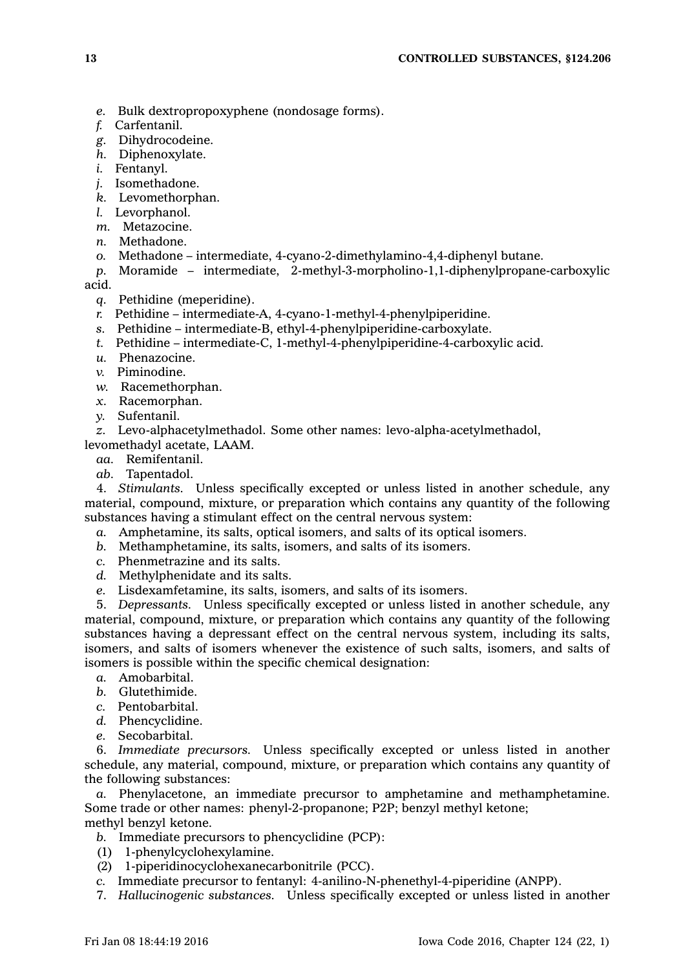- *e.* Bulk dextropropoxyphene (nondosage forms).
- *f.* Carfentanil.
- *g.* Dihydrocodeine.
- *h.* Diphenoxylate.
- *i.* Fentanyl.
- *j.* Isomethadone.
- *k.* Levomethorphan.
- *l.* Levorphanol.
- *m.* Metazocine.
- *n.* Methadone.
- *o.* Methadone intermediate, 4-cyano-2-dimethylamino-4,4-diphenyl butane.
- *p.* Moramide intermediate, 2-methyl-3-morpholino-1,1-diphenylpropane-carboxylic

acid.

- *q.* Pethidine (meperidine).
- *r.* Pethidine intermediate-A, 4-cyano-1-methyl-4-phenylpiperidine.
- *s.* Pethidine intermediate-B, ethyl-4-phenylpiperidine-carboxylate.
- *t.* Pethidine intermediate-C, 1-methyl-4-phenylpiperidine-4-carboxylic acid.
- *u.* Phenazocine.
- *v.* Piminodine.
- *w.* Racemethorphan.
- *x.* Racemorphan.
- *y.* Sufentanil.

*z.* Levo-alphacetylmethadol. Some other names: levo-alpha-acetylmethadol, levomethadyl acetate, LAAM.

- *aa.* Remifentanil.
- *ab.* Tapentadol.

4. *Stimulants.* Unless specifically excepted or unless listed in another schedule, any material, compound, mixture, or preparation which contains any quantity of the following substances having <sup>a</sup> stimulant effect on the central nervous system:

- *a.* Amphetamine, its salts, optical isomers, and salts of its optical isomers.
- *b.* Methamphetamine, its salts, isomers, and salts of its isomers.
- *c.* Phenmetrazine and its salts.
- *d.* Methylphenidate and its salts.
- *e.* Lisdexamfetamine, its salts, isomers, and salts of its isomers.

5. *Depressants.* Unless specifically excepted or unless listed in another schedule, any material, compound, mixture, or preparation which contains any quantity of the following substances having <sup>a</sup> depressant effect on the central nervous system, including its salts, isomers, and salts of isomers whenever the existence of such salts, isomers, and salts of isomers is possible within the specific chemical designation:

- *a.* Amobarbital.
- *b.* Glutethimide.
- *c.* Pentobarbital.
- *d.* Phencyclidine.
- *e.* Secobarbital.

6. *Immediate precursors.* Unless specifically excepted or unless listed in another schedule, any material, compound, mixture, or preparation which contains any quantity of the following substances:

*a.* Phenylacetone, an immediate precursor to amphetamine and methamphetamine. Some trade or other names: phenyl-2-propanone; P2P; benzyl methyl ketone; methyl benzyl ketone.

- *b.* Immediate precursors to phencyclidine (PCP):
- (1) 1-phenylcyclohexylamine.
- (2) 1-piperidinocyclohexanecarbonitrile (PCC).
- *c.* Immediate precursor to fentanyl: 4-anilino-N-phenethyl-4-piperidine (ANPP).
- 7. *Hallucinogenic substances.* Unless specifically excepted or unless listed in another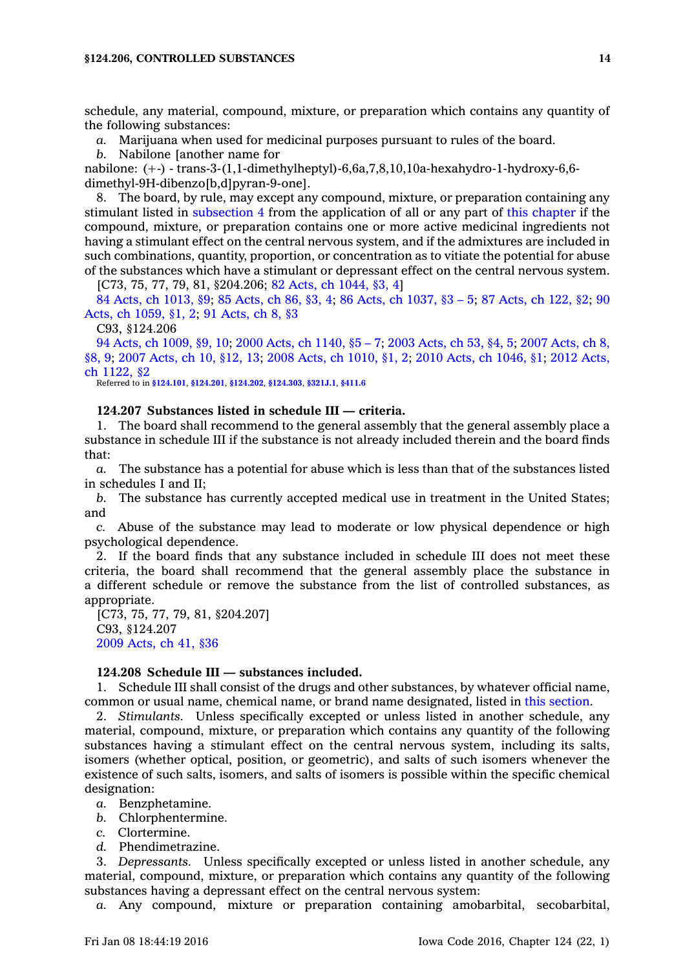schedule, any material, compound, mixture, or preparation which contains any quantity of the following substances:

*a.* Marijuana when used for medicinal purposes pursuant to rules of the board.

*b.* Nabilone [another name for

nabilone: (+-) - trans-3-(1,1-dimethylheptyl)-6,6a,7,8,10,10a-hexahydro-1-hydroxy-6,6 dimethyl-9H-dibenzo[b,d]pyran-9-one].

8. The board, by rule, may except any compound, mixture, or preparation containing any stimulant listed in [subsection](https://www.legis.iowa.gov/docs/code//124.206.pdf) 4 from the application of all or any part of this [chapter](https://www.legis.iowa.gov/docs/code//124.pdf) if the compound, mixture, or preparation contains one or more active medicinal ingredients not having <sup>a</sup> stimulant effect on the central nervous system, and if the admixtures are included in such combinations, quantity, proportion, or concentration as to vitiate the potential for abuse of the substances which have <sup>a</sup> stimulant or depressant effect on the central nervous system.

[C73, 75, 77, 79, 81, §204.206; 82 Acts, ch [1044,](https://www.legis.iowa.gov/docs/acts/1982/CH1044.pdf) §3, 4]

84 Acts, ch [1013,](https://www.legis.iowa.gov/docs/acts/84/CH1013.pdf) §9; 85 [Acts,](https://www.legis.iowa.gov/docs/acts/85/CH0086.pdf) ch 86, §3, 4; 86 Acts, ch [1037,](https://www.legis.iowa.gov/docs/acts/86/CH1037.pdf) §3 – 5; 87 [Acts,](https://www.legis.iowa.gov/docs/acts/87/CH0122.pdf) ch 122, §2; [90](https://www.legis.iowa.gov/docs/acts/90/CH1059.pdf) Acts, ch [1059,](https://www.legis.iowa.gov/docs/acts/90/CH1059.pdf) §1, 2; 91 [Acts,](https://www.legis.iowa.gov/docs/acts/91/CH0008.pdf) ch 8, §3

C93, §124.206

94 Acts, ch [1009,](https://www.legis.iowa.gov/docs/acts/94/CH1009.pdf) §9, 10; 2000 Acts, ch [1140,](https://www.legis.iowa.gov/docs/acts/2000/CH1140.pdf) §5 – 7; 2003 [Acts,](https://www.legis.iowa.gov/docs/acts/2003/CH0053.pdf) ch 53, §4, 5; 2007 [Acts,](https://www.legis.iowa.gov/docs/acts/2007/CH0008.pdf) ch 8, [§8,](https://www.legis.iowa.gov/docs/acts/2007/CH0008.pdf) 9; 2007 [Acts,](https://www.legis.iowa.gov/docs/acts/2007/CH0010.pdf) ch 10, §12, 13; 2008 Acts, ch [1010,](https://www.legis.iowa.gov/docs/acts/2008/CH1010.pdf) §1, 2; 2010 Acts, ch [1046,](https://www.legis.iowa.gov/docs/acts/2010/CH1046.pdf) §1; 2012 [Acts,](https://www.legis.iowa.gov/docs/acts/2012/CH1122.pdf) ch [1122,](https://www.legis.iowa.gov/docs/acts/2012/CH1122.pdf) §2

Referred to in **[§124.101](https://www.legis.iowa.gov/docs/code/124.101.pdf)**, **[§124.201](https://www.legis.iowa.gov/docs/code/124.201.pdf)**, **[§124.202](https://www.legis.iowa.gov/docs/code/124.202.pdf)**, **[§124.303](https://www.legis.iowa.gov/docs/code/124.303.pdf)**, **[§321J.1](https://www.legis.iowa.gov/docs/code/321J.1.pdf)**, **[§411.6](https://www.legis.iowa.gov/docs/code/411.6.pdf)**

## **124.207 Substances listed in schedule III — criteria.**

1. The board shall recommend to the general assembly that the general assembly place <sup>a</sup> substance in schedule III if the substance is not already included therein and the board finds that:

*a.* The substance has <sup>a</sup> potential for abuse which is less than that of the substances listed in schedules I and II;

*b.* The substance has currently accepted medical use in treatment in the United States; and

*c.* Abuse of the substance may lead to moderate or low physical dependence or high psychological dependence.

2. If the board finds that any substance included in schedule III does not meet these criteria, the board shall recommend that the general assembly place the substance in <sup>a</sup> different schedule or remove the substance from the list of controlled substances, as appropriate.

[C73, 75, 77, 79, 81, §204.207] C93, §124.207 2009 [Acts,](https://www.legis.iowa.gov/docs/acts/2009/CH0041.pdf) ch 41, §36

## **124.208 Schedule III — substances included.**

1. Schedule III shall consist of the drugs and other substances, by whatever official name, common or usual name, chemical name, or brand name designated, listed in this [section](https://www.legis.iowa.gov/docs/code//124.208.pdf).

2. *Stimulants.* Unless specifically excepted or unless listed in another schedule, any material, compound, mixture, or preparation which contains any quantity of the following substances having <sup>a</sup> stimulant effect on the central nervous system, including its salts, isomers (whether optical, position, or geometric), and salts of such isomers whenever the existence of such salts, isomers, and salts of isomers is possible within the specific chemical designation:

- *a.* Benzphetamine.
- *b.* Chlorphentermine.
- *c.* Clortermine.
- *d.* Phendimetrazine.

3. *Depressants.* Unless specifically excepted or unless listed in another schedule, any material, compound, mixture, or preparation which contains any quantity of the following substances having <sup>a</sup> depressant effect on the central nervous system:

*a.* Any compound, mixture or preparation containing amobarbital, secobarbital,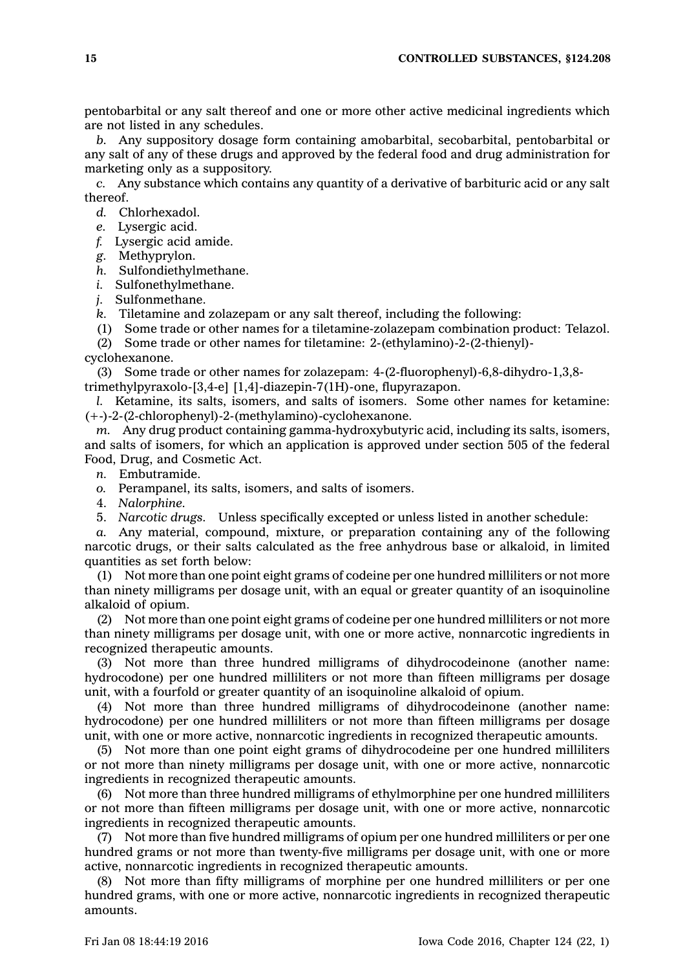pentobarbital or any salt thereof and one or more other active medicinal ingredients which are not listed in any schedules.

*b.* Any suppository dosage form containing amobarbital, secobarbital, pentobarbital or any salt of any of these drugs and approved by the federal food and drug administration for marketing only as <sup>a</sup> suppository.

*c.* Any substance which contains any quantity of <sup>a</sup> derivative of barbituric acid or any salt thereof.

*d.* Chlorhexadol.

*e.* Lysergic acid.

*f.* Lysergic acid amide.

*g.* Methyprylon.

*h.* Sulfondiethylmethane.

*i.* Sulfonethylmethane.

*j.* Sulfonmethane.

*k.* Tiletamine and zolazepam or any salt thereof, including the following:

(1) Some trade or other names for <sup>a</sup> tiletamine-zolazepam combination product: Telazol.

(2) Some trade or other names for tiletamine: 2-(ethylamino)-2-(2-thienyl)-

cyclohexanone.

(3) Some trade or other names for zolazepam: 4-(2-fluorophenyl)-6,8-dihydro-1,3,8 trimethylpyraxolo-[3,4-e] [1,4]-diazepin-7(1H)-one, flupyrazapon.

*l.* Ketamine, its salts, isomers, and salts of isomers. Some other names for ketamine: (+-)-2-(2-chlorophenyl)-2-(methylamino)-cyclohexanone.

*m.* Any drug product containing gamma-hydroxybutyric acid, including its salts, isomers, and salts of isomers, for which an application is approved under section 505 of the federal Food, Drug, and Cosmetic Act.

*n.* Embutramide.

*o.* Perampanel, its salts, isomers, and salts of isomers.

4. *Nalorphine.*

5. *Narcotic drugs.* Unless specifically excepted or unless listed in another schedule:

*a.* Any material, compound, mixture, or preparation containing any of the following narcotic drugs, or their salts calculated as the free anhydrous base or alkaloid, in limited quantities as set forth below:

(1) Not more than one point eight grams of codeine per one hundred milliliters or not more than ninety milligrams per dosage unit, with an equal or greater quantity of an isoquinoline alkaloid of opium.

(2) Not more than one point eight grams of codeine per one hundred milliliters or not more than ninety milligrams per dosage unit, with one or more active, nonnarcotic ingredients in recognized therapeutic amounts.

(3) Not more than three hundred milligrams of dihydrocodeinone (another name: hydrocodone) per one hundred milliliters or not more than fifteen milligrams per dosage unit, with <sup>a</sup> fourfold or greater quantity of an isoquinoline alkaloid of opium.

(4) Not more than three hundred milligrams of dihydrocodeinone (another name: hydrocodone) per one hundred milliliters or not more than fifteen milligrams per dosage unit, with one or more active, nonnarcotic ingredients in recognized therapeutic amounts.

(5) Not more than one point eight grams of dihydrocodeine per one hundred milliliters or not more than ninety milligrams per dosage unit, with one or more active, nonnarcotic ingredients in recognized therapeutic amounts.

(6) Not more than three hundred milligrams of ethylmorphine per one hundred milliliters or not more than fifteen milligrams per dosage unit, with one or more active, nonnarcotic ingredients in recognized therapeutic amounts.

(7) Not more than five hundred milligrams of opium per one hundred milliliters or per one hundred grams or not more than twenty-five milligrams per dosage unit, with one or more active, nonnarcotic ingredients in recognized therapeutic amounts.

(8) Not more than fifty milligrams of morphine per one hundred milliliters or per one hundred grams, with one or more active, nonnarcotic ingredients in recognized therapeutic amounts.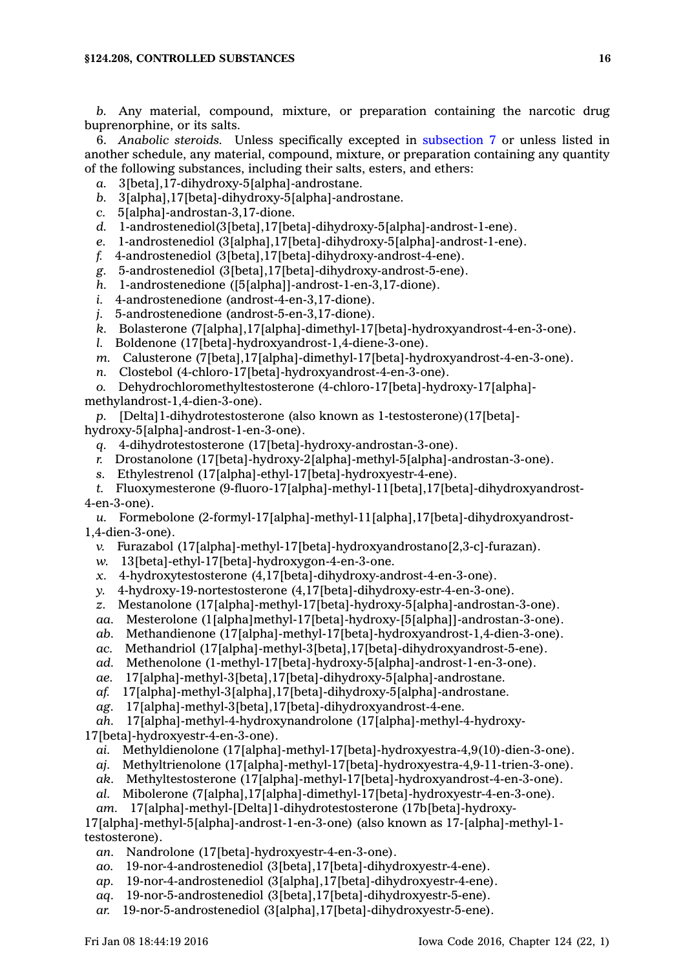*b.* Any material, compound, mixture, or preparation containing the narcotic drug buprenorphine, or its salts.

6. *Anabolic steroids.* Unless specifically excepted in [subsection](https://www.legis.iowa.gov/docs/code//124.208.pdf) 7 or unless listed in another schedule, any material, compound, mixture, or preparation containing any quantity of the following substances, including their salts, esters, and ethers:

- *a.* 3[beta],17-dihydroxy-5[alpha]-androstane.
- *b.* 3[alpha],17[beta]-dihydroxy-5[alpha]-androstane.
- *c.* 5[alpha]-androstan-3,17-dione.
- *d.* 1-androstenediol(3[beta],17[beta]-dihydroxy-5[alpha]-androst-1-ene).
- *e.* 1-androstenediol (3[alpha],17[beta]-dihydroxy-5[alpha]-androst-1-ene).
- *f.* 4-androstenediol (3[beta],17[beta]-dihydroxy-androst-4-ene).
- *g.* 5-androstenediol (3[beta],17[beta]-dihydroxy-androst-5-ene).
- *h.* 1-androstenedione ([5[alpha]]-androst-1-en-3,17-dione).
- *i.* 4-androstenedione (androst-4-en-3,17-dione).
- *j.* 5-androstenedione (androst-5-en-3,17-dione).
- *k.* Bolasterone (7[alpha],17[alpha]-dimethyl-17[beta]-hydroxyandrost-4-en-3-one).
- *l.* Boldenone (17[beta]-hydroxyandrost-1,4-diene-3-one).
- *m.* Calusterone (7[beta],17[alpha]-dimethyl-17[beta]-hydroxyandrost-4-en-3-one).
- *n.* Clostebol (4-chloro-17[beta]-hydroxyandrost-4-en-3-one).
- *o.* Dehydrochloromethyltestosterone (4-chloro-17[beta]-hydroxy-17[alpha]-
- methylandrost-1,4-dien-3-one).

*p.* [Delta]1-dihydrotestosterone (also known as 1-testosterone)(17[beta] hydroxy-5[alpha]-androst-1-en-3-one).

- *q.* 4-dihydrotestosterone (17[beta]-hydroxy-androstan-3-one).
- *r.* Drostanolone (17[beta]-hydroxy-2[alpha]-methyl-5[alpha]-androstan-3-one).
- *s.* Ethylestrenol (17[alpha]-ethyl-17[beta]-hydroxyestr-4-ene).
- *t.* Fluoxymesterone (9-fluoro-17[alpha]-methyl-11[beta],17[beta]-dihydroxyandrost-4-en-3-one).

*u.* Formebolone (2-formyl-17[alpha]-methyl-11[alpha],17[beta]-dihydroxyandrost-1,4-dien-3-one).

- *v.* Furazabol (17[alpha]-methyl-17[beta]-hydroxyandrostano[2,3-c]-furazan).
- *w.* 13[beta]-ethyl-17[beta]-hydroxygon-4-en-3-one.
- *x.* 4-hydroxytestosterone (4,17[beta]-dihydroxy-androst-4-en-3-one).
- *y.* 4-hydroxy-19-nortestosterone (4,17[beta]-dihydroxy-estr-4-en-3-one).
- *z.* Mestanolone (17[alpha]-methyl-17[beta]-hydroxy-5[alpha]-androstan-3-one).
- *aa.* Mesterolone (1[alpha]methyl-17[beta]-hydroxy-[5[alpha]]-androstan-3-one).
- *ab.* Methandienone (17[alpha]-methyl-17[beta]-hydroxyandrost-1,4-dien-3-one).
- *ac.* Methandriol (17[alpha]-methyl-3[beta],17[beta]-dihydroxyandrost-5-ene).
- *ad.* Methenolone (1-methyl-17[beta]-hydroxy-5[alpha]-androst-1-en-3-one).
- *ae.* 17[alpha]-methyl-3[beta],17[beta]-dihydroxy-5[alpha]-androstane.
- *af.* 17[alpha]-methyl-3[alpha],17[beta]-dihydroxy-5[alpha]-androstane.
- *ag.* 17[alpha]-methyl-3[beta],17[beta]-dihydroxyandrost-4-ene.

*ah.* 17[alpha]-methyl-4-hydroxynandrolone (17[alpha]-methyl-4-hydroxy-17[beta]-hydroxyestr-4-en-3-one).

- *ai.* Methyldienolone (17[alpha]-methyl-17[beta]-hydroxyestra-4,9(10)-dien-3-one).
- *aj.* Methyltrienolone (17[alpha]-methyl-17[beta]-hydroxyestra-4,9-11-trien-3-one).
- *ak.* Methyltestosterone (17[alpha]-methyl-17[beta]-hydroxyandrost-4-en-3-one).
- *al.* Mibolerone (7[alpha],17[alpha]-dimethyl-17[beta]-hydroxyestr-4-en-3-one).
- *am.* 17[alpha]-methyl-[Delta]1-dihydrotestosterone (17b[beta]-hydroxy-

17[alpha]-methyl-5[alpha]-androst-1-en-3-one) (also known as 17-[alpha]-methyl-1 testosterone).

- *an.* Nandrolone (17[beta]-hydroxyestr-4-en-3-one).
- *ao.* 19-nor-4-androstenediol (3[beta],17[beta]-dihydroxyestr-4-ene).
- *ap.* 19-nor-4-androstenediol (3[alpha],17[beta]-dihydroxyestr-4-ene).
- *aq.* 19-nor-5-androstenediol (3[beta],17[beta]-dihydroxyestr-5-ene).
- *ar.* 19-nor-5-androstenediol (3[alpha],17[beta]-dihydroxyestr-5-ene).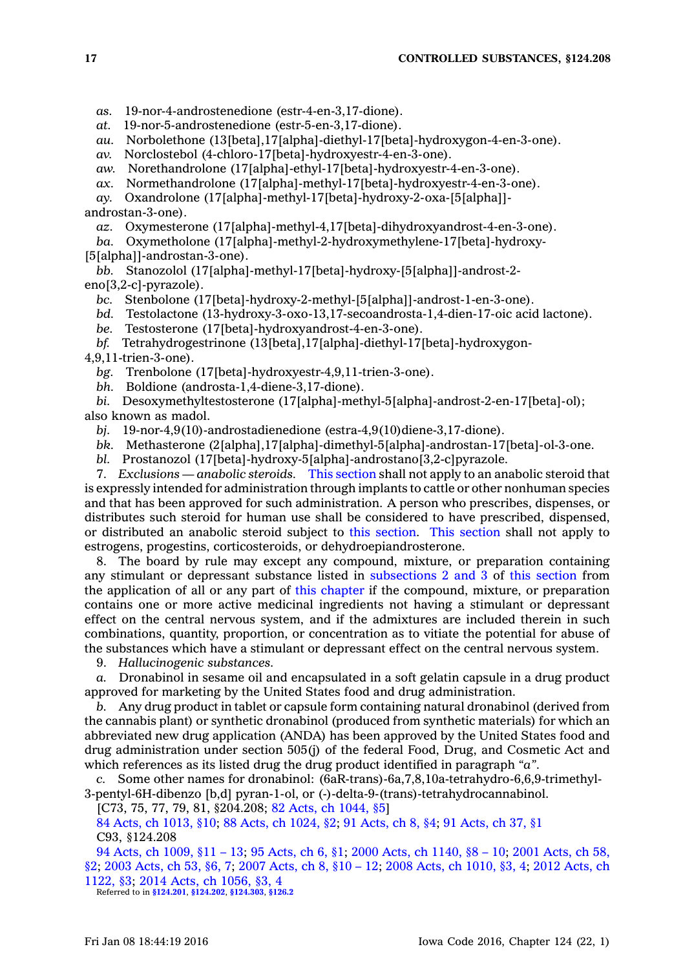*as.* 19-nor-4-androstenedione (estr-4-en-3,17-dione).

*at.* 19-nor-5-androstenedione (estr-5-en-3,17-dione).

*au.* Norbolethone (13[beta],17[alpha]-diethyl-17[beta]-hydroxygon-4-en-3-one).

*av.* Norclostebol (4-chloro-17[beta]-hydroxyestr-4-en-3-one).

*aw.* Norethandrolone (17[alpha]-ethyl-17[beta]-hydroxyestr-4-en-3-one).

*ax.* Normethandrolone (17[alpha]-methyl-17[beta]-hydroxyestr-4-en-3-one).

*ay.* Oxandrolone (17[alpha]-methyl-17[beta]-hydroxy-2-oxa-[5[alpha]] androstan-3-one).

*az.* Oxymesterone (17[alpha]-methyl-4,17[beta]-dihydroxyandrost-4-en-3-one).

*ba.* Oxymetholone (17[alpha]-methyl-2-hydroxymethylene-17[beta]-hydroxy- [5[alpha]]-androstan-3-one).

*bb.* Stanozolol (17[alpha]-methyl-17[beta]-hydroxy-[5[alpha]]-androst-2 eno[3,2-c]-pyrazole).

*bc.* Stenbolone (17[beta]-hydroxy-2-methyl-[5[alpha]]-androst-1-en-3-one).

*bd.* Testolactone (13-hydroxy-3-oxo-13,17-secoandrosta-1,4-dien-17-oic acid lactone).

*be.* Testosterone (17[beta]-hydroxyandrost-4-en-3-one).

*bf.* Tetrahydrogestrinone (13[beta],17[alpha]-diethyl-17[beta]-hydroxygon-

4,9,11-trien-3-one).

*bg.* Trenbolone (17[beta]-hydroxyestr-4,9,11-trien-3-one).

*bh.* Boldione (androsta-1,4-diene-3,17-dione).

*bi.* Desoxymethyltestosterone (17[alpha]-methyl-5[alpha]-androst-2-en-17[beta]-ol); also known as madol.

*bj.* 19-nor-4,9(10)-androstadienedione (estra-4,9(10)diene-3,17-dione).

*bk.* Methasterone (2[alpha],17[alpha]-dimethyl-5[alpha]-androstan-17[beta]-ol-3-one.

*bl.* Prostanozol (17[beta]-hydroxy-5[alpha]-androstano[3,2-c]pyrazole.

7. *Exclusions — anabolic steroids.* This [section](https://www.legis.iowa.gov/docs/code//124.208.pdf) shall not apply to an anabolic steroid that is expressly intended for administration through implants to cattle or other nonhuman species and that has been approved for such administration. A person who prescribes, dispenses, or distributes such steroid for human use shall be considered to have prescribed, dispensed, or distributed an anabolic steroid subject to this [section](https://www.legis.iowa.gov/docs/code//124.208.pdf). This [section](https://www.legis.iowa.gov/docs/code//124.208.pdf) shall not apply to estrogens, progestins, corticosteroids, or dehydroepiandrosterone.

8. The board by rule may except any compound, mixture, or preparation containing any stimulant or depressant substance listed in [subsections](https://www.legis.iowa.gov/docs/code//124.208.pdf) 2 and 3 of this [section](https://www.legis.iowa.gov/docs/code//124.208.pdf) from the application of all or any part of this [chapter](https://www.legis.iowa.gov/docs/code//124.pdf) if the compound, mixture, or preparation contains one or more active medicinal ingredients not having <sup>a</sup> stimulant or depressant effect on the central nervous system, and if the admixtures are included therein in such combinations, quantity, proportion, or concentration as to vitiate the potential for abuse of the substances which have <sup>a</sup> stimulant or depressant effect on the central nervous system.

9. *Hallucinogenic substances.*

*a.* Dronabinol in sesame oil and encapsulated in <sup>a</sup> soft gelatin capsule in <sup>a</sup> drug product approved for marketing by the United States food and drug administration.

*b.* Any drug product in tablet or capsule form containing natural dronabinol (derived from the cannabis plant) or synthetic dronabinol (produced from synthetic materials) for which an abbreviated new drug application (ANDA) has been approved by the United States food and drug administration under section 505(j) of the federal Food, Drug, and Cosmetic Act and which references as its listed drug the drug product identified in paragraph *"a"*.

*c.* Some other names for dronabinol: (6aR-trans)-6a,7,8,10a-tetrahydro-6,6,9-trimethyl-3-pentyl-6H-dibenzo [b,d] pyran-1-ol, or (-)-delta-9-(trans)-tetrahydrocannabinol.

[C73, 75, 77, 79, 81, §204.208; 82 Acts, ch [1044,](https://www.legis.iowa.gov/docs/acts/1982/CH1044.pdf) §5]

84 Acts, ch [1013,](https://www.legis.iowa.gov/docs/acts/84/CH1013.pdf) §10; 88 Acts, ch [1024,](https://www.legis.iowa.gov/docs/acts/88/CH1024.pdf) §2; 91 [Acts,](https://www.legis.iowa.gov/docs/acts/91/CH0008.pdf) ch 8, §4; 91 [Acts,](https://www.legis.iowa.gov/docs/acts/91/CH0037.pdf) ch 37, §1 C93, §124.208

94 Acts, ch [1009,](https://www.legis.iowa.gov/docs/acts/94/CH1009.pdf) §11 – 13; 95 [Acts,](https://www.legis.iowa.gov/docs/acts/95/CH0006.pdf) ch 6, §1; 2000 Acts, ch [1140,](https://www.legis.iowa.gov/docs/acts/2000/CH1140.pdf) §8 – 10; 2001 [Acts,](https://www.legis.iowa.gov/docs/acts/2001/CH0058.pdf) ch 58, [§2](https://www.legis.iowa.gov/docs/acts/2001/CH0058.pdf); 2003 [Acts,](https://www.legis.iowa.gov/docs/acts/2003/CH0053.pdf) ch 53, §6, 7; 2007 [Acts,](https://www.legis.iowa.gov/docs/acts/2007/CH0008.pdf) ch 8, §10 – 12; 2008 Acts, ch [1010,](https://www.legis.iowa.gov/docs/acts/2008/CH1010.pdf) §3, 4; 2012 [Acts,](https://www.legis.iowa.gov/docs/acts/2012/CH1122.pdf) ch [1122,](https://www.legis.iowa.gov/docs/acts/2012/CH1122.pdf) §3; 2014 Acts, ch [1056,](https://www.legis.iowa.gov/docs/acts/2014/CH1056.pdf) §3, 4

Referred to in **[§124.201](https://www.legis.iowa.gov/docs/code/124.201.pdf)**, **[§124.202](https://www.legis.iowa.gov/docs/code/124.202.pdf)**, **[§124.303](https://www.legis.iowa.gov/docs/code/124.303.pdf)**, **[§126.2](https://www.legis.iowa.gov/docs/code/126.2.pdf)**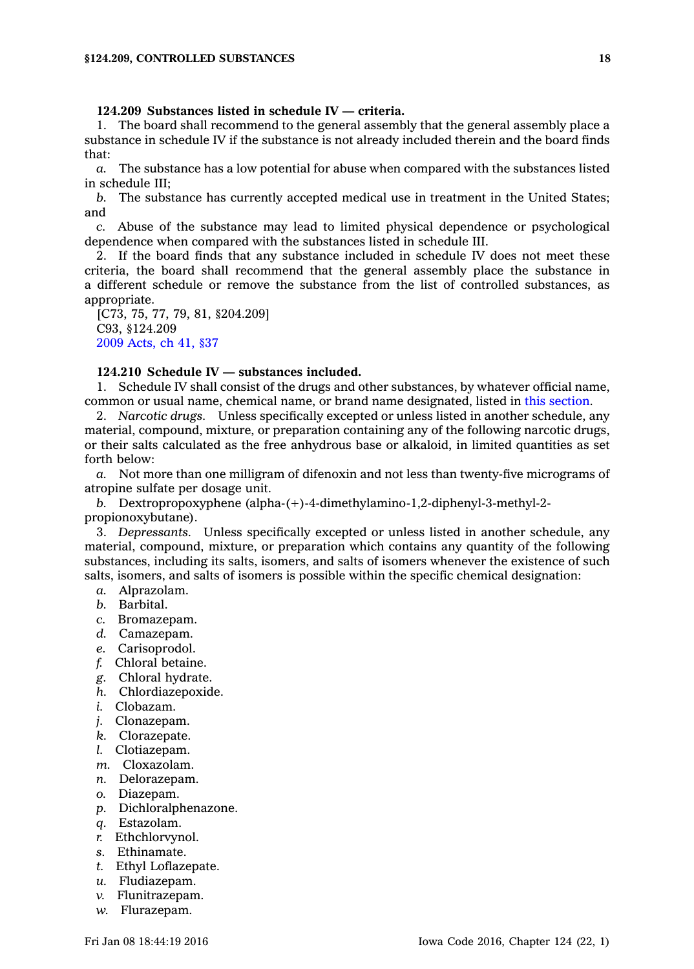## **124.209 Substances listed in schedule IV — criteria.**

1. The board shall recommend to the general assembly that the general assembly place <sup>a</sup> substance in schedule IV if the substance is not already included therein and the board finds that:

*a.* The substance has <sup>a</sup> low potential for abuse when compared with the substances listed in schedule III;

*b.* The substance has currently accepted medical use in treatment in the United States; and

*c.* Abuse of the substance may lead to limited physical dependence or psychological dependence when compared with the substances listed in schedule III.

2. If the board finds that any substance included in schedule IV does not meet these criteria, the board shall recommend that the general assembly place the substance in <sup>a</sup> different schedule or remove the substance from the list of controlled substances, as appropriate.

[C73, 75, 77, 79, 81, §204.209] C93, §124.209 2009 [Acts,](https://www.legis.iowa.gov/docs/acts/2009/CH0041.pdf) ch 41, §37

# **124.210 Schedule IV — substances included.**

1. Schedule IV shall consist of the drugs and other substances, by whatever official name, common or usual name, chemical name, or brand name designated, listed in this [section](https://www.legis.iowa.gov/docs/code//124.210.pdf).

2. *Narcotic drugs.* Unless specifically excepted or unless listed in another schedule, any material, compound, mixture, or preparation containing any of the following narcotic drugs, or their salts calculated as the free anhydrous base or alkaloid, in limited quantities as set forth below:

*a.* Not more than one milligram of difenoxin and not less than twenty-five micrograms of atropine sulfate per dosage unit.

*b.* Dextropropoxyphene (alpha-(+)-4-dimethylamino-1,2-diphenyl-3-methyl-2 propionoxybutane).

3. *Depressants.* Unless specifically excepted or unless listed in another schedule, any material, compound, mixture, or preparation which contains any quantity of the following substances, including its salts, isomers, and salts of isomers whenever the existence of such salts, isomers, and salts of isomers is possible within the specific chemical designation:

- *a.* Alprazolam.
- *b.* Barbital.
- *c.* Bromazepam.
- *d.* Camazepam.
- *e.* Carisoprodol.
- *f.* Chloral betaine.
- *g.* Chloral hydrate.
- *h.* Chlordiazepoxide.
- *i.* Clobazam.
- *j.* Clonazepam.
- *k.* Clorazepate.
- *l.* Clotiazepam.
- *m.* Cloxazolam.
- *n.* Delorazepam.
- *o.* Diazepam.
- *p.* Dichloralphenazone.
- *q.* Estazolam.
- *r.* Ethchlorvynol.
- *s.* Ethinamate.
- *t.* Ethyl Loflazepate.
- *u.* Fludiazepam.
- *v.* Flunitrazepam.
- *w.* Flurazepam.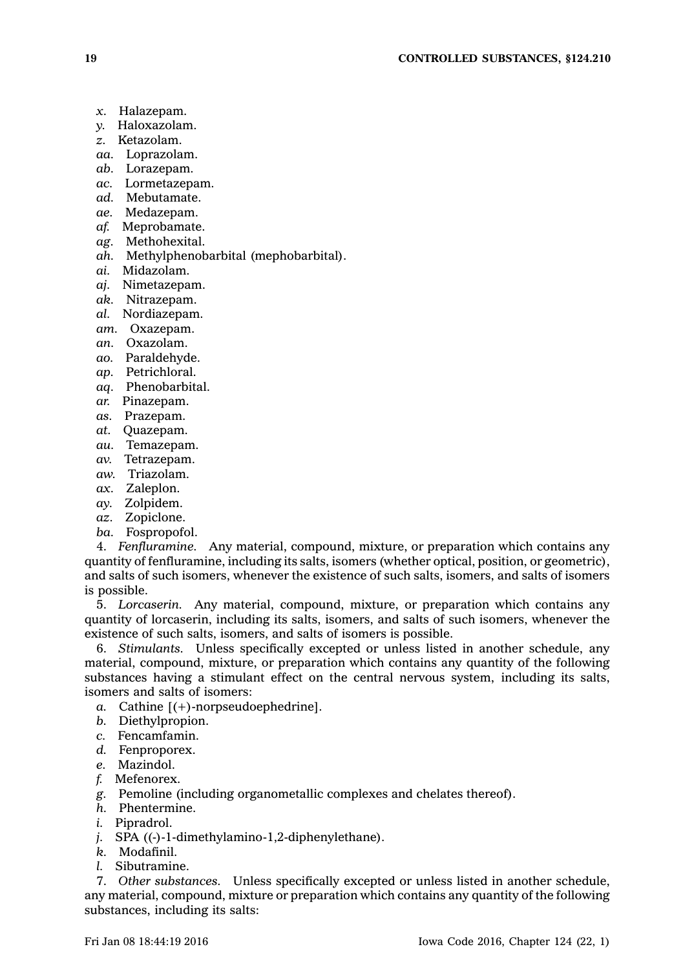- *x.* Halazepam.
- *y.* Haloxazolam.
- *z.* Ketazolam.
- *aa.* Loprazolam.
- *ab.* Lorazepam.
- *ac.* Lormetazepam.
- *ad.* Mebutamate.
- *ae.* Medazepam.
- *af.* Meprobamate.
- *ag.* Methohexital.
- *ah.* Methylphenobarbital (mephobarbital).
- *ai.* Midazolam.
- *aj.* Nimetazepam.
- *ak.* Nitrazepam.
- *al.* Nordiazepam.
- *am.* Oxazepam.
- *an.* Oxazolam.
- *ao.* Paraldehyde.
- *ap.* Petrichloral.
- *aq.* Phenobarbital.
- *ar.* Pinazepam.
- *as.* Prazepam.
- *at.* Quazepam.
- *au.* Temazepam.
- *av.* Tetrazepam.
- *aw.* Triazolam.
- *ax.* Zaleplon.
- *ay.* Zolpidem.
- *az.* Zopiclone.
- *ba.* Fospropofol.

4. *Fenfluramine.* Any material, compound, mixture, or preparation which contains any quantity of fenfluramine, including its salts, isomers (whether optical, position, or geometric), and salts of such isomers, whenever the existence of such salts, isomers, and salts of isomers is possible.

5. *Lorcaserin.* Any material, compound, mixture, or preparation which contains any quantity of lorcaserin, including its salts, isomers, and salts of such isomers, whenever the existence of such salts, isomers, and salts of isomers is possible.

6. *Stimulants.* Unless specifically excepted or unless listed in another schedule, any material, compound, mixture, or preparation which contains any quantity of the following substances having <sup>a</sup> stimulant effect on the central nervous system, including its salts, isomers and salts of isomers:

- *a.* Cathine [(+)-norpseudoephedrine].
- *b.* Diethylpropion.
- *c.* Fencamfamin.
- *d.* Fenproporex.
- *e.* Mazindol.
- *f.* Mefenorex.
- *g.* Pemoline (including organometallic complexes and chelates thereof).
- *h.* Phentermine.
- *i.* Pipradrol.
- *j.* SPA ((-)-1-dimethylamino-1,2-diphenylethane).
- *k.* Modafinil.
- *l.* Sibutramine.

7. *Other substances.* Unless specifically excepted or unless listed in another schedule, any material, compound, mixture or preparation which contains any quantity of the following substances, including its salts: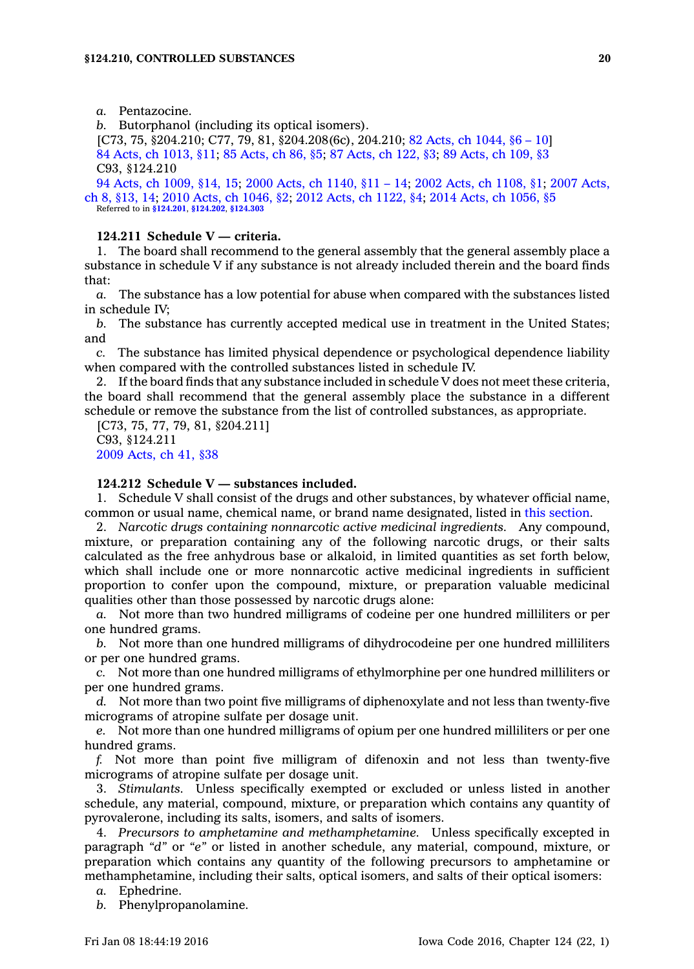*a.* Pentazocine.

*b.* Butorphanol (including its optical isomers).

[C73, 75, §204.210; C77, 79, 81, §204.208(6c), 204.210; 82 Acts, ch [1044,](https://www.legis.iowa.gov/docs/acts/1982/CH1044.pdf) §6 – 10] 84 Acts, ch [1013,](https://www.legis.iowa.gov/docs/acts/84/CH1013.pdf) §11; 85 [Acts,](https://www.legis.iowa.gov/docs/acts/85/CH0086.pdf) ch 86, §5; 87 [Acts,](https://www.legis.iowa.gov/docs/acts/87/CH0122.pdf) ch 122, §3; 89 [Acts,](https://www.legis.iowa.gov/docs/acts/89/CH0109.pdf) ch 109, §3 C93, §124.210

94 Acts, ch [1009,](https://www.legis.iowa.gov/docs/acts/94/CH1009.pdf) §14, 15; 2000 Acts, ch [1140,](https://www.legis.iowa.gov/docs/acts/2000/CH1140.pdf) §11 – 14; 2002 Acts, ch [1108,](https://www.legis.iowa.gov/docs/acts/2002/CH1108.pdf) §1; 2007 [Acts,](https://www.legis.iowa.gov/docs/acts/2007/CH0008.pdf) ch 8, [§13,](https://www.legis.iowa.gov/docs/acts/2007/CH0008.pdf) 14; 2010 Acts, ch [1046,](https://www.legis.iowa.gov/docs/acts/2010/CH1046.pdf) §2; 2012 Acts, ch [1122,](https://www.legis.iowa.gov/docs/acts/2012/CH1122.pdf) §4; 2014 Acts, ch [1056,](https://www.legis.iowa.gov/docs/acts/2014/CH1056.pdf) §5 Referred to in **[§124.201](https://www.legis.iowa.gov/docs/code/124.201.pdf)**, **[§124.202](https://www.legis.iowa.gov/docs/code/124.202.pdf)**, **[§124.303](https://www.legis.iowa.gov/docs/code/124.303.pdf)**

### **124.211 Schedule V — criteria.**

1. The board shall recommend to the general assembly that the general assembly place <sup>a</sup> substance in schedule V if any substance is not already included therein and the board finds that:

*a.* The substance has <sup>a</sup> low potential for abuse when compared with the substances listed in schedule IV;

*b.* The substance has currently accepted medical use in treatment in the United States; and

*c.* The substance has limited physical dependence or psychological dependence liability when compared with the controlled substances listed in schedule IV.

2. If the board finds that any substance included in schedule V does not meet these criteria, the board shall recommend that the general assembly place the substance in <sup>a</sup> different schedule or remove the substance from the list of controlled substances, as appropriate.

[C73, 75, 77, 79, 81, §204.211] C93, §124.211 2009 [Acts,](https://www.legis.iowa.gov/docs/acts/2009/CH0041.pdf) ch 41, §38

#### **124.212 Schedule V — substances included.**

1. Schedule V shall consist of the drugs and other substances, by whatever official name, common or usual name, chemical name, or brand name designated, listed in this [section](https://www.legis.iowa.gov/docs/code//124.212.pdf).

2. *Narcotic drugs containing nonnarcotic active medicinal ingredients.* Any compound, mixture, or preparation containing any of the following narcotic drugs, or their salts calculated as the free anhydrous base or alkaloid, in limited quantities as set forth below, which shall include one or more nonnarcotic active medicinal ingredients in sufficient proportion to confer upon the compound, mixture, or preparation valuable medicinal qualities other than those possessed by narcotic drugs alone:

*a.* Not more than two hundred milligrams of codeine per one hundred milliliters or per one hundred grams.

*b.* Not more than one hundred milligrams of dihydrocodeine per one hundred milliliters or per one hundred grams.

*c.* Not more than one hundred milligrams of ethylmorphine per one hundred milliliters or per one hundred grams.

*d.* Not more than two point five milligrams of diphenoxylate and not less than twenty-five micrograms of atropine sulfate per dosage unit.

*e.* Not more than one hundred milligrams of opium per one hundred milliliters or per one hundred grams.

*f.* Not more than point five milligram of difenoxin and not less than twenty-five micrograms of atropine sulfate per dosage unit.

3. *Stimulants.* Unless specifically exempted or excluded or unless listed in another schedule, any material, compound, mixture, or preparation which contains any quantity of pyrovalerone, including its salts, isomers, and salts of isomers.

4. *Precursors to amphetamine and methamphetamine.* Unless specifically excepted in paragraph *"d"* or *"e"* or listed in another schedule, any material, compound, mixture, or preparation which contains any quantity of the following precursors to amphetamine or methamphetamine, including their salts, optical isomers, and salts of their optical isomers:

*a.* Ephedrine.

*b.* Phenylpropanolamine.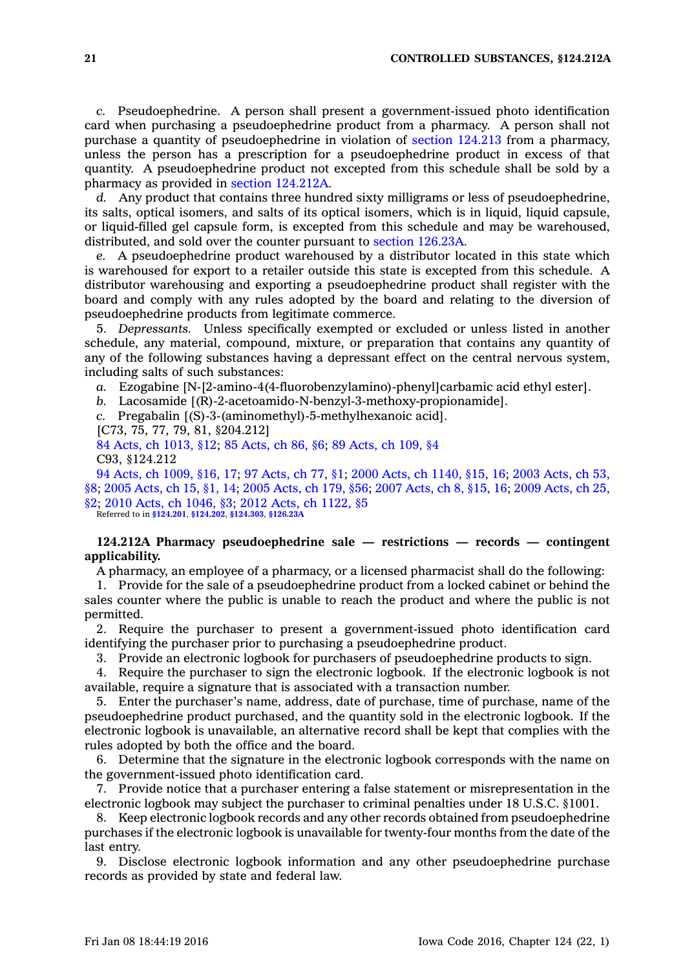*c.* Pseudoephedrine. A person shall present <sup>a</sup> government-issued photo identification card when purchasing <sup>a</sup> pseudoephedrine product from <sup>a</sup> pharmacy. A person shall not purchase <sup>a</sup> quantity of pseudoephedrine in violation of section [124.213](https://www.legis.iowa.gov/docs/code//124.213.pdf) from <sup>a</sup> pharmacy, unless the person has <sup>a</sup> prescription for <sup>a</sup> pseudoephedrine product in excess of that quantity. A pseudoephedrine product not excepted from this schedule shall be sold by <sup>a</sup> pharmacy as provided in section [124.212A](https://www.legis.iowa.gov/docs/code//124.212A.pdf).

*d.* Any product that contains three hundred sixty milligrams or less of pseudoephedrine, its salts, optical isomers, and salts of its optical isomers, which is in liquid, liquid capsule, or liquid-filled gel capsule form, is excepted from this schedule and may be warehoused, distributed, and sold over the counter pursuant to section [126.23A](https://www.legis.iowa.gov/docs/code//126.23A.pdf).

*e.* A pseudoephedrine product warehoused by <sup>a</sup> distributor located in this state which is warehoused for export to <sup>a</sup> retailer outside this state is excepted from this schedule. A distributor warehousing and exporting <sup>a</sup> pseudoephedrine product shall register with the board and comply with any rules adopted by the board and relating to the diversion of pseudoephedrine products from legitimate commerce.

5. *Depressants.* Unless specifically exempted or excluded or unless listed in another schedule, any material, compound, mixture, or preparation that contains any quantity of any of the following substances having <sup>a</sup> depressant effect on the central nervous system, including salts of such substances:

*a.* Ezogabine [N-[2-amino-4(4-fluorobenzylamino)-phenyl]carbamic acid ethyl ester].

*b.* Lacosamide [(R)-2-acetoamido-N-benzyl-3-methoxy-propionamide].

*c.* Pregabalin [(S)-3-(aminomethyl)-5-methylhexanoic acid].

[C73, 75, 77, 79, 81, §204.212]

84 Acts, ch [1013,](https://www.legis.iowa.gov/docs/acts/84/CH1013.pdf) §12; 85 [Acts,](https://www.legis.iowa.gov/docs/acts/85/CH0086.pdf) ch 86, §6; 89 [Acts,](https://www.legis.iowa.gov/docs/acts/89/CH0109.pdf) ch 109, §4 C93, §124.212

94 Acts, ch [1009,](https://www.legis.iowa.gov/docs/acts/94/CH1009.pdf) §16, 17; 97 [Acts,](https://www.legis.iowa.gov/docs/acts/97/CH0077.pdf) ch 77, §1; 2000 Acts, ch [1140,](https://www.legis.iowa.gov/docs/acts/2000/CH1140.pdf) §15, 16; 2003 [Acts,](https://www.legis.iowa.gov/docs/acts/2003/CH0053.pdf) ch 53, [§8](https://www.legis.iowa.gov/docs/acts/2003/CH0053.pdf); 2005 [Acts,](https://www.legis.iowa.gov/docs/acts/2005/CH0015.pdf) ch 15, §1, 14; 2005 [Acts,](https://www.legis.iowa.gov/docs/acts/2005/CH0179.pdf) ch 179, §56; 2007 [Acts,](https://www.legis.iowa.gov/docs/acts/2007/CH0008.pdf) ch 8, §15, 16; 2009 [Acts,](https://www.legis.iowa.gov/docs/acts/2009/CH0025.pdf) ch 25, [§2](https://www.legis.iowa.gov/docs/acts/2009/CH0025.pdf); 2010 Acts, ch [1046,](https://www.legis.iowa.gov/docs/acts/2010/CH1046.pdf) §3; 2012 Acts, ch [1122,](https://www.legis.iowa.gov/docs/acts/2012/CH1122.pdf) §5 Referred to in **[§124.201](https://www.legis.iowa.gov/docs/code/124.201.pdf)**, **[§124.202](https://www.legis.iowa.gov/docs/code/124.202.pdf)**, **[§124.303](https://www.legis.iowa.gov/docs/code/124.303.pdf)**, **[§126.23A](https://www.legis.iowa.gov/docs/code/126.23A.pdf)**

# **124.212A Pharmacy pseudoephedrine sale — restrictions — records — contingent applicability.**

A pharmacy, an employee of <sup>a</sup> pharmacy, or <sup>a</sup> licensed pharmacist shall do the following:

1. Provide for the sale of <sup>a</sup> pseudoephedrine product from <sup>a</sup> locked cabinet or behind the sales counter where the public is unable to reach the product and where the public is not permitted.

2. Require the purchaser to present <sup>a</sup> government-issued photo identification card identifying the purchaser prior to purchasing <sup>a</sup> pseudoephedrine product.

3. Provide an electronic logbook for purchasers of pseudoephedrine products to sign.

4. Require the purchaser to sign the electronic logbook. If the electronic logbook is not available, require <sup>a</sup> signature that is associated with <sup>a</sup> transaction number.

5. Enter the purchaser's name, address, date of purchase, time of purchase, name of the pseudoephedrine product purchased, and the quantity sold in the electronic logbook. If the electronic logbook is unavailable, an alternative record shall be kept that complies with the rules adopted by both the office and the board.

6. Determine that the signature in the electronic logbook corresponds with the name on the government-issued photo identification card.

7. Provide notice that <sup>a</sup> purchaser entering <sup>a</sup> false statement or misrepresentation in the electronic logbook may subject the purchaser to criminal penalties under 18 U.S.C. §1001.

8. Keep electronic logbook records and any other records obtained from pseudoephedrine purchases if the electronic logbook is unavailable for twenty-four months from the date of the last entry.

9. Disclose electronic logbook information and any other pseudoephedrine purchase records as provided by state and federal law.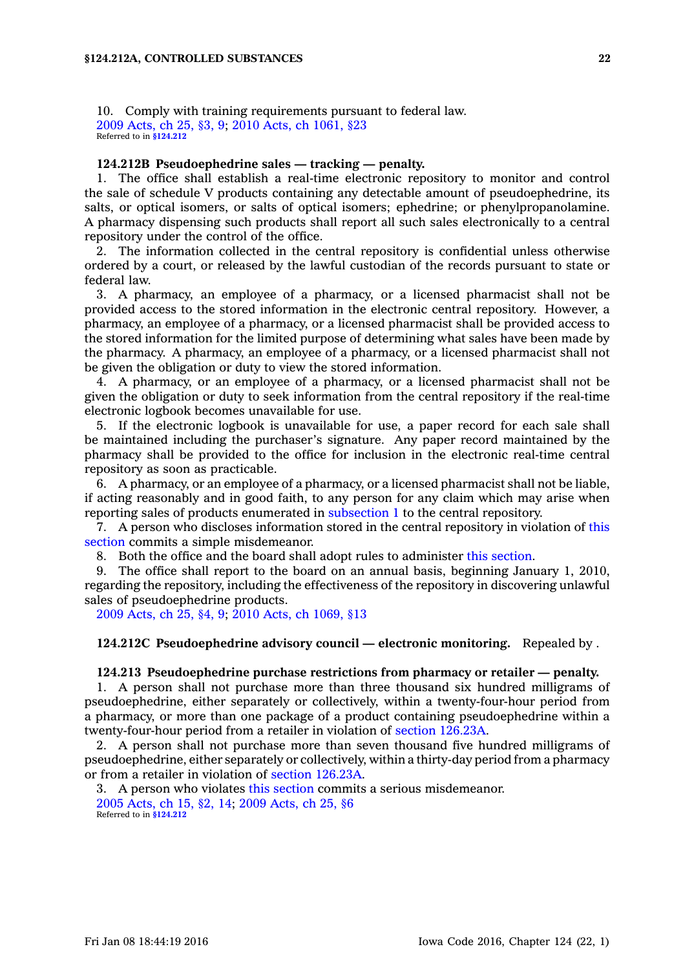10. Comply with training requirements pursuant to federal law. 2009 [Acts,](https://www.legis.iowa.gov/docs/acts/2009/CH0025.pdf) ch 25, §3, 9; 2010 Acts, ch [1061,](https://www.legis.iowa.gov/docs/acts/2010/CH1061.pdf) §23 Referred to in **[§124.212](https://www.legis.iowa.gov/docs/code/124.212.pdf)**

#### **124.212B Pseudoephedrine sales — tracking — penalty.**

1. The office shall establish <sup>a</sup> real-time electronic repository to monitor and control the sale of schedule V products containing any detectable amount of pseudoephedrine, its salts, or optical isomers, or salts of optical isomers; ephedrine; or phenylpropanolamine. A pharmacy dispensing such products shall report all such sales electronically to <sup>a</sup> central repository under the control of the office.

2. The information collected in the central repository is confidential unless otherwise ordered by <sup>a</sup> court, or released by the lawful custodian of the records pursuant to state or federal law.

3. A pharmacy, an employee of <sup>a</sup> pharmacy, or <sup>a</sup> licensed pharmacist shall not be provided access to the stored information in the electronic central repository. However, <sup>a</sup> pharmacy, an employee of <sup>a</sup> pharmacy, or <sup>a</sup> licensed pharmacist shall be provided access to the stored information for the limited purpose of determining what sales have been made by the pharmacy. A pharmacy, an employee of <sup>a</sup> pharmacy, or <sup>a</sup> licensed pharmacist shall not be given the obligation or duty to view the stored information.

4. A pharmacy, or an employee of <sup>a</sup> pharmacy, or <sup>a</sup> licensed pharmacist shall not be given the obligation or duty to seek information from the central repository if the real-time electronic logbook becomes unavailable for use.

5. If the electronic logbook is unavailable for use, <sup>a</sup> paper record for each sale shall be maintained including the purchaser's signature. Any paper record maintained by the pharmacy shall be provided to the office for inclusion in the electronic real-time central repository as soon as practicable.

6. A pharmacy, or an employee of <sup>a</sup> pharmacy, or <sup>a</sup> licensed pharmacist shall not be liable, if acting reasonably and in good faith, to any person for any claim which may arise when reporting sales of products enumerated in [subsection](https://www.legis.iowa.gov/docs/code//124.212B.pdf) 1 to the central repository.

7. A person who discloses information stored in the central repository in violation of [this](https://www.legis.iowa.gov/docs/code//124.212B.pdf) [section](https://www.legis.iowa.gov/docs/code//124.212B.pdf) commits <sup>a</sup> simple misdemeanor.

8. Both the office and the board shall adopt rules to administer this [section](https://www.legis.iowa.gov/docs/code//124.212B.pdf).

9. The office shall report to the board on an annual basis, beginning January 1, 2010, regarding the repository, including the effectiveness of the repository in discovering unlawful sales of pseudoephedrine products.

2009 [Acts,](https://www.legis.iowa.gov/docs/acts/2009/CH0025.pdf) ch 25, §4, 9; 2010 Acts, ch [1069,](https://www.legis.iowa.gov/docs/acts/2010/CH1069.pdf) §13

#### **124.212C Pseudoephedrine advisory council —electronic monitoring.** Repealed by .

## **124.213 Pseudoephedrine purchase restrictions from pharmacy or retailer — penalty.**

1. A person shall not purchase more than three thousand six hundred milligrams of pseudoephedrine, either separately or collectively, within <sup>a</sup> twenty-four-hour period from <sup>a</sup> pharmacy, or more than one package of <sup>a</sup> product containing pseudoephedrine within <sup>a</sup> twenty-four-hour period from <sup>a</sup> retailer in violation of section [126.23A](https://www.legis.iowa.gov/docs/code//126.23A.pdf).

2. A person shall not purchase more than seven thousand five hundred milligrams of pseudoephedrine, either separately or collectively, within <sup>a</sup> thirty-day period from <sup>a</sup> pharmacy or from <sup>a</sup> retailer in violation of section [126.23A](https://www.legis.iowa.gov/docs/code//126.23A.pdf).

3. A person who violates this [section](https://www.legis.iowa.gov/docs/code//124.213.pdf) commits <sup>a</sup> serious misdemeanor. 2005 [Acts,](https://www.legis.iowa.gov/docs/acts/2005/CH0015.pdf) ch 15, §2, 14; 2009 [Acts,](https://www.legis.iowa.gov/docs/acts/2009/CH0025.pdf) ch 25, §6 Referred to in **[§124.212](https://www.legis.iowa.gov/docs/code/124.212.pdf)**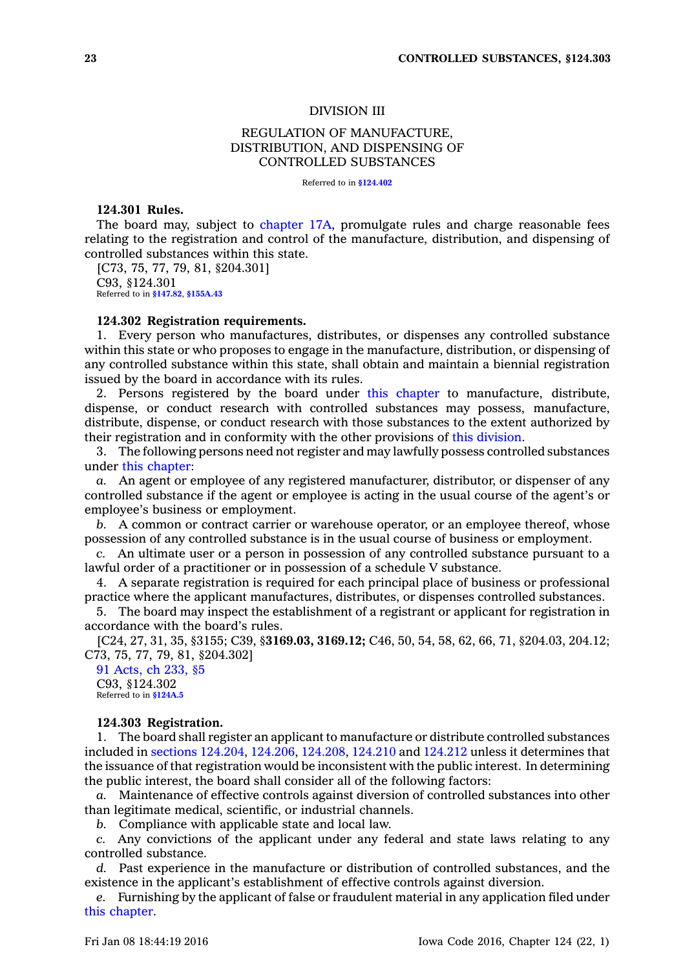## DIVISION III

# REGULATION OF MANUFACTURE, DISTRIBUTION, AND DISPENSING OF CONTROLLED SUBSTANCES

Referred to in **[§124.402](https://www.legis.iowa.gov/docs/code/124.402.pdf)**

## **124.301 Rules.**

The board may, subject to [chapter](https://www.legis.iowa.gov/docs/code//17A.pdf) 17A, promulgate rules and charge reasonable fees relating to the registration and control of the manufacture, distribution, and dispensing of controlled substances within this state.

[C73, 75, 77, 79, 81, §204.301] C93, §124.301 Referred to in **[§147.82](https://www.legis.iowa.gov/docs/code/147.82.pdf)**, **[§155A.43](https://www.legis.iowa.gov/docs/code/155A.43.pdf)**

## **124.302 Registration requirements.**

1. Every person who manufactures, distributes, or dispenses any controlled substance within this state or who proposes to engage in the manufacture, distribution, or dispensing of any controlled substance within this state, shall obtain and maintain <sup>a</sup> biennial registration issued by the board in accordance with its rules.

2. Persons registered by the board under this [chapter](https://www.legis.iowa.gov/docs/code//124.pdf) to manufacture, distribute, dispense, or conduct research with controlled substances may possess, manufacture, distribute, dispense, or conduct research with those substances to the extent authorized by their registration and in conformity with the other provisions of this [division](https://www.legis.iowa.gov/docs/code//124.pdf).

3. The following persons need not register and may lawfully possess controlled substances under this [chapter](https://www.legis.iowa.gov/docs/code//124.pdf):

*a.* An agent or employee of any registered manufacturer, distributor, or dispenser of any controlled substance if the agent or employee is acting in the usual course of the agent's or employee's business or employment.

*b.* A common or contract carrier or warehouse operator, or an employee thereof, whose possession of any controlled substance is in the usual course of business or employment.

*c.* An ultimate user or <sup>a</sup> person in possession of any controlled substance pursuant to <sup>a</sup> lawful order of <sup>a</sup> practitioner or in possession of <sup>a</sup> schedule V substance.

4. A separate registration is required for each principal place of business or professional practice where the applicant manufactures, distributes, or dispenses controlled substances.

5. The board may inspect the establishment of <sup>a</sup> registrant or applicant for registration in accordance with the board's rules.

[C24, 27, 31, 35, §3155; C39, §**3169.03, 3169.12;** C46, 50, 54, 58, 62, 66, 71, §204.03, 204.12; C73, 75, 77, 79, 81, §204.302]

91 [Acts,](https://www.legis.iowa.gov/docs/acts/1991/CH0233.pdf) ch 233, §5 C93, §124.302 Referred to in **[§124A.5](https://www.legis.iowa.gov/docs/code/124A.5.pdf)**

#### **124.303 Registration.**

1. The board shall register an applicant to manufacture or distribute controlled substances included in sections [124.204](https://www.legis.iowa.gov/docs/code//124.204.pdf), [124.206](https://www.legis.iowa.gov/docs/code//124.206.pdf), [124.208](https://www.legis.iowa.gov/docs/code//124.208.pdf), [124.210](https://www.legis.iowa.gov/docs/code//124.210.pdf) and [124.212](https://www.legis.iowa.gov/docs/code//124.212.pdf) unless it determines that the issuance of that registration would be inconsistent with the public interest. In determining the public interest, the board shall consider all of the following factors:

*a.* Maintenance of effective controls against diversion of controlled substances into other than legitimate medical, scientific, or industrial channels.

*b.* Compliance with applicable state and local law.

*c.* Any convictions of the applicant under any federal and state laws relating to any controlled substance.

*d.* Past experience in the manufacture or distribution of controlled substances, and the existence in the applicant's establishment of effective controls against diversion.

*e.* Furnishing by the applicant of false or fraudulent material in any application filed under this [chapter](https://www.legis.iowa.gov/docs/code//124.pdf).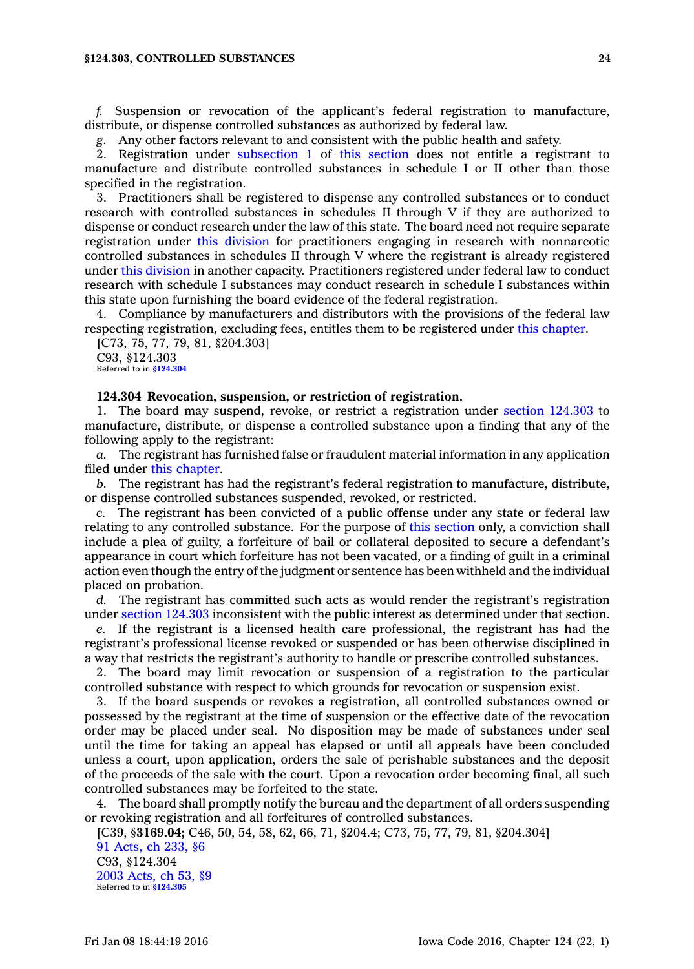#### **§124.303, CONTROLLED SUBSTANCES 24**

*f.* Suspension or revocation of the applicant's federal registration to manufacture, distribute, or dispense controlled substances as authorized by federal law.

*g.* Any other factors relevant to and consistent with the public health and safety.

2. Registration under [subsection](https://www.legis.iowa.gov/docs/code//124.303.pdf) 1 of this [section](https://www.legis.iowa.gov/docs/code//124.303.pdf) does not entitle <sup>a</sup> registrant to manufacture and distribute controlled substances in schedule I or II other than those specified in the registration.

3. Practitioners shall be registered to dispense any controlled substances or to conduct research with controlled substances in schedules II through V if they are authorized to dispense or conduct research under the law of this state. The board need not require separate registration under this [division](https://www.legis.iowa.gov/docs/code//124.pdf) for practitioners engaging in research with nonnarcotic controlled substances in schedules II through V where the registrant is already registered under this [division](https://www.legis.iowa.gov/docs/code//124.pdf) in another capacity. Practitioners registered under federal law to conduct research with schedule I substances may conduct research in schedule I substances within this state upon furnishing the board evidence of the federal registration.

4. Compliance by manufacturers and distributors with the provisions of the federal law respecting registration, excluding fees, entitles them to be registered under this [chapter](https://www.legis.iowa.gov/docs/code//124.pdf).

[C73, 75, 77, 79, 81, §204.303] C93, §124.303 Referred to in **[§124.304](https://www.legis.iowa.gov/docs/code/124.304.pdf)**

#### **124.304 Revocation, suspension, or restriction of registration.**

1. The board may suspend, revoke, or restrict <sup>a</sup> registration under section [124.303](https://www.legis.iowa.gov/docs/code//124.303.pdf) to manufacture, distribute, or dispense <sup>a</sup> controlled substance upon <sup>a</sup> finding that any of the following apply to the registrant:

*a.* The registrant has furnished false or fraudulent material information in any application filed under this [chapter](https://www.legis.iowa.gov/docs/code//124.pdf).

*b.* The registrant has had the registrant's federal registration to manufacture, distribute, or dispense controlled substances suspended, revoked, or restricted.

*c.* The registrant has been convicted of <sup>a</sup> public offense under any state or federal law relating to any controlled substance. For the purpose of this [section](https://www.legis.iowa.gov/docs/code//124.304.pdf) only, <sup>a</sup> conviction shall include <sup>a</sup> plea of guilty, <sup>a</sup> forfeiture of bail or collateral deposited to secure <sup>a</sup> defendant's appearance in court which forfeiture has not been vacated, or <sup>a</sup> finding of guilt in <sup>a</sup> criminal action even though the entry of the judgment or sentence has been withheld and the individual placed on probation.

*d.* The registrant has committed such acts as would render the registrant's registration under section [124.303](https://www.legis.iowa.gov/docs/code//124.303.pdf) inconsistent with the public interest as determined under that section.

*e.* If the registrant is <sup>a</sup> licensed health care professional, the registrant has had the registrant's professional license revoked or suspended or has been otherwise disciplined in <sup>a</sup> way that restricts the registrant's authority to handle or prescribe controlled substances.

2. The board may limit revocation or suspension of <sup>a</sup> registration to the particular controlled substance with respect to which grounds for revocation or suspension exist.

3. If the board suspends or revokes <sup>a</sup> registration, all controlled substances owned or possessed by the registrant at the time of suspension or the effective date of the revocation order may be placed under seal. No disposition may be made of substances under seal until the time for taking an appeal has elapsed or until all appeals have been concluded unless <sup>a</sup> court, upon application, orders the sale of perishable substances and the deposit of the proceeds of the sale with the court. Upon <sup>a</sup> revocation order becoming final, all such controlled substances may be forfeited to the state.

4. The board shall promptly notify the bureau and the department of all orders suspending or revoking registration and all forfeitures of controlled substances.

[C39, §**3169.04;** C46, 50, 54, 58, 62, 66, 71, §204.4; C73, 75, 77, 79, 81, §204.304]

91 [Acts,](https://www.legis.iowa.gov/docs/acts/1991/CH0233.pdf) ch 233, §6 C93, §124.304 2003 [Acts,](https://www.legis.iowa.gov/docs/acts/2003/CH0053.pdf) ch 53, §9 Referred to in **[§124.305](https://www.legis.iowa.gov/docs/code/124.305.pdf)**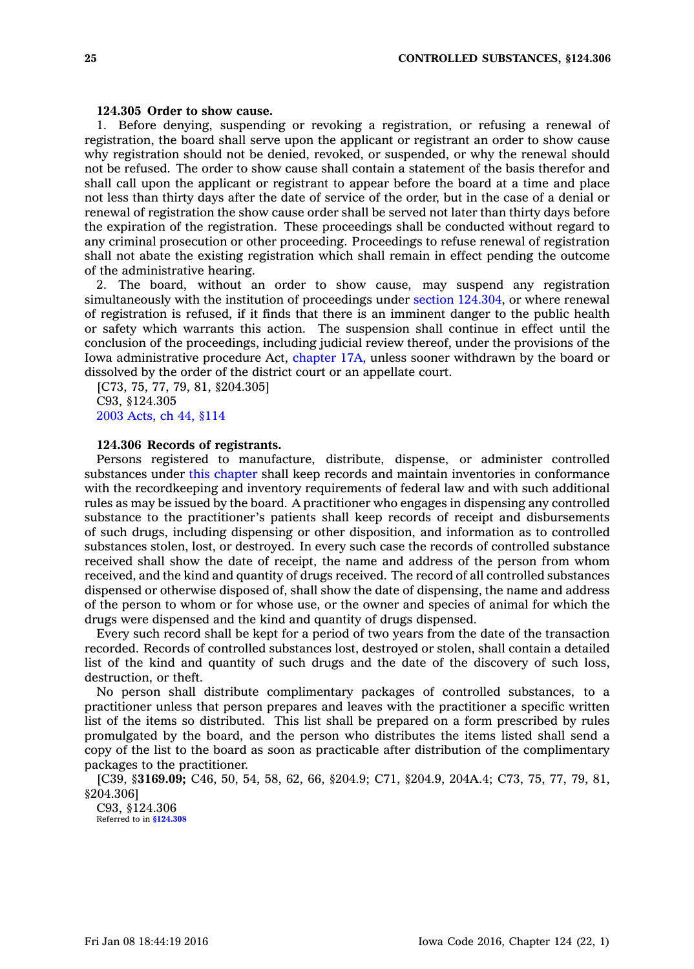## **124.305 Order to show cause.**

1. Before denying, suspending or revoking <sup>a</sup> registration, or refusing <sup>a</sup> renewal of registration, the board shall serve upon the applicant or registrant an order to show cause why registration should not be denied, revoked, or suspended, or why the renewal should not be refused. The order to show cause shall contain <sup>a</sup> statement of the basis therefor and shall call upon the applicant or registrant to appear before the board at <sup>a</sup> time and place not less than thirty days after the date of service of the order, but in the case of <sup>a</sup> denial or renewal of registration the show cause order shall be served not later than thirty days before the expiration of the registration. These proceedings shall be conducted without regard to any criminal prosecution or other proceeding. Proceedings to refuse renewal of registration shall not abate the existing registration which shall remain in effect pending the outcome of the administrative hearing.

2. The board, without an order to show cause, may suspend any registration simultaneously with the institution of proceedings under section [124.304](https://www.legis.iowa.gov/docs/code//124.304.pdf), or where renewal of registration is refused, if it finds that there is an imminent danger to the public health or safety which warrants this action. The suspension shall continue in effect until the conclusion of the proceedings, including judicial review thereof, under the provisions of the Iowa administrative procedure Act, [chapter](https://www.legis.iowa.gov/docs/code//17A.pdf) 17A, unless sooner withdrawn by the board or dissolved by the order of the district court or an appellate court.

[C73, 75, 77, 79, 81, §204.305] C93, §124.305 2003 [Acts,](https://www.legis.iowa.gov/docs/acts/2003/CH0044.pdf) ch 44, §114

## **124.306 Records of registrants.**

Persons registered to manufacture, distribute, dispense, or administer controlled substances under this [chapter](https://www.legis.iowa.gov/docs/code//124.pdf) shall keep records and maintain inventories in conformance with the recordkeeping and inventory requirements of federal law and with such additional rules as may be issued by the board. A practitioner who engages in dispensing any controlled substance to the practitioner's patients shall keep records of receipt and disbursements of such drugs, including dispensing or other disposition, and information as to controlled substances stolen, lost, or destroyed. In every such case the records of controlled substance received shall show the date of receipt, the name and address of the person from whom received, and the kind and quantity of drugs received. The record of all controlled substances dispensed or otherwise disposed of, shall show the date of dispensing, the name and address of the person to whom or for whose use, or the owner and species of animal for which the drugs were dispensed and the kind and quantity of drugs dispensed.

Every such record shall be kept for <sup>a</sup> period of two years from the date of the transaction recorded. Records of controlled substances lost, destroyed or stolen, shall contain <sup>a</sup> detailed list of the kind and quantity of such drugs and the date of the discovery of such loss, destruction, or theft.

No person shall distribute complimentary packages of controlled substances, to <sup>a</sup> practitioner unless that person prepares and leaves with the practitioner <sup>a</sup> specific written list of the items so distributed. This list shall be prepared on <sup>a</sup> form prescribed by rules promulgated by the board, and the person who distributes the items listed shall send <sup>a</sup> copy of the list to the board as soon as practicable after distribution of the complimentary packages to the practitioner.

[C39, §**3169.09;** C46, 50, 54, 58, 62, 66, §204.9; C71, §204.9, 204A.4; C73, 75, 77, 79, 81, §204.306]

C93, §124.306 Referred to in **[§124.308](https://www.legis.iowa.gov/docs/code/124.308.pdf)**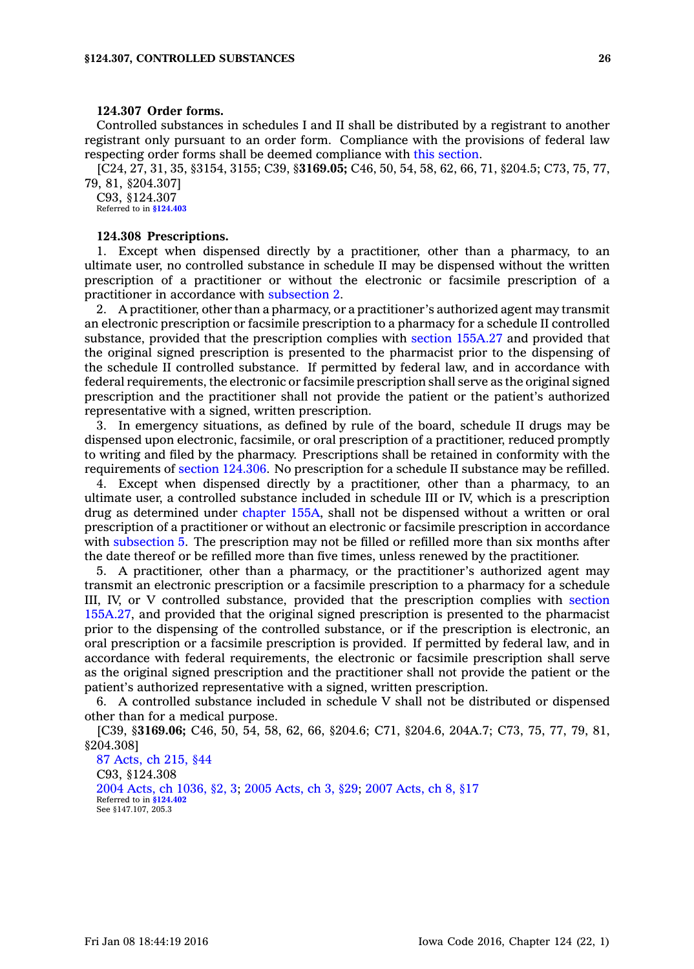## **124.307 Order forms.**

Controlled substances in schedules I and II shall be distributed by <sup>a</sup> registrant to another registrant only pursuant to an order form. Compliance with the provisions of federal law respecting order forms shall be deemed compliance with this [section](https://www.legis.iowa.gov/docs/code//124.307.pdf).

[C24, 27, 31, 35, §3154, 3155; C39, §**3169.05;** C46, 50, 54, 58, 62, 66, 71, §204.5; C73, 75, 77, 79, 81, §204.307]

C93, §124.307 Referred to in **[§124.403](https://www.legis.iowa.gov/docs/code/124.403.pdf)**

#### **124.308 Prescriptions.**

1. Except when dispensed directly by <sup>a</sup> practitioner, other than <sup>a</sup> pharmacy, to an ultimate user, no controlled substance in schedule II may be dispensed without the written prescription of <sup>a</sup> practitioner or without the electronic or facsimile prescription of <sup>a</sup> practitioner in accordance with [subsection](https://www.legis.iowa.gov/docs/code//124.308.pdf) 2.

2. A practitioner, other than <sup>a</sup> pharmacy, or <sup>a</sup> practitioner's authorized agent may transmit an electronic prescription or facsimile prescription to <sup>a</sup> pharmacy for <sup>a</sup> schedule II controlled substance, provided that the prescription complies with section [155A.27](https://www.legis.iowa.gov/docs/code//155A.27.pdf) and provided that the original signed prescription is presented to the pharmacist prior to the dispensing of the schedule II controlled substance. If permitted by federal law, and in accordance with federal requirements, the electronic or facsimile prescription shall serve as the original signed prescription and the practitioner shall not provide the patient or the patient's authorized representative with <sup>a</sup> signed, written prescription.

3. In emergency situations, as defined by rule of the board, schedule II drugs may be dispensed upon electronic, facsimile, or oral prescription of <sup>a</sup> practitioner, reduced promptly to writing and filed by the pharmacy. Prescriptions shall be retained in conformity with the requirements of section [124.306](https://www.legis.iowa.gov/docs/code//124.306.pdf). No prescription for <sup>a</sup> schedule II substance may be refilled.

4. Except when dispensed directly by <sup>a</sup> practitioner, other than <sup>a</sup> pharmacy, to an ultimate user, <sup>a</sup> controlled substance included in schedule III or IV, which is <sup>a</sup> prescription drug as determined under [chapter](https://www.legis.iowa.gov/docs/code//155A.pdf) 155A, shall not be dispensed without <sup>a</sup> written or oral prescription of <sup>a</sup> practitioner or without an electronic or facsimile prescription in accordance with [subsection](https://www.legis.iowa.gov/docs/code//124.308.pdf) 5. The prescription may not be filled or refilled more than six months after the date thereof or be refilled more than five times, unless renewed by the practitioner.

5. A practitioner, other than <sup>a</sup> pharmacy, or the practitioner's authorized agent may transmit an electronic prescription or <sup>a</sup> facsimile prescription to <sup>a</sup> pharmacy for <sup>a</sup> schedule III, IV, or V controlled substance, provided that the prescription complies with [section](https://www.legis.iowa.gov/docs/code//155A.27.pdf) [155A.27](https://www.legis.iowa.gov/docs/code//155A.27.pdf), and provided that the original signed prescription is presented to the pharmacist prior to the dispensing of the controlled substance, or if the prescription is electronic, an oral prescription or <sup>a</sup> facsimile prescription is provided. If permitted by federal law, and in accordance with federal requirements, the electronic or facsimile prescription shall serve as the original signed prescription and the practitioner shall not provide the patient or the patient's authorized representative with <sup>a</sup> signed, written prescription.

6. A controlled substance included in schedule V shall not be distributed or dispensed other than for <sup>a</sup> medical purpose.

[C39, §**3169.06;** C46, 50, 54, 58, 62, 66, §204.6; C71, §204.6, 204A.7; C73, 75, 77, 79, 81, §204.308]

87 [Acts,](https://www.legis.iowa.gov/docs/acts/1987/CH0215.pdf) ch 215, §44 C93, §124.308 2004 Acts, ch [1036,](https://www.legis.iowa.gov/docs/acts/2004/CH1036.pdf) §2, 3; 2005 [Acts,](https://www.legis.iowa.gov/docs/acts/2005/CH0003.pdf) ch 3, §29; 2007 [Acts,](https://www.legis.iowa.gov/docs/acts/2007/CH0008.pdf) ch 8, §17 Referred to in **[§124.402](https://www.legis.iowa.gov/docs/code/124.402.pdf)** See §147.107, 205.3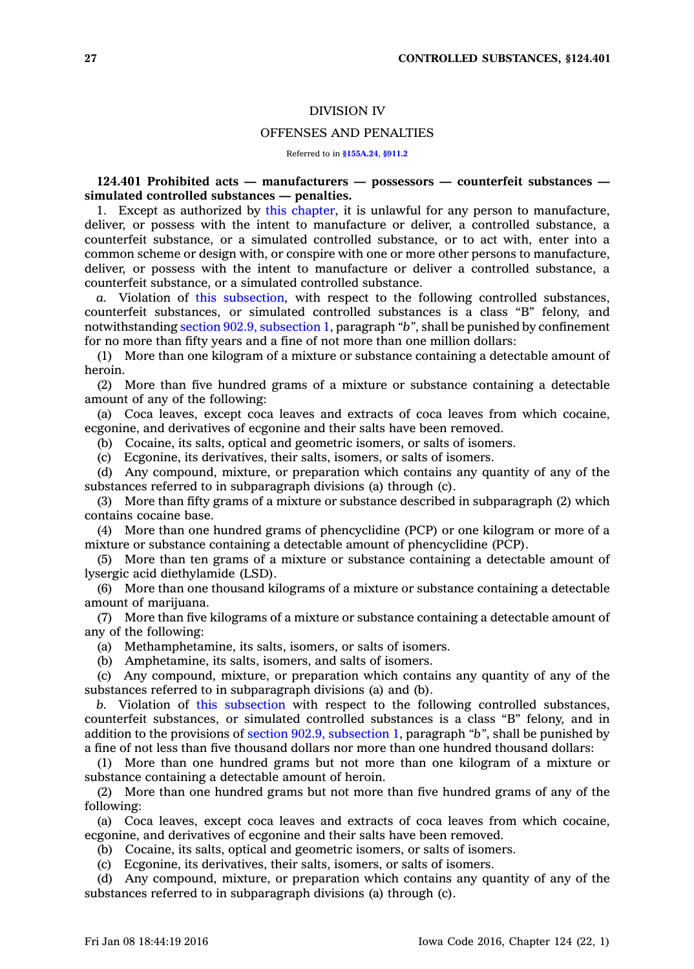## DIVISION IV

#### OFFENSES AND PENALTIES

Referred to in **[§155A.24](https://www.legis.iowa.gov/docs/code/155A.24.pdf)**, **[§911.2](https://www.legis.iowa.gov/docs/code/911.2.pdf)**

## **124.401 Prohibited acts — manufacturers — possessors — counterfeit substances simulated controlled substances — penalties.**

1. Except as authorized by this [chapter](https://www.legis.iowa.gov/docs/code//124.pdf), it is unlawful for any person to manufacture, deliver, or possess with the intent to manufacture or deliver, <sup>a</sup> controlled substance, <sup>a</sup> counterfeit substance, or <sup>a</sup> simulated controlled substance, or to act with, enter into <sup>a</sup> common scheme or design with, or conspire with one or more other persons to manufacture, deliver, or possess with the intent to manufacture or deliver <sup>a</sup> controlled substance, <sup>a</sup> counterfeit substance, or <sup>a</sup> simulated controlled substance.

*a.* Violation of this [subsection](https://www.legis.iowa.gov/docs/code//124.401.pdf), with respect to the following controlled substances, counterfeit substances, or simulated controlled substances is <sup>a</sup> class "B" felony, and notwithstanding section 902.9, [subsection](https://www.legis.iowa.gov/docs/code//902.9.pdf) 1, paragraph *"b"*, shall be punished by confinement for no more than fifty years and <sup>a</sup> fine of not more than one million dollars:

(1) More than one kilogram of <sup>a</sup> mixture or substance containing <sup>a</sup> detectable amount of heroin.

(2) More than five hundred grams of <sup>a</sup> mixture or substance containing <sup>a</sup> detectable amount of any of the following:

(a) Coca leaves, except coca leaves and extracts of coca leaves from which cocaine, ecgonine, and derivatives of ecgonine and their salts have been removed.

(b) Cocaine, its salts, optical and geometric isomers, or salts of isomers.

(c) Ecgonine, its derivatives, their salts, isomers, or salts of isomers.

(d) Any compound, mixture, or preparation which contains any quantity of any of the substances referred to in subparagraph divisions (a) through (c).

(3) More than fifty grams of <sup>a</sup> mixture or substance described in subparagraph (2) which contains cocaine base.

(4) More than one hundred grams of phencyclidine (PCP) or one kilogram or more of <sup>a</sup> mixture or substance containing <sup>a</sup> detectable amount of phencyclidine (PCP).

(5) More than ten grams of <sup>a</sup> mixture or substance containing <sup>a</sup> detectable amount of lysergic acid diethylamide (LSD).

(6) More than one thousand kilograms of <sup>a</sup> mixture or substance containing <sup>a</sup> detectable amount of marijuana.

(7) More than five kilograms of <sup>a</sup> mixture or substance containing <sup>a</sup> detectable amount of any of the following:

(a) Methamphetamine, its salts, isomers, or salts of isomers.

(b) Amphetamine, its salts, isomers, and salts of isomers.

(c) Any compound, mixture, or preparation which contains any quantity of any of the substances referred to in subparagraph divisions (a) and (b).

*b.* Violation of this [subsection](https://www.legis.iowa.gov/docs/code//124.401.pdf) with respect to the following controlled substances, counterfeit substances, or simulated controlled substances is <sup>a</sup> class "B" felony, and in addition to the provisions of section 902.9, [subsection](https://www.legis.iowa.gov/docs/code//902.9.pdf) 1, paragraph *"b"*, shall be punished by <sup>a</sup> fine of not less than five thousand dollars nor more than one hundred thousand dollars:

(1) More than one hundred grams but not more than one kilogram of <sup>a</sup> mixture or substance containing <sup>a</sup> detectable amount of heroin.

(2) More than one hundred grams but not more than five hundred grams of any of the following:

(a) Coca leaves, except coca leaves and extracts of coca leaves from which cocaine, ecgonine, and derivatives of ecgonine and their salts have been removed.

(b) Cocaine, its salts, optical and geometric isomers, or salts of isomers.

(c) Ecgonine, its derivatives, their salts, isomers, or salts of isomers.

(d) Any compound, mixture, or preparation which contains any quantity of any of the substances referred to in subparagraph divisions (a) through (c).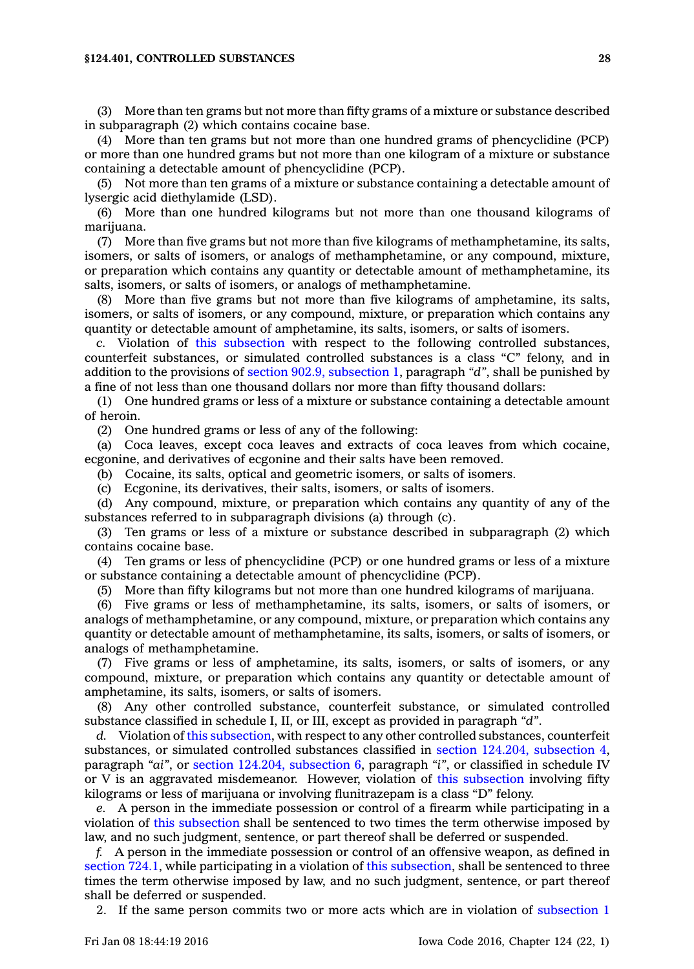#### **§124.401, CONTROLLED SUBSTANCES 28**

(3) More than ten grams but not more than fifty grams of <sup>a</sup> mixture or substance described in subparagraph (2) which contains cocaine base.

(4) More than ten grams but not more than one hundred grams of phencyclidine (PCP) or more than one hundred grams but not more than one kilogram of <sup>a</sup> mixture or substance containing <sup>a</sup> detectable amount of phencyclidine (PCP).

(5) Not more than ten grams of <sup>a</sup> mixture or substance containing <sup>a</sup> detectable amount of lysergic acid diethylamide (LSD).

(6) More than one hundred kilograms but not more than one thousand kilograms of marijuana.

(7) More than five grams but not more than five kilograms of methamphetamine, its salts, isomers, or salts of isomers, or analogs of methamphetamine, or any compound, mixture, or preparation which contains any quantity or detectable amount of methamphetamine, its salts, isomers, or salts of isomers, or analogs of methamphetamine.

(8) More than five grams but not more than five kilograms of amphetamine, its salts, isomers, or salts of isomers, or any compound, mixture, or preparation which contains any quantity or detectable amount of amphetamine, its salts, isomers, or salts of isomers.

*c.* Violation of this [subsection](https://www.legis.iowa.gov/docs/code//124.401.pdf) with respect to the following controlled substances, counterfeit substances, or simulated controlled substances is <sup>a</sup> class "C" felony, and in addition to the provisions of section 902.9, [subsection](https://www.legis.iowa.gov/docs/code//902.9.pdf) 1, paragraph *"d"*, shall be punished by <sup>a</sup> fine of not less than one thousand dollars nor more than fifty thousand dollars:

(1) One hundred grams or less of <sup>a</sup> mixture or substance containing <sup>a</sup> detectable amount of heroin.

(2) One hundred grams or less of any of the following:

(a) Coca leaves, except coca leaves and extracts of coca leaves from which cocaine, ecgonine, and derivatives of ecgonine and their salts have been removed.

(b) Cocaine, its salts, optical and geometric isomers, or salts of isomers.

(c) Ecgonine, its derivatives, their salts, isomers, or salts of isomers.

(d) Any compound, mixture, or preparation which contains any quantity of any of the substances referred to in subparagraph divisions (a) through (c).

(3) Ten grams or less of <sup>a</sup> mixture or substance described in subparagraph (2) which contains cocaine base.

(4) Ten grams or less of phencyclidine (PCP) or one hundred grams or less of <sup>a</sup> mixture or substance containing <sup>a</sup> detectable amount of phencyclidine (PCP).

(5) More than fifty kilograms but not more than one hundred kilograms of marijuana.

(6) Five grams or less of methamphetamine, its salts, isomers, or salts of isomers, or analogs of methamphetamine, or any compound, mixture, or preparation which contains any quantity or detectable amount of methamphetamine, its salts, isomers, or salts of isomers, or analogs of methamphetamine.

(7) Five grams or less of amphetamine, its salts, isomers, or salts of isomers, or any compound, mixture, or preparation which contains any quantity or detectable amount of amphetamine, its salts, isomers, or salts of isomers.

(8) Any other controlled substance, counterfeit substance, or simulated controlled substance classified in schedule I, II, or III, except as provided in paragraph *"d"*.

*d.* Violation of this [subsection](https://www.legis.iowa.gov/docs/code//124.401.pdf), with respect to any other controlled substances, counterfeit substances, or simulated controlled substances classified in section 124.204, [subsection](https://www.legis.iowa.gov/docs/code//124.204.pdf) 4, paragraph *"ai"*, or section 124.204, [subsection](https://www.legis.iowa.gov/docs/code//124.204.pdf) 6, paragraph *"i"*, or classified in schedule IV or V is an aggravated misdemeanor. However, violation of this [subsection](https://www.legis.iowa.gov/docs/code//124.401.pdf) involving fifty kilograms or less of marijuana or involving flunitrazepam is <sup>a</sup> class "D" felony.

*e.* A person in the immediate possession or control of <sup>a</sup> firearm while participating in <sup>a</sup> violation of this [subsection](https://www.legis.iowa.gov/docs/code//124.401.pdf) shall be sentenced to two times the term otherwise imposed by law, and no such judgment, sentence, or part thereof shall be deferred or suspended.

*f.* A person in the immediate possession or control of an offensive weapon, as defined in [section](https://www.legis.iowa.gov/docs/code//724.1.pdf) 724.1, while participating in <sup>a</sup> violation of this [subsection](https://www.legis.iowa.gov/docs/code//124.401.pdf), shall be sentenced to three times the term otherwise imposed by law, and no such judgment, sentence, or part thereof shall be deferred or suspended.

2. If the same person commits two or more acts which are in violation of [subsection](https://www.legis.iowa.gov/docs/code//124.401.pdf) 1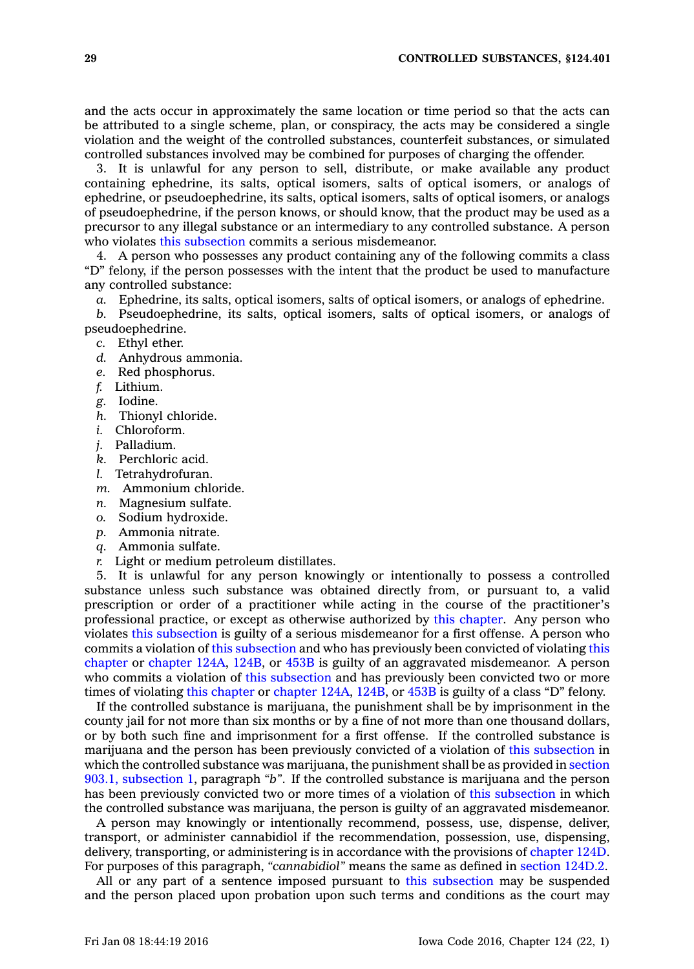and the acts occur in approximately the same location or time period so that the acts can be attributed to <sup>a</sup> single scheme, plan, or conspiracy, the acts may be considered <sup>a</sup> single violation and the weight of the controlled substances, counterfeit substances, or simulated controlled substances involved may be combined for purposes of charging the offender.

3. It is unlawful for any person to sell, distribute, or make available any product containing ephedrine, its salts, optical isomers, salts of optical isomers, or analogs of ephedrine, or pseudoephedrine, its salts, optical isomers, salts of optical isomers, or analogs of pseudoephedrine, if the person knows, or should know, that the product may be used as <sup>a</sup> precursor to any illegal substance or an intermediary to any controlled substance. A person who violates this [subsection](https://www.legis.iowa.gov/docs/code//124.401.pdf) commits <sup>a</sup> serious misdemeanor.

4. A person who possesses any product containing any of the following commits <sup>a</sup> class "D" felony, if the person possesses with the intent that the product be used to manufacture any controlled substance:

*a.* Ephedrine, its salts, optical isomers, salts of optical isomers, or analogs of ephedrine.

*b.* Pseudoephedrine, its salts, optical isomers, salts of optical isomers, or analogs of pseudoephedrine.

- *c.* Ethyl ether.
- *d.* Anhydrous ammonia.
- *e.* Red phosphorus.
- *f.* Lithium.
- *g.* Iodine.
- *h.* Thionyl chloride.
- *i.* Chloroform.
- *j.* Palladium.
- *k.* Perchloric acid.
- *l.* Tetrahydrofuran.
- *m.* Ammonium chloride.
- *n.* Magnesium sulfate.
- *o.* Sodium hydroxide.
- *p.* Ammonia nitrate.
- *q.* Ammonia sulfate.
- *r.* Light or medium petroleum distillates.

5. It is unlawful for any person knowingly or intentionally to possess <sup>a</sup> controlled substance unless such substance was obtained directly from, or pursuant to, <sup>a</sup> valid prescription or order of <sup>a</sup> practitioner while acting in the course of the practitioner's professional practice, or except as otherwise authorized by this [chapter](https://www.legis.iowa.gov/docs/code//124.pdf). Any person who violates this [subsection](https://www.legis.iowa.gov/docs/code//124.401.pdf) is guilty of <sup>a</sup> serious misdemeanor for <sup>a</sup> first offense. A person who commits <sup>a</sup> violation of this [subsection](https://www.legis.iowa.gov/docs/code//124.401.pdf) and who has previously been convicted of violating [this](https://www.legis.iowa.gov/docs/code//124.pdf) [chapter](https://www.legis.iowa.gov/docs/code//124.pdf) or [chapter](https://www.legis.iowa.gov/docs/code//124A.pdf) 124A, [124B](https://www.legis.iowa.gov/docs/code//124B.pdf), or [453B](https://www.legis.iowa.gov/docs/code//453B.pdf) is guilty of an aggravated misdemeanor. A person who commits a violation of this [subsection](https://www.legis.iowa.gov/docs/code//124.401.pdf) and has previously been convicted two or more times of violating this [chapter](https://www.legis.iowa.gov/docs/code//124.pdf) or [chapter](https://www.legis.iowa.gov/docs/code//124A.pdf) 124A, [124B](https://www.legis.iowa.gov/docs/code//124B.pdf), or [453B](https://www.legis.iowa.gov/docs/code//453B.pdf) is guilty of <sup>a</sup> class "D" felony.

If the controlled substance is marijuana, the punishment shall be by imprisonment in the county jail for not more than six months or by <sup>a</sup> fine of not more than one thousand dollars, or by both such fine and imprisonment for <sup>a</sup> first offense. If the controlled substance is marijuana and the person has been previously convicted of <sup>a</sup> violation of this [subsection](https://www.legis.iowa.gov/docs/code//124.401.pdf) in which the controlled substance was marijuana, the punishment shall be as provided in [section](https://www.legis.iowa.gov/docs/code//903.1.pdf) 903.1, [subsection](https://www.legis.iowa.gov/docs/code//903.1.pdf) 1, paragraph *"b"*. If the controlled substance is marijuana and the person has been previously convicted two or more times of <sup>a</sup> violation of this [subsection](https://www.legis.iowa.gov/docs/code//124.401.pdf) in which the controlled substance was marijuana, the person is guilty of an aggravated misdemeanor.

A person may knowingly or intentionally recommend, possess, use, dispense, deliver, transport, or administer cannabidiol if the recommendation, possession, use, dispensing, delivery, transporting, or administering is in accordance with the provisions of [chapter](https://www.legis.iowa.gov/docs/code//124D.pdf) 124D. For purposes of this paragraph, *"cannabidiol"* means the same as defined in [section](https://www.legis.iowa.gov/docs/code//124D.2.pdf) 124D.2.

All or any part of <sup>a</sup> sentence imposed pursuant to this [subsection](https://www.legis.iowa.gov/docs/code//124.401.pdf) may be suspended and the person placed upon probation upon such terms and conditions as the court may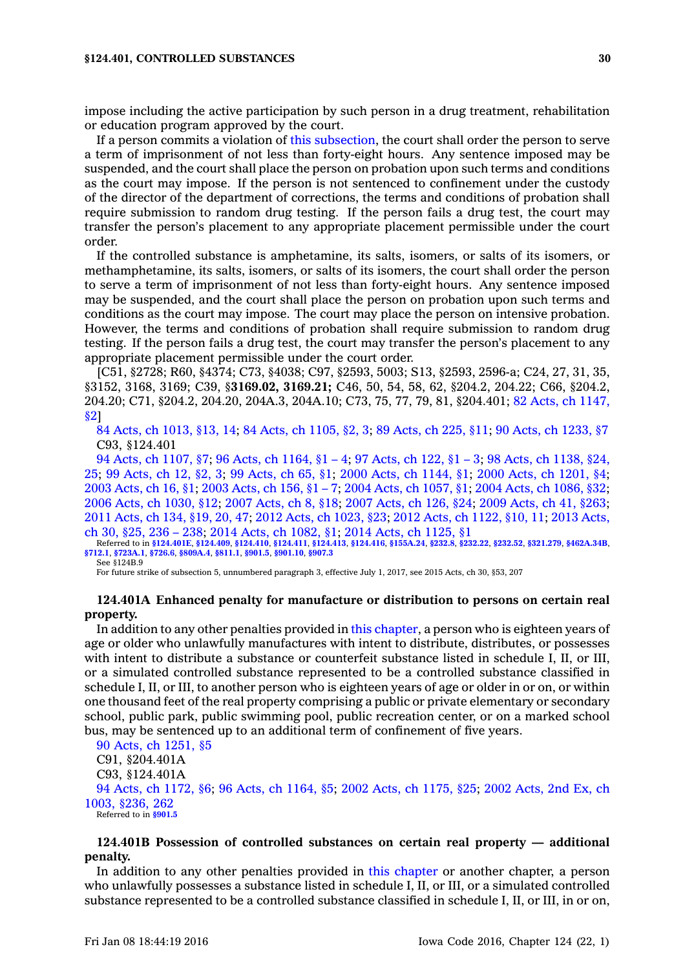impose including the active participation by such person in <sup>a</sup> drug treatment, rehabilitation or education program approved by the court.

If <sup>a</sup> person commits <sup>a</sup> violation of this [subsection](https://www.legis.iowa.gov/docs/code//124.401.pdf), the court shall order the person to serve <sup>a</sup> term of imprisonment of not less than forty-eight hours. Any sentence imposed may be suspended, and the court shall place the person on probation upon such terms and conditions as the court may impose. If the person is not sentenced to confinement under the custody of the director of the department of corrections, the terms and conditions of probation shall require submission to random drug testing. If the person fails <sup>a</sup> drug test, the court may transfer the person's placement to any appropriate placement permissible under the court order.

If the controlled substance is amphetamine, its salts, isomers, or salts of its isomers, or methamphetamine, its salts, isomers, or salts of its isomers, the court shall order the person to serve <sup>a</sup> term of imprisonment of not less than forty-eight hours. Any sentence imposed may be suspended, and the court shall place the person on probation upon such terms and conditions as the court may impose. The court may place the person on intensive probation. However, the terms and conditions of probation shall require submission to random drug testing. If the person fails <sup>a</sup> drug test, the court may transfer the person's placement to any appropriate placement permissible under the court order.

[C51, §2728; R60, §4374; C73, §4038; C97, §2593, 5003; S13, §2593, 2596-a; C24, 27, 31, 35, §3152, 3168, 3169; C39, §**3169.02, 3169.21;** C46, 50, 54, 58, 62, §204.2, 204.22; C66, §204.2, 204.20; C71, §204.2, 204.20, 204A.3, 204A.10; C73, 75, 77, 79, 81, §204.401; 82 Acts, ch [1147,](https://www.legis.iowa.gov/docs/acts/1982/CH1147.pdf) [§2](https://www.legis.iowa.gov/docs/acts/1982/CH1147.pdf)]

84 Acts, ch [1013,](https://www.legis.iowa.gov/docs/acts/84/CH1013.pdf) §13, 14; 84 Acts, ch [1105,](https://www.legis.iowa.gov/docs/acts/84/CH1105.pdf) §2, 3; 89 [Acts,](https://www.legis.iowa.gov/docs/acts/89/CH0225.pdf) ch 225, §11; 90 Acts, ch [1233,](https://www.legis.iowa.gov/docs/acts/90/CH1233.pdf) §7 C93, §124.401

 Acts, ch [1107,](https://www.legis.iowa.gov/docs/acts/94/CH1107.pdf) §7; 96 Acts, ch [1164,](https://www.legis.iowa.gov/docs/acts/96/CH1164.pdf) §1 – 4; 97 [Acts,](https://www.legis.iowa.gov/docs/acts/97/CH0122.pdf) ch 122, §1 – 3; 98 Acts, ch [1138,](https://www.legis.iowa.gov/docs/acts/98/CH1138.pdf) §24, ; 99 [Acts,](https://www.legis.iowa.gov/docs/acts/99/CH0012.pdf) ch 12, §2, 3; 99 [Acts,](https://www.legis.iowa.gov/docs/acts/99/CH0065.pdf) ch 65, §1; 2000 Acts, ch [1144,](https://www.legis.iowa.gov/docs/acts/2000/CH1144.pdf) §1; 2000 Acts, ch [1201,](https://www.legis.iowa.gov/docs/acts/2000/CH1201.pdf) §4; [Acts,](https://www.legis.iowa.gov/docs/acts/2003/CH0016.pdf) ch 16, §1; 2003 [Acts,](https://www.legis.iowa.gov/docs/acts/2003/CH0156.pdf) ch 156, §1 – 7; 2004 Acts, ch [1057,](https://www.legis.iowa.gov/docs/acts/2004/CH1057.pdf) §1; 2004 Acts, ch [1086,](https://www.legis.iowa.gov/docs/acts/2004/CH1086.pdf) §32; Acts, ch [1030,](https://www.legis.iowa.gov/docs/acts/2006/CH1030.pdf) §12; 2007 [Acts,](https://www.legis.iowa.gov/docs/acts/2007/CH0008.pdf) ch 8, §18; 2007 [Acts,](https://www.legis.iowa.gov/docs/acts/2007/CH0126.pdf) ch 126, §24; 2009 [Acts,](https://www.legis.iowa.gov/docs/acts/2009/CH0041.pdf) ch 41, §263; [Acts,](https://www.legis.iowa.gov/docs/acts/2011/CH0134.pdf) ch 134, §19, 20, 47; 2012 Acts, ch [1023,](https://www.legis.iowa.gov/docs/acts/2012/CH1023.pdf) §23; 2012 Acts, ch [1122,](https://www.legis.iowa.gov/docs/acts/2012/CH1122.pdf) §10, 11; 2013 [Acts,](https://www.legis.iowa.gov/docs/acts/2013/CH0030.pdf) ch 30, [§25,](https://www.legis.iowa.gov/docs/acts/2013/CH0030.pdf) 236 – 238; 2014 Acts, ch [1082,](https://www.legis.iowa.gov/docs/acts/2014/CH1082.pdf) §1; 2014 Acts, ch [1125,](https://www.legis.iowa.gov/docs/acts/2014/CH1125.pdf) §1

Referred to in **[§124.401E](https://www.legis.iowa.gov/docs/code/124.401E.pdf)**, **[§124.409](https://www.legis.iowa.gov/docs/code/124.409.pdf)**, **[§124.410](https://www.legis.iowa.gov/docs/code/124.410.pdf)**, **[§124.411](https://www.legis.iowa.gov/docs/code/124.411.pdf)**, **[§124.413](https://www.legis.iowa.gov/docs/code/124.413.pdf)**, **[§124.416](https://www.legis.iowa.gov/docs/code/124.416.pdf)**, **[§155A.24](https://www.legis.iowa.gov/docs/code/155A.24.pdf)**, **[§232.8](https://www.legis.iowa.gov/docs/code/232.8.pdf)**, **[§232.22](https://www.legis.iowa.gov/docs/code/232.22.pdf)**, **[§232.52](https://www.legis.iowa.gov/docs/code/232.52.pdf)**, **[§321.279](https://www.legis.iowa.gov/docs/code/321.279.pdf)**, **[§462A.34B](https://www.legis.iowa.gov/docs/code/462A.34B.pdf)**, **[§712.1](https://www.legis.iowa.gov/docs/code/712.1.pdf)**, **[§723A.1](https://www.legis.iowa.gov/docs/code/723A.1.pdf)**, **[§726.6](https://www.legis.iowa.gov/docs/code/726.6.pdf)**, **[§809A.4](https://www.legis.iowa.gov/docs/code/809A.4.pdf)**, **[§811.1](https://www.legis.iowa.gov/docs/code/811.1.pdf)**, **[§901.5](https://www.legis.iowa.gov/docs/code/901.5.pdf)**, **[§901.10](https://www.legis.iowa.gov/docs/code/901.10.pdf)**, **[§907.3](https://www.legis.iowa.gov/docs/code/907.3.pdf)**

See §124B.9

For future strike of subsection 5, unnumbered paragraph 3, effective July 1, 2017, see 2015 Acts, ch 30, §53, 207

## **124.401A Enhanced penalty for manufacture or distribution to persons on certain real property.**

In addition to any other penalties provided in this [chapter](https://www.legis.iowa.gov/docs/code//124.pdf), <sup>a</sup> person who is eighteen years of age or older who unlawfully manufactures with intent to distribute, distributes, or possesses with intent to distribute a substance or counterfeit substance listed in schedule I, II, or III, or <sup>a</sup> simulated controlled substance represented to be <sup>a</sup> controlled substance classified in schedule I, II, or III, to another person who is eighteen years of age or older in or on, or within one thousand feet of the real property comprising <sup>a</sup> public or private elementary or secondary school, public park, public swimming pool, public recreation center, or on <sup>a</sup> marked school bus, may be sentenced up to an additional term of confinement of five years.

90 Acts, ch [1251,](https://www.legis.iowa.gov/docs/acts/1990/CH1251.pdf) §5 C91, §204.401A C93, §124.401A 94 Acts, ch [1172,](https://www.legis.iowa.gov/docs/acts/1994/CH1172.pdf) §6; 96 Acts, ch [1164,](https://www.legis.iowa.gov/docs/acts/1996/CH1164.pdf) §5; 2002 Acts, ch [1175,](https://www.legis.iowa.gov/docs/acts/2002/CH1175.pdf) §25; 2002 [Acts,](https://www.legis.iowa.gov/docs/acts/2002.2/CH1003.pdf) 2nd Ex, ch 1003, [§236,](https://www.legis.iowa.gov/docs/acts/2002.2/CH1003.pdf) 262 Referred to in **[§901.5](https://www.legis.iowa.gov/docs/code/901.5.pdf)**

# **124.401B Possession of controlled substances on certain real property — additional penalty.**

In addition to any other penalties provided in this [chapter](https://www.legis.iowa.gov/docs/code//124.pdf) or another chapter, <sup>a</sup> person who unlawfully possesses <sup>a</sup> substance listed in schedule I, II, or III, or <sup>a</sup> simulated controlled substance represented to be <sup>a</sup> controlled substance classified in schedule I, II, or III, in or on,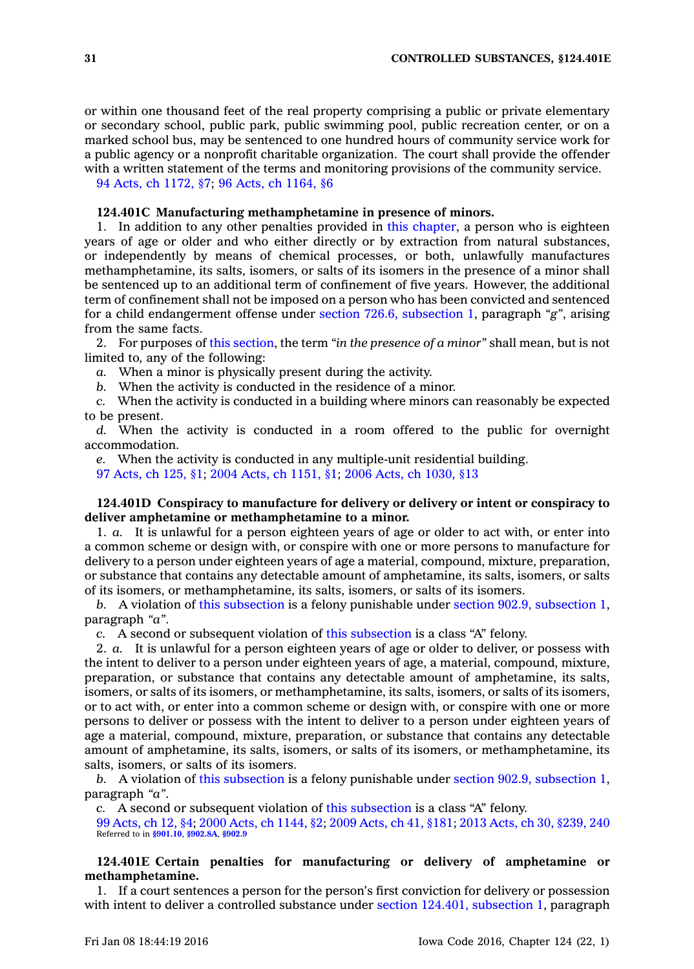or within one thousand feet of the real property comprising <sup>a</sup> public or private elementary or secondary school, public park, public swimming pool, public recreation center, or on <sup>a</sup> marked school bus, may be sentenced to one hundred hours of community service work for <sup>a</sup> public agency or <sup>a</sup> nonprofit charitable organization. The court shall provide the offender with <sup>a</sup> written statement of the terms and monitoring provisions of the community service.

94 Acts, ch [1172,](https://www.legis.iowa.gov/docs/acts/1994/CH1172.pdf) §7; 96 Acts, ch [1164,](https://www.legis.iowa.gov/docs/acts/1996/CH1164.pdf) §6

### **124.401C Manufacturing methamphetamine in presence of minors.**

1. In addition to any other penalties provided in this [chapter](https://www.legis.iowa.gov/docs/code//124.pdf), <sup>a</sup> person who is eighteen years of age or older and who either directly or by extraction from natural substances, or independently by means of chemical processes, or both, unlawfully manufactures methamphetamine, its salts, isomers, or salts of its isomers in the presence of <sup>a</sup> minor shall be sentenced up to an additional term of confinement of five years. However, the additional term of confinement shall not be imposed on <sup>a</sup> person who has been convicted and sentenced for <sup>a</sup> child endangerment offense under section 726.6, [subsection](https://www.legis.iowa.gov/docs/code//726.6.pdf) 1, paragraph *"g"*, arising from the same facts.

2. For purposes of this [section](https://www.legis.iowa.gov/docs/code//124.401C.pdf), the term *"in the presence of <sup>a</sup> minor"* shall mean, but is not limited to, any of the following:

*a.* When <sup>a</sup> minor is physically present during the activity.

*b.* When the activity is conducted in the residence of <sup>a</sup> minor.

*c.* When the activity is conducted in <sup>a</sup> building where minors can reasonably be expected to be present.

*d.* When the activity is conducted in <sup>a</sup> room offered to the public for overnight accommodation.

*e.* When the activity is conducted in any multiple-unit residential building.

97 [Acts,](https://www.legis.iowa.gov/docs/acts/1997/CH0125.pdf) ch 125, §1; 2004 Acts, ch [1151,](https://www.legis.iowa.gov/docs/acts/2004/CH1151.pdf) §1; 2006 Acts, ch [1030,](https://www.legis.iowa.gov/docs/acts/2006/CH1030.pdf) §13

## **124.401D Conspiracy to manufacture for delivery or delivery or intent or conspiracy to deliver amphetamine or methamphetamine to <sup>a</sup> minor.**

1. *a.* It is unlawful for <sup>a</sup> person eighteen years of age or older to act with, or enter into <sup>a</sup> common scheme or design with, or conspire with one or more persons to manufacture for delivery to <sup>a</sup> person under eighteen years of age <sup>a</sup> material, compound, mixture, preparation, or substance that contains any detectable amount of amphetamine, its salts, isomers, or salts of its isomers, or methamphetamine, its salts, isomers, or salts of its isomers.

*b.* A violation of this [subsection](https://www.legis.iowa.gov/docs/code//124.401D.pdf) is <sup>a</sup> felony punishable under section 902.9, [subsection](https://www.legis.iowa.gov/docs/code//902.9.pdf) 1, paragraph *"a"*.

*c.* A second or subsequent violation of this [subsection](https://www.legis.iowa.gov/docs/code//124.401D.pdf) is <sup>a</sup> class "A" felony.

2. *a.* It is unlawful for <sup>a</sup> person eighteen years of age or older to deliver, or possess with the intent to deliver to <sup>a</sup> person under eighteen years of age, <sup>a</sup> material, compound, mixture, preparation, or substance that contains any detectable amount of amphetamine, its salts, isomers, or salts of its isomers, or methamphetamine, its salts, isomers, or salts of its isomers, or to act with, or enter into <sup>a</sup> common scheme or design with, or conspire with one or more persons to deliver or possess with the intent to deliver to <sup>a</sup> person under eighteen years of age <sup>a</sup> material, compound, mixture, preparation, or substance that contains any detectable amount of amphetamine, its salts, isomers, or salts of its isomers, or methamphetamine, its salts, isomers, or salts of its isomers.

*b.* A violation of this [subsection](https://www.legis.iowa.gov/docs/code//124.401D.pdf) is <sup>a</sup> felony punishable under section 902.9, [subsection](https://www.legis.iowa.gov/docs/code//902.9.pdf) 1, paragraph *"a"*.

*c.* A second or subsequent violation of this [subsection](https://www.legis.iowa.gov/docs/code//124.401D.pdf) is <sup>a</sup> class "A" felony.

99 [Acts,](https://www.legis.iowa.gov/docs/acts/99/CH0012.pdf) ch 12, §4; 2000 Acts, ch [1144,](https://www.legis.iowa.gov/docs/acts/2000/CH1144.pdf) §2; 2009 [Acts,](https://www.legis.iowa.gov/docs/acts/2009/CH0041.pdf) ch 41, §181; 2013 Acts, ch 30, [§239,](https://www.legis.iowa.gov/docs/acts/2013/CH0030.pdf) 240 Referred to in **[§901.10](https://www.legis.iowa.gov/docs/code/901.10.pdf)**, **[§902.8A](https://www.legis.iowa.gov/docs/code/902.8A.pdf)**, **[§902.9](https://www.legis.iowa.gov/docs/code/902.9.pdf)**

# **124.401E Certain penalties for manufacturing or delivery of amphetamine or methamphetamine.**

1. If <sup>a</sup> court sentences <sup>a</sup> person for the person's first conviction for delivery or possession with intent to deliver <sup>a</sup> controlled substance under section 124.401, [subsection](https://www.legis.iowa.gov/docs/code//124.401.pdf) 1, paragraph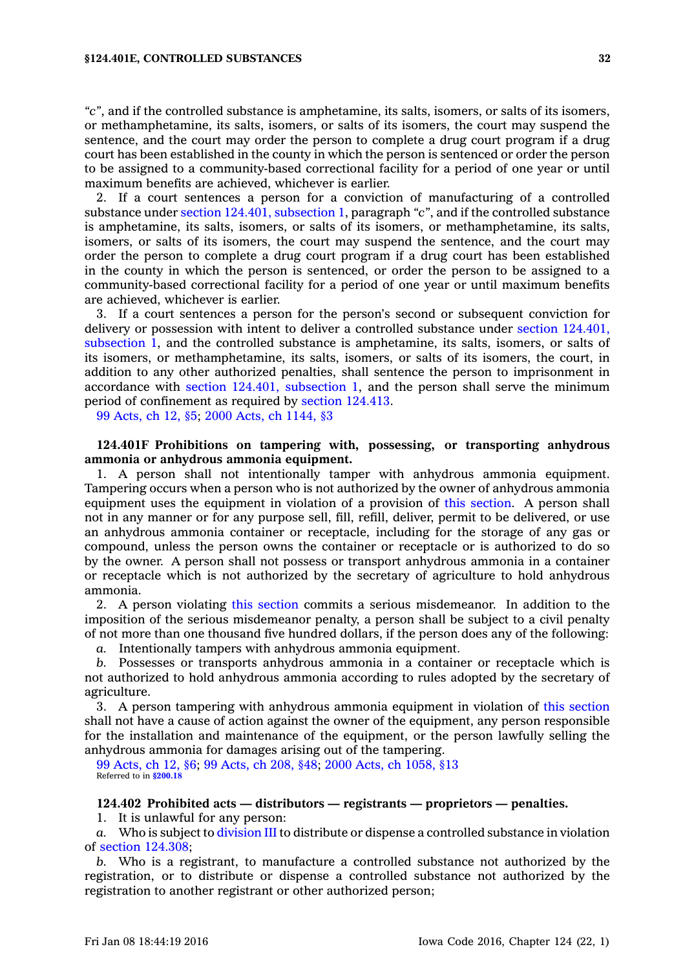*"c"*, and if the controlled substance is amphetamine, its salts, isomers, or salts of its isomers, or methamphetamine, its salts, isomers, or salts of its isomers, the court may suspend the sentence, and the court may order the person to complete <sup>a</sup> drug court program if <sup>a</sup> drug court has been established in the county in which the person is sentenced or order the person to be assigned to <sup>a</sup> community-based correctional facility for <sup>a</sup> period of one year or until maximum benefits are achieved, whichever is earlier.

2. If <sup>a</sup> court sentences <sup>a</sup> person for <sup>a</sup> conviction of manufacturing of <sup>a</sup> controlled substance under section 124.401, [subsection](https://www.legis.iowa.gov/docs/code//124.401.pdf) 1, paragraph *"c"*, and if the controlled substance is amphetamine, its salts, isomers, or salts of its isomers, or methamphetamine, its salts, isomers, or salts of its isomers, the court may suspend the sentence, and the court may order the person to complete <sup>a</sup> drug court program if <sup>a</sup> drug court has been established in the county in which the person is sentenced, or order the person to be assigned to <sup>a</sup> community-based correctional facility for <sup>a</sup> period of one year or until maximum benefits are achieved, whichever is earlier.

3. If <sup>a</sup> court sentences <sup>a</sup> person for the person's second or subsequent conviction for delivery or possession with intent to deliver <sup>a</sup> controlled substance under section [124.401,](https://www.legis.iowa.gov/docs/code//124.401.pdf) [subsection](https://www.legis.iowa.gov/docs/code//124.401.pdf) 1, and the controlled substance is amphetamine, its salts, isomers, or salts of its isomers, or methamphetamine, its salts, isomers, or salts of its isomers, the court, in addition to any other authorized penalties, shall sentence the person to imprisonment in accordance with section 124.401, [subsection](https://www.legis.iowa.gov/docs/code//124.401.pdf) 1, and the person shall serve the minimum period of confinement as required by section [124.413](https://www.legis.iowa.gov/docs/code//124.413.pdf).

99 [Acts,](https://www.legis.iowa.gov/docs/acts/1999/CH0012.pdf) ch 12, §5; 2000 Acts, ch [1144,](https://www.legis.iowa.gov/docs/acts/2000/CH1144.pdf) §3

# **124.401F Prohibitions on tampering with, possessing, or transporting anhydrous ammonia or anhydrous ammonia equipment.**

1. A person shall not intentionally tamper with anhydrous ammonia equipment. Tampering occurs when <sup>a</sup> person who is not authorized by the owner of anhydrous ammonia equipment uses the equipment in violation of <sup>a</sup> provision of this [section](https://www.legis.iowa.gov/docs/code//124.401F.pdf). A person shall not in any manner or for any purpose sell, fill, refill, deliver, permit to be delivered, or use an anhydrous ammonia container or receptacle, including for the storage of any gas or compound, unless the person owns the container or receptacle or is authorized to do so by the owner. A person shall not possess or transport anhydrous ammonia in <sup>a</sup> container or receptacle which is not authorized by the secretary of agriculture to hold anhydrous ammonia.

2. A person violating this [section](https://www.legis.iowa.gov/docs/code//124.401F.pdf) commits <sup>a</sup> serious misdemeanor. In addition to the imposition of the serious misdemeanor penalty, <sup>a</sup> person shall be subject to <sup>a</sup> civil penalty of not more than one thousand five hundred dollars, if the person does any of the following:

*a.* Intentionally tampers with anhydrous ammonia equipment.

*b.* Possesses or transports anhydrous ammonia in <sup>a</sup> container or receptacle which is not authorized to hold anhydrous ammonia according to rules adopted by the secretary of agriculture.

3. A person tampering with anhydrous ammonia equipment in violation of this [section](https://www.legis.iowa.gov/docs/code//124.401F.pdf) shall not have <sup>a</sup> cause of action against the owner of the equipment, any person responsible for the installation and maintenance of the equipment, or the person lawfully selling the anhydrous ammonia for damages arising out of the tampering.

99 [Acts,](https://www.legis.iowa.gov/docs/acts/1999/CH0012.pdf) ch 12, §6; 99 [Acts,](https://www.legis.iowa.gov/docs/acts/1999/CH0208.pdf) ch 208, §48; 2000 Acts, ch [1058,](https://www.legis.iowa.gov/docs/acts/2000/CH1058.pdf) §13 Referred to in **[§200.18](https://www.legis.iowa.gov/docs/code/200.18.pdf)**

#### **124.402 Prohibited acts — distributors — registrants — proprietors — penalties.**

1. It is unlawful for any person:

*a.* Who is subject to [division](https://www.legis.iowa.gov/docs/code//124.pdf) III to distribute or dispense <sup>a</sup> controlled substance in violation of section [124.308](https://www.legis.iowa.gov/docs/code//124.308.pdf);

*b.* Who is <sup>a</sup> registrant, to manufacture <sup>a</sup> controlled substance not authorized by the registration, or to distribute or dispense <sup>a</sup> controlled substance not authorized by the registration to another registrant or other authorized person;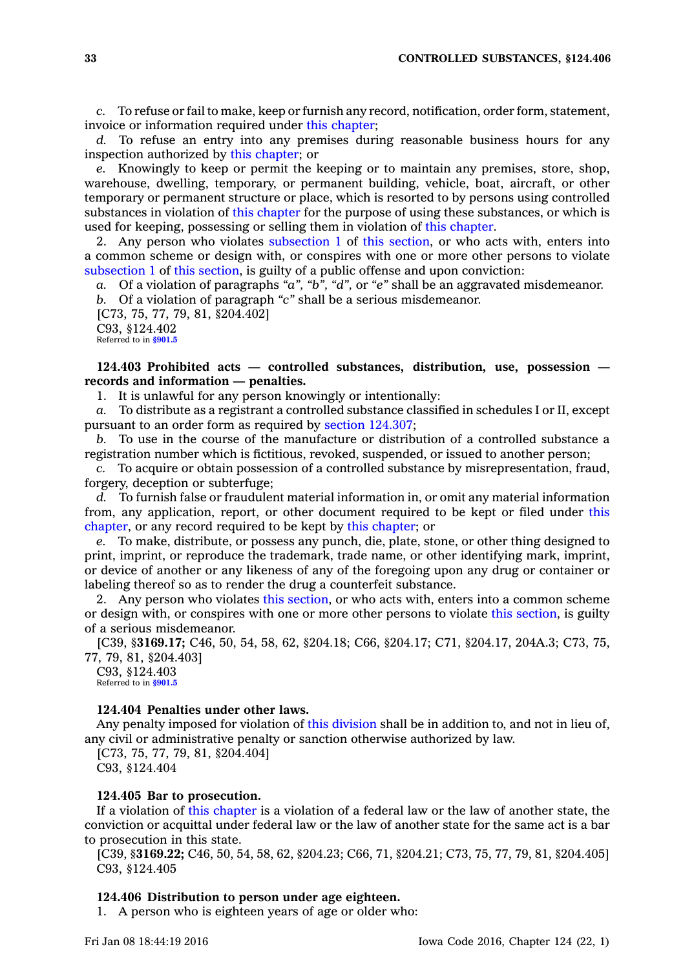*c.* To refuse or fail to make, keep or furnish any record, notification, order form, statement, invoice or information required under this [chapter](https://www.legis.iowa.gov/docs/code//124.pdf);

*d.* To refuse an entry into any premises during reasonable business hours for any inspection authorized by this [chapter](https://www.legis.iowa.gov/docs/code//124.pdf); or

*e.* Knowingly to keep or permit the keeping or to maintain any premises, store, shop, warehouse, dwelling, temporary, or permanent building, vehicle, boat, aircraft, or other temporary or permanent structure or place, which is resorted to by persons using controlled substances in violation of this [chapter](https://www.legis.iowa.gov/docs/code//124.pdf) for the purpose of using these substances, or which is used for keeping, possessing or selling them in violation of this [chapter](https://www.legis.iowa.gov/docs/code//124.pdf).

2. Any person who violates [subsection](https://www.legis.iowa.gov/docs/code//124.402.pdf) 1 of this [section](https://www.legis.iowa.gov/docs/code//124.402.pdf), or who acts with, enters into <sup>a</sup> common scheme or design with, or conspires with one or more other persons to violate [subsection](https://www.legis.iowa.gov/docs/code//124.402.pdf) 1 of this [section](https://www.legis.iowa.gov/docs/code//124.402.pdf), is guilty of <sup>a</sup> public offense and upon conviction:

*a.* Of <sup>a</sup> violation of paragraphs *"a", "b", "d",* or *"e"* shall be an aggravated misdemeanor. *b.* Of <sup>a</sup> violation of paragraph *"c"* shall be <sup>a</sup> serious misdemeanor.

[C73, 75, 77, 79, 81, §204.402]

C93, §124.402

Referred to in **[§901.5](https://www.legis.iowa.gov/docs/code/901.5.pdf)**

# **124.403 Prohibited acts — controlled substances, distribution, use, possession records and information — penalties.**

1. It is unlawful for any person knowingly or intentionally:

*a.* To distribute as <sup>a</sup> registrant <sup>a</sup> controlled substance classified in schedules I or II, except pursuant to an order form as required by section [124.307](https://www.legis.iowa.gov/docs/code//124.307.pdf);

*b.* To use in the course of the manufacture or distribution of <sup>a</sup> controlled substance <sup>a</sup> registration number which is fictitious, revoked, suspended, or issued to another person;

*c.* To acquire or obtain possession of <sup>a</sup> controlled substance by misrepresentation, fraud, forgery, deception or subterfuge;

*d.* To furnish false or fraudulent material information in, or omit any material information from, any application, report, or other document required to be kept or filed under [this](https://www.legis.iowa.gov/docs/code//124.pdf) [chapter](https://www.legis.iowa.gov/docs/code//124.pdf), or any record required to be kept by this [chapter](https://www.legis.iowa.gov/docs/code//124.pdf); or

*e.* To make, distribute, or possess any punch, die, plate, stone, or other thing designed to print, imprint, or reproduce the trademark, trade name, or other identifying mark, imprint, or device of another or any likeness of any of the foregoing upon any drug or container or labeling thereof so as to render the drug <sup>a</sup> counterfeit substance.

2. Any person who violates this [section](https://www.legis.iowa.gov/docs/code//124.403.pdf), or who acts with, enters into <sup>a</sup> common scheme or design with, or conspires with one or more other persons to violate this [section](https://www.legis.iowa.gov/docs/code//124.403.pdf), is guilty of <sup>a</sup> serious misdemeanor.

[C39, §**3169.17;** C46, 50, 54, 58, 62, §204.18; C66, §204.17; C71, §204.17, 204A.3; C73, 75, 77, 79, 81, §204.403]

C93, §124.403 Referred to in **[§901.5](https://www.legis.iowa.gov/docs/code/901.5.pdf)**

# **124.404 Penalties under other laws.**

Any penalty imposed for violation of this [division](https://www.legis.iowa.gov/docs/code//124.pdf) shall be in addition to, and not in lieu of, any civil or administrative penalty or sanction otherwise authorized by law.

[C73, 75, 77, 79, 81, §204.404] C93, §124.404

### **124.405 Bar to prosecution.**

If <sup>a</sup> violation of this [chapter](https://www.legis.iowa.gov/docs/code//124.pdf) is <sup>a</sup> violation of <sup>a</sup> federal law or the law of another state, the conviction or acquittal under federal law or the law of another state for the same act is <sup>a</sup> bar to prosecution in this state.

[C39, §**3169.22;** C46, 50, 54, 58, 62, §204.23; C66, 71, §204.21; C73, 75, 77, 79, 81, §204.405] C93, §124.405

#### **124.406 Distribution to person under age eighteen.**

1. A person who is eighteen years of age or older who: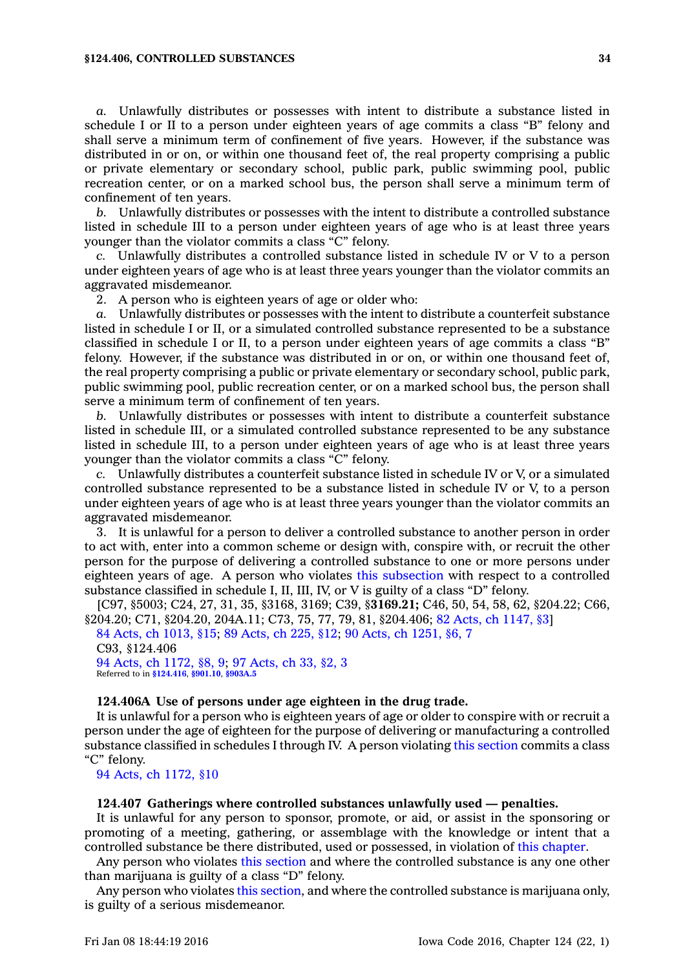#### **§124.406, CONTROLLED SUBSTANCES 34**

*a.* Unlawfully distributes or possesses with intent to distribute <sup>a</sup> substance listed in schedule I or II to <sup>a</sup> person under eighteen years of age commits <sup>a</sup> class "B" felony and shall serve <sup>a</sup> minimum term of confinement of five years. However, if the substance was distributed in or on, or within one thousand feet of, the real property comprising <sup>a</sup> public or private elementary or secondary school, public park, public swimming pool, public recreation center, or on <sup>a</sup> marked school bus, the person shall serve <sup>a</sup> minimum term of confinement of ten years.

*b.* Unlawfully distributes or possesses with the intent to distribute <sup>a</sup> controlled substance listed in schedule III to <sup>a</sup> person under eighteen years of age who is at least three years younger than the violator commits <sup>a</sup> class "C" felony.

*c.* Unlawfully distributes <sup>a</sup> controlled substance listed in schedule IV or V to <sup>a</sup> person under eighteen years of age who is at least three years younger than the violator commits an aggravated misdemeanor.

2. A person who is eighteen years of age or older who:

*a.* Unlawfully distributes or possesses with the intent to distribute <sup>a</sup> counterfeit substance listed in schedule I or II, or <sup>a</sup> simulated controlled substance represented to be <sup>a</sup> substance classified in schedule I or II, to <sup>a</sup> person under eighteen years of age commits <sup>a</sup> class "B" felony. However, if the substance was distributed in or on, or within one thousand feet of, the real property comprising <sup>a</sup> public or private elementary or secondary school, public park, public swimming pool, public recreation center, or on <sup>a</sup> marked school bus, the person shall serve <sup>a</sup> minimum term of confinement of ten years.

*b.* Unlawfully distributes or possesses with intent to distribute <sup>a</sup> counterfeit substance listed in schedule III, or <sup>a</sup> simulated controlled substance represented to be any substance listed in schedule III, to <sup>a</sup> person under eighteen years of age who is at least three years younger than the violator commits <sup>a</sup> class "C" felony.

*c.* Unlawfully distributes <sup>a</sup> counterfeit substance listed in schedule IV or V, or <sup>a</sup> simulated controlled substance represented to be <sup>a</sup> substance listed in schedule IV or V, to <sup>a</sup> person under eighteen years of age who is at least three years younger than the violator commits an aggravated misdemeanor.

3. It is unlawful for <sup>a</sup> person to deliver <sup>a</sup> controlled substance to another person in order to act with, enter into <sup>a</sup> common scheme or design with, conspire with, or recruit the other person for the purpose of delivering <sup>a</sup> controlled substance to one or more persons under eighteen years of age. A person who violates this [subsection](https://www.legis.iowa.gov/docs/code//124.406.pdf) with respect to <sup>a</sup> controlled substance classified in schedule I, II, III, IV, or V is guilty of <sup>a</sup> class "D" felony.

[C97, §5003; C24, 27, 31, 35, §3168, 3169; C39, §**3169.21;** C46, 50, 54, 58, 62, §204.22; C66, §204.20; C71, §204.20, 204A.11; C73, 75, 77, 79, 81, §204.406; 82 Acts, ch [1147,](https://www.legis.iowa.gov/docs/acts/1982/CH1147.pdf) §3]

84 Acts, ch [1013,](https://www.legis.iowa.gov/docs/acts/1984/CH1013.pdf) §15; 89 [Acts,](https://www.legis.iowa.gov/docs/acts/1989/CH0225.pdf) ch 225, §12; 90 Acts, ch [1251,](https://www.legis.iowa.gov/docs/acts/1990/CH1251.pdf) §6, 7 C93, §124.406 94 Acts, ch [1172,](https://www.legis.iowa.gov/docs/acts/1994/CH1172.pdf) §8, 9; 97 [Acts,](https://www.legis.iowa.gov/docs/acts/1997/CH0033.pdf) ch 33, §2, 3 Referred to in **[§124.416](https://www.legis.iowa.gov/docs/code/124.416.pdf)**, **[§901.10](https://www.legis.iowa.gov/docs/code/901.10.pdf)**, **[§903A.5](https://www.legis.iowa.gov/docs/code/903A.5.pdf)**

#### **124.406A Use of persons under age eighteen in the drug trade.**

It is unlawful for <sup>a</sup> person who is eighteen years of age or older to conspire with or recruit <sup>a</sup> person under the age of eighteen for the purpose of delivering or manufacturing <sup>a</sup> controlled substance classified in schedules I through IV. A person violating this [section](https://www.legis.iowa.gov/docs/code//124.406A.pdf) commits <sup>a</sup> class "C" felony.

94 Acts, ch [1172,](https://www.legis.iowa.gov/docs/acts/1994/CH1172.pdf) §10

#### **124.407 Gatherings where controlled substances unlawfully used — penalties.**

It is unlawful for any person to sponsor, promote, or aid, or assist in the sponsoring or promoting of <sup>a</sup> meeting, gathering, or assemblage with the knowledge or intent that <sup>a</sup> controlled substance be there distributed, used or possessed, in violation of this [chapter](https://www.legis.iowa.gov/docs/code//124.pdf).

Any person who violates this [section](https://www.legis.iowa.gov/docs/code//124.407.pdf) and where the controlled substance is any one other than marijuana is guilty of <sup>a</sup> class "D" felony.

Any person who violates this [section](https://www.legis.iowa.gov/docs/code//124.407.pdf), and where the controlled substance is marijuana only, is guilty of <sup>a</sup> serious misdemeanor.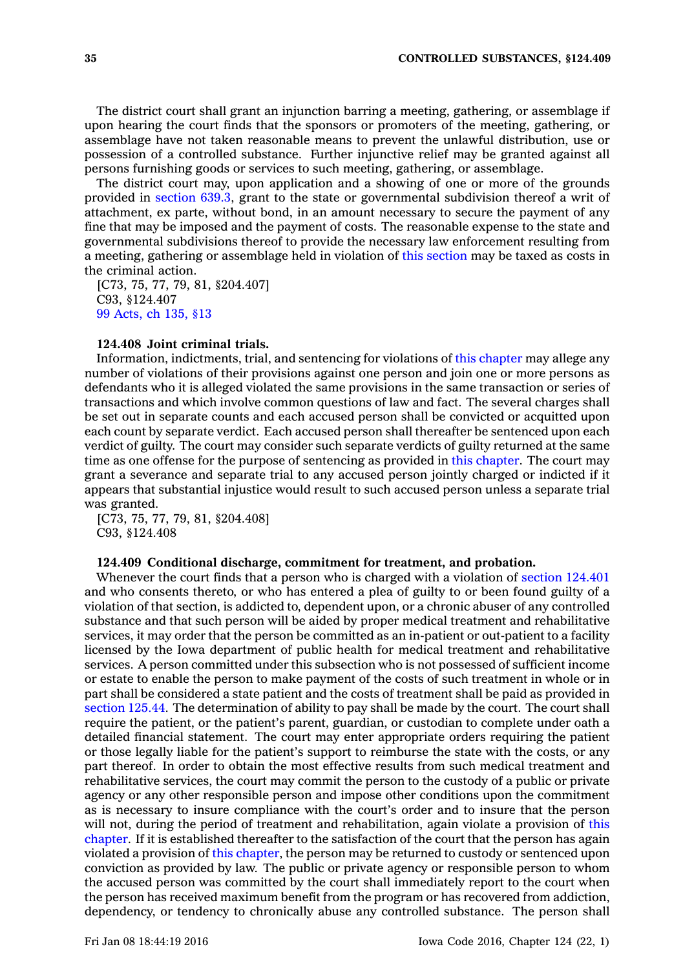The district court shall grant an injunction barring <sup>a</sup> meeting, gathering, or assemblage if upon hearing the court finds that the sponsors or promoters of the meeting, gathering, or assemblage have not taken reasonable means to prevent the unlawful distribution, use or possession of <sup>a</sup> controlled substance. Further injunctive relief may be granted against all persons furnishing goods or services to such meeting, gathering, or assemblage.

The district court may, upon application and <sup>a</sup> showing of one or more of the grounds provided in [section](https://www.legis.iowa.gov/docs/code//639.3.pdf) 639.3, grant to the state or governmental subdivision thereof <sup>a</sup> writ of attachment, ex parte, without bond, in an amount necessary to secure the payment of any fine that may be imposed and the payment of costs. The reasonable expense to the state and governmental subdivisions thereof to provide the necessary law enforcement resulting from <sup>a</sup> meeting, gathering or assemblage held in violation of this [section](https://www.legis.iowa.gov/docs/code//124.407.pdf) may be taxed as costs in the criminal action.

[C73, 75, 77, 79, 81, §204.407] C93, §124.407 99 [Acts,](https://www.legis.iowa.gov/docs/acts/1999/CH0135.pdf) ch 135, §13

# **124.408 Joint criminal trials.**

Information, indictments, trial, and sentencing for violations of this [chapter](https://www.legis.iowa.gov/docs/code//124.pdf) may allege any number of violations of their provisions against one person and join one or more persons as defendants who it is alleged violated the same provisions in the same transaction or series of transactions and which involve common questions of law and fact. The several charges shall be set out in separate counts and each accused person shall be convicted or acquitted upon each count by separate verdict. Each accused person shall thereafter be sentenced upon each verdict of guilty. The court may consider such separate verdicts of guilty returned at the same time as one offense for the purpose of sentencing as provided in this [chapter](https://www.legis.iowa.gov/docs/code//124.pdf). The court may grant <sup>a</sup> severance and separate trial to any accused person jointly charged or indicted if it appears that substantial injustice would result to such accused person unless <sup>a</sup> separate trial was granted.

[C73, 75, 77, 79, 81, §204.408] C93, §124.408

#### **124.409 Conditional discharge, commitment for treatment, and probation.**

Whenever the court finds that <sup>a</sup> person who is charged with <sup>a</sup> violation of section [124.401](https://www.legis.iowa.gov/docs/code//124.401.pdf) and who consents thereto, or who has entered <sup>a</sup> plea of guilty to or been found guilty of <sup>a</sup> violation of that section, is addicted to, dependent upon, or <sup>a</sup> chronic abuser of any controlled substance and that such person will be aided by proper medical treatment and rehabilitative services, it may order that the person be committed as an in-patient or out-patient to <sup>a</sup> facility licensed by the Iowa department of public health for medical treatment and rehabilitative services. A person committed under this subsection who is not possessed of sufficient income or estate to enable the person to make payment of the costs of such treatment in whole or in part shall be considered <sup>a</sup> state patient and the costs of treatment shall be paid as provided in [section](https://www.legis.iowa.gov/docs/code//125.44.pdf) 125.44. The determination of ability to pay shall be made by the court. The court shall require the patient, or the patient's parent, guardian, or custodian to complete under oath <sup>a</sup> detailed financial statement. The court may enter appropriate orders requiring the patient or those legally liable for the patient's support to reimburse the state with the costs, or any part thereof. In order to obtain the most effective results from such medical treatment and rehabilitative services, the court may commit the person to the custody of <sup>a</sup> public or private agency or any other responsible person and impose other conditions upon the commitment as is necessary to insure compliance with the court's order and to insure that the person will not, during the period of treatment and rehabilitation, again violate <sup>a</sup> provision of [this](https://www.legis.iowa.gov/docs/code//124.pdf) [chapter](https://www.legis.iowa.gov/docs/code//124.pdf). If it is established thereafter to the satisfaction of the court that the person has again violated <sup>a</sup> provision of this [chapter](https://www.legis.iowa.gov/docs/code//124.pdf), the person may be returned to custody or sentenced upon conviction as provided by law. The public or private agency or responsible person to whom the accused person was committed by the court shall immediately report to the court when the person has received maximum benefit from the program or has recovered from addiction, dependency, or tendency to chronically abuse any controlled substance. The person shall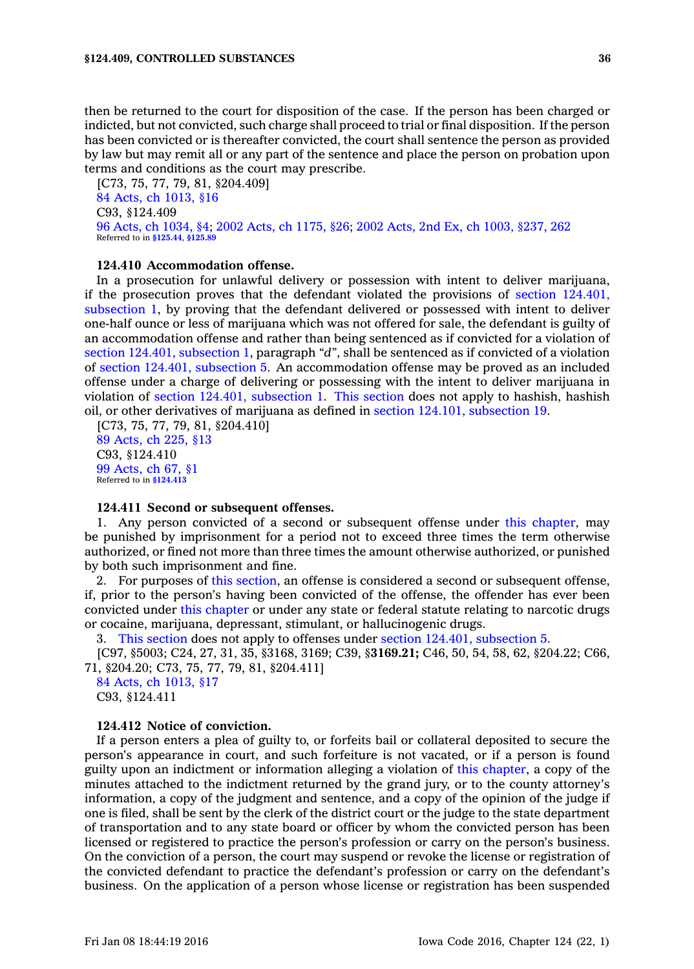then be returned to the court for disposition of the case. If the person has been charged or indicted, but not convicted, such charge shall proceed to trial or final disposition. If the person has been convicted or is thereafter convicted, the court shall sentence the person as provided by law but may remit all or any part of the sentence and place the person on probation upon terms and conditions as the court may prescribe.

[C73, 75, 77, 79, 81, §204.409] 84 Acts, ch [1013,](https://www.legis.iowa.gov/docs/acts/1984/CH1013.pdf) §16 C93, §124.409 96 Acts, ch [1034,](https://www.legis.iowa.gov/docs/acts/1996/CH1034.pdf) §4; 2002 Acts, ch [1175,](https://www.legis.iowa.gov/docs/acts/2002/CH1175.pdf) §26; 2002 Acts, 2nd Ex, ch 1003, [§237,](https://www.legis.iowa.gov/docs/acts/2002.2/CH1003.pdf) 262 Referred to in **[§125.44](https://www.legis.iowa.gov/docs/code/125.44.pdf)**, **[§125.89](https://www.legis.iowa.gov/docs/code/125.89.pdf)**

# **124.410 Accommodation offense.**

In <sup>a</sup> prosecution for unlawful delivery or possession with intent to deliver marijuana, if the prosecution proves that the defendant violated the provisions of section [124.401,](https://www.legis.iowa.gov/docs/code//124.401.pdf) [subsection](https://www.legis.iowa.gov/docs/code//124.401.pdf) 1, by proving that the defendant delivered or possessed with intent to deliver one-half ounce or less of marijuana which was not offered for sale, the defendant is guilty of an accommodation offense and rather than being sentenced as if convicted for <sup>a</sup> violation of section 124.401, [subsection](https://www.legis.iowa.gov/docs/code//124.401.pdf) 1, paragraph *"d"*, shall be sentenced as if convicted of <sup>a</sup> violation of section 124.401, [subsection](https://www.legis.iowa.gov/docs/code//124.401.pdf) 5. An accommodation offense may be proved as an included offense under <sup>a</sup> charge of delivering or possessing with the intent to deliver marijuana in violation of section 124.401, [subsection](https://www.legis.iowa.gov/docs/code//124.401.pdf) 1. This [section](https://www.legis.iowa.gov/docs/code//124.410.pdf) does not apply to hashish, hashish oil, or other derivatives of marijuana as defined in section 124.101, [subsection](https://www.legis.iowa.gov/docs/code//124.101.pdf) 19.

[C73, 75, 77, 79, 81, §204.410] 89 [Acts,](https://www.legis.iowa.gov/docs/acts/1989/CH0225.pdf) ch 225, §13 C93, §124.410 99 [Acts,](https://www.legis.iowa.gov/docs/acts/1999/CH0067.pdf) ch 67, §1 Referred to in **[§124.413](https://www.legis.iowa.gov/docs/code/124.413.pdf)**

#### **124.411 Second or subsequent offenses.**

1. Any person convicted of <sup>a</sup> second or subsequent offense under this [chapter](https://www.legis.iowa.gov/docs/code//124.pdf), may be punished by imprisonment for <sup>a</sup> period not to exceed three times the term otherwise authorized, or fined not more than three times the amount otherwise authorized, or punished by both such imprisonment and fine.

2. For purposes of this [section](https://www.legis.iowa.gov/docs/code//124.411.pdf), an offense is considered <sup>a</sup> second or subsequent offense, if, prior to the person's having been convicted of the offense, the offender has ever been convicted under this [chapter](https://www.legis.iowa.gov/docs/code//124.pdf) or under any state or federal statute relating to narcotic drugs or cocaine, marijuana, depressant, stimulant, or hallucinogenic drugs.

3. This [section](https://www.legis.iowa.gov/docs/code//124.411.pdf) does not apply to offenses under section 124.401, [subsection](https://www.legis.iowa.gov/docs/code//124.401.pdf) 5.

[C97, §5003; C24, 27, 31, 35, §3168, 3169; C39, §**3169.21;** C46, 50, 54, 58, 62, §204.22; C66, 71, §204.20; C73, 75, 77, 79, 81, §204.411]

84 Acts, ch [1013,](https://www.legis.iowa.gov/docs/acts/1984/CH1013.pdf) §17 C93, §124.411

# **124.412 Notice of conviction.**

If <sup>a</sup> person enters <sup>a</sup> plea of guilty to, or forfeits bail or collateral deposited to secure the person's appearance in court, and such forfeiture is not vacated, or if <sup>a</sup> person is found guilty upon an indictment or information alleging <sup>a</sup> violation of this [chapter](https://www.legis.iowa.gov/docs/code//124.pdf), <sup>a</sup> copy of the minutes attached to the indictment returned by the grand jury, or to the county attorney's information, <sup>a</sup> copy of the judgment and sentence, and <sup>a</sup> copy of the opinion of the judge if one is filed, shall be sent by the clerk of the district court or the judge to the state department of transportation and to any state board or officer by whom the convicted person has been licensed or registered to practice the person's profession or carry on the person's business. On the conviction of <sup>a</sup> person, the court may suspend or revoke the license or registration of the convicted defendant to practice the defendant's profession or carry on the defendant's business. On the application of <sup>a</sup> person whose license or registration has been suspended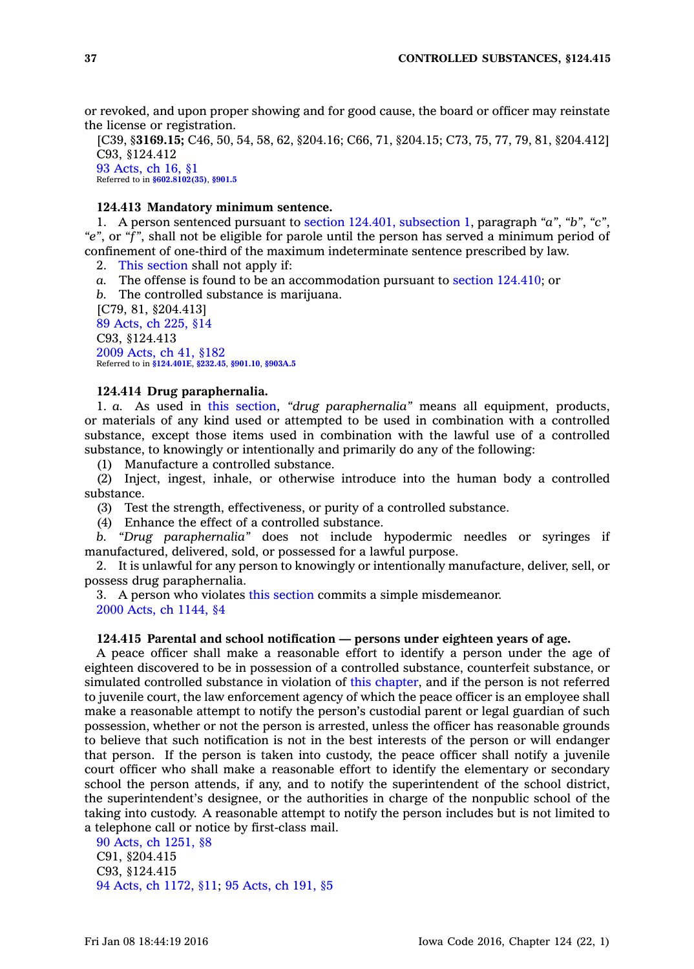or revoked, and upon proper showing and for good cause, the board or officer may reinstate the license or registration.

[C39, §**3169.15;** C46, 50, 54, 58, 62, §204.16; C66, 71, §204.15; C73, 75, 77, 79, 81, §204.412] C93, §124.412 93 [Acts,](https://www.legis.iowa.gov/docs/acts/1993/CH0016.pdf) ch 16, §1

Referred to in **[§602.8102\(35\)](https://www.legis.iowa.gov/docs/code/602.8102.pdf)**, **[§901.5](https://www.legis.iowa.gov/docs/code/901.5.pdf)**

#### **124.413 Mandatory minimum sentence.**

1. A person sentenced pursuant to section 124.401, [subsection](https://www.legis.iowa.gov/docs/code//124.401.pdf) 1, paragraph *"a"*, *"b"*, *"c"*, *"e"*, or *"f"*, shall not be eligible for parole until the person has served <sup>a</sup> minimum period of confinement of one-third of the maximum indeterminate sentence prescribed by law.

2. This [section](https://www.legis.iowa.gov/docs/code//124.413.pdf) shall not apply if:

*a.* The offense is found to be an accommodation pursuant to section [124.410](https://www.legis.iowa.gov/docs/code//124.410.pdf); or

*b.* The controlled substance is marijuana. [C79, 81, §204.413] 89 [Acts,](https://www.legis.iowa.gov/docs/acts/1989/CH0225.pdf) ch 225, §14 C93, §124.413 2009 [Acts,](https://www.legis.iowa.gov/docs/acts/2009/CH0041.pdf) ch 41, §182 Referred to in **[§124.401E](https://www.legis.iowa.gov/docs/code/124.401E.pdf)**, **[§232.45](https://www.legis.iowa.gov/docs/code/232.45.pdf)**, **[§901.10](https://www.legis.iowa.gov/docs/code/901.10.pdf)**, **[§903A.5](https://www.legis.iowa.gov/docs/code/903A.5.pdf)**

#### **124.414 Drug paraphernalia.**

1. *a.* As used in this [section](https://www.legis.iowa.gov/docs/code//124.414.pdf), *"drug paraphernalia"* means all equipment, products, or materials of any kind used or attempted to be used in combination with <sup>a</sup> controlled substance, except those items used in combination with the lawful use of <sup>a</sup> controlled substance, to knowingly or intentionally and primarily do any of the following:

(1) Manufacture <sup>a</sup> controlled substance.

(2) Inject, ingest, inhale, or otherwise introduce into the human body <sup>a</sup> controlled substance.

(3) Test the strength, effectiveness, or purity of <sup>a</sup> controlled substance.

(4) Enhance the effect of <sup>a</sup> controlled substance.

*b. "Drug paraphernalia"* does not include hypodermic needles or syringes if manufactured, delivered, sold, or possessed for <sup>a</sup> lawful purpose.

2. It is unlawful for any person to knowingly or intentionally manufacture, deliver, sell, or possess drug paraphernalia.

3. A person who violates this [section](https://www.legis.iowa.gov/docs/code//124.414.pdf) commits <sup>a</sup> simple misdemeanor. 2000 Acts, ch [1144,](https://www.legis.iowa.gov/docs/acts/2000/CH1144.pdf) §4

## **124.415 Parental and school notification — persons under eighteen years of age.**

A peace officer shall make <sup>a</sup> reasonable effort to identify <sup>a</sup> person under the age of eighteen discovered to be in possession of <sup>a</sup> controlled substance, counterfeit substance, or simulated controlled substance in violation of this [chapter](https://www.legis.iowa.gov/docs/code//124.pdf), and if the person is not referred to juvenile court, the law enforcement agency of which the peace officer is an employee shall make <sup>a</sup> reasonable attempt to notify the person's custodial parent or legal guardian of such possession, whether or not the person is arrested, unless the officer has reasonable grounds to believe that such notification is not in the best interests of the person or will endanger that person. If the person is taken into custody, the peace officer shall notify <sup>a</sup> juvenile court officer who shall make <sup>a</sup> reasonable effort to identify the elementary or secondary school the person attends, if any, and to notify the superintendent of the school district, the superintendent's designee, or the authorities in charge of the nonpublic school of the taking into custody. A reasonable attempt to notify the person includes but is not limited to <sup>a</sup> telephone call or notice by first-class mail.

90 Acts, ch [1251,](https://www.legis.iowa.gov/docs/acts/1990/CH1251.pdf) §8 C91, §204.415 C93, §124.415 94 Acts, ch [1172,](https://www.legis.iowa.gov/docs/acts/1994/CH1172.pdf) §11; 95 [Acts,](https://www.legis.iowa.gov/docs/acts/1995/CH0191.pdf) ch 191, §5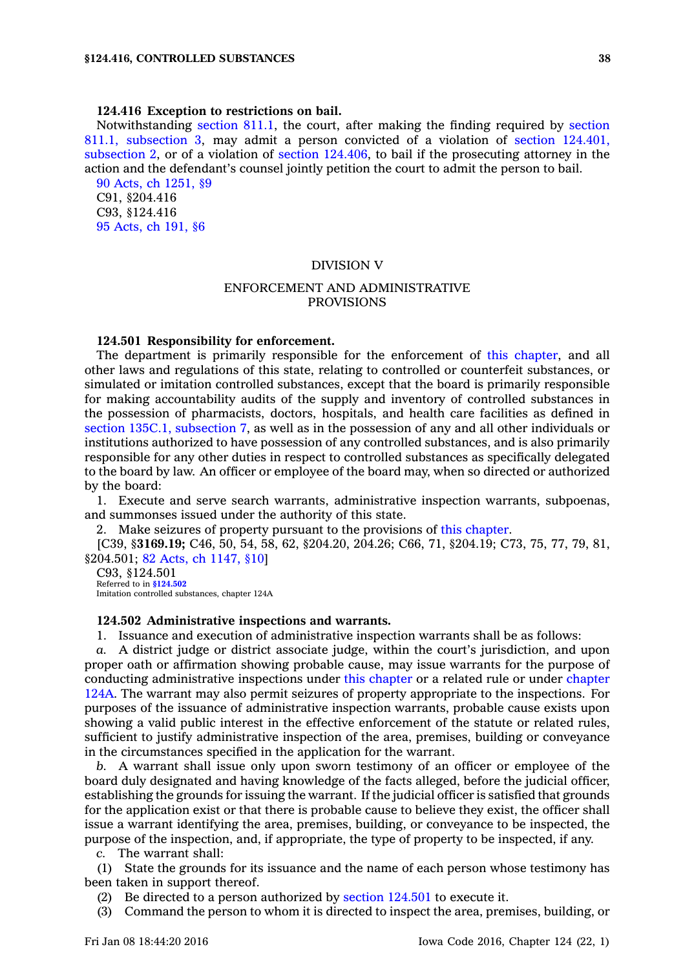#### **124.416 Exception to restrictions on bail.**

Notwithstanding [section](https://www.legis.iowa.gov/docs/code//811.1.pdf) 811.1, the court, after making the finding required by [section](https://www.legis.iowa.gov/docs/code//811.1.pdf) 811.1, [subsection](https://www.legis.iowa.gov/docs/code//811.1.pdf) 3, may admit <sup>a</sup> person convicted of <sup>a</sup> violation of section [124.401,](https://www.legis.iowa.gov/docs/code//124.401.pdf) [subsection](https://www.legis.iowa.gov/docs/code//124.401.pdf) 2, or of <sup>a</sup> violation of section [124.406](https://www.legis.iowa.gov/docs/code//124.406.pdf), to bail if the prosecuting attorney in the action and the defendant's counsel jointly petition the court to admit the person to bail.

90 Acts, ch [1251,](https://www.legis.iowa.gov/docs/acts/1990/CH1251.pdf) §9 C91, §204.416 C93, §124.416 95 [Acts,](https://www.legis.iowa.gov/docs/acts/1995/CH0191.pdf) ch 191, §6

### DIVISION V

# ENFORCEMENT AND ADMINISTRATIVE PROVISIONS

# **124.501 Responsibility for enforcement.**

The department is primarily responsible for the enforcement of this [chapter](https://www.legis.iowa.gov/docs/code//124.pdf), and all other laws and regulations of this state, relating to controlled or counterfeit substances, or simulated or imitation controlled substances, except that the board is primarily responsible for making accountability audits of the supply and inventory of controlled substances in the possession of pharmacists, doctors, hospitals, and health care facilities as defined in section 135C.1, [subsection](https://www.legis.iowa.gov/docs/code//135C.1.pdf) 7, as well as in the possession of any and all other individuals or institutions authorized to have possession of any controlled substances, and is also primarily responsible for any other duties in respect to controlled substances as specifically delegated to the board by law. An officer or employee of the board may, when so directed or authorized by the board:

1. Execute and serve search warrants, administrative inspection warrants, subpoenas, and summonses issued under the authority of this state.

2. Make seizures of property pursuant to the provisions of this [chapter](https://www.legis.iowa.gov/docs/code//124.pdf).

[C39, §**3169.19;** C46, 50, 54, 58, 62, §204.20, 204.26; C66, 71, §204.19; C73, 75, 77, 79, 81, §204.501; 82 Acts, ch [1147,](https://www.legis.iowa.gov/docs/acts/1982/CH1147.pdf) §10]

C93, §124.501 Referred to in **[§124.502](https://www.legis.iowa.gov/docs/code/124.502.pdf)** Imitation controlled substances, chapter 124A

#### **124.502 Administrative inspections and warrants.**

1. Issuance and execution of administrative inspection warrants shall be as follows:

*a.* A district judge or district associate judge, within the court's jurisdiction, and upon proper oath or affirmation showing probable cause, may issue warrants for the purpose of conducting administrative inspections under this [chapter](https://www.legis.iowa.gov/docs/code//124.pdf) or <sup>a</sup> related rule or under [chapter](https://www.legis.iowa.gov/docs/code//124A.pdf) [124A](https://www.legis.iowa.gov/docs/code//124A.pdf). The warrant may also permit seizures of property appropriate to the inspections. For purposes of the issuance of administrative inspection warrants, probable cause exists upon showing <sup>a</sup> valid public interest in the effective enforcement of the statute or related rules, sufficient to justify administrative inspection of the area, premises, building or conveyance in the circumstances specified in the application for the warrant.

*b.* A warrant shall issue only upon sworn testimony of an officer or employee of the board duly designated and having knowledge of the facts alleged, before the judicial officer, establishing the grounds for issuing the warrant. If the judicial officer is satisfied that grounds for the application exist or that there is probable cause to believe they exist, the officer shall issue <sup>a</sup> warrant identifying the area, premises, building, or conveyance to be inspected, the purpose of the inspection, and, if appropriate, the type of property to be inspected, if any.

*c.* The warrant shall:

(1) State the grounds for its issuance and the name of each person whose testimony has been taken in support thereof.

- (2) Be directed to <sup>a</sup> person authorized by section [124.501](https://www.legis.iowa.gov/docs/code//124.501.pdf) to execute it.
- (3) Command the person to whom it is directed to inspect the area, premises, building, or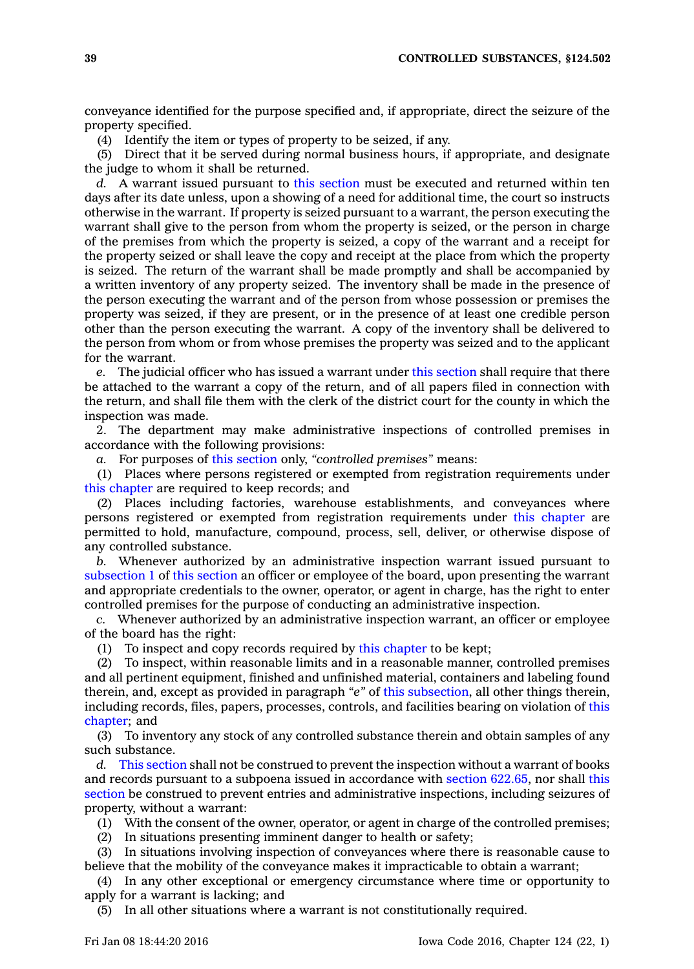conveyance identified for the purpose specified and, if appropriate, direct the seizure of the property specified.

(4) Identify the item or types of property to be seized, if any.

(5) Direct that it be served during normal business hours, if appropriate, and designate the judge to whom it shall be returned.

*d.* A warrant issued pursuant to this [section](https://www.legis.iowa.gov/docs/code//124.502.pdf) must be executed and returned within ten days after its date unless, upon <sup>a</sup> showing of <sup>a</sup> need for additional time, the court so instructs otherwise in the warrant. If property is seized pursuant to <sup>a</sup> warrant, the person executing the warrant shall give to the person from whom the property is seized, or the person in charge of the premises from which the property is seized, <sup>a</sup> copy of the warrant and <sup>a</sup> receipt for the property seized or shall leave the copy and receipt at the place from which the property is seized. The return of the warrant shall be made promptly and shall be accompanied by <sup>a</sup> written inventory of any property seized. The inventory shall be made in the presence of the person executing the warrant and of the person from whose possession or premises the property was seized, if they are present, or in the presence of at least one credible person other than the person executing the warrant. A copy of the inventory shall be delivered to the person from whom or from whose premises the property was seized and to the applicant for the warrant.

*e.* The judicial officer who has issued <sup>a</sup> warrant under this [section](https://www.legis.iowa.gov/docs/code//124.502.pdf) shall require that there be attached to the warrant <sup>a</sup> copy of the return, and of all papers filed in connection with the return, and shall file them with the clerk of the district court for the county in which the inspection was made.

2. The department may make administrative inspections of controlled premises in accordance with the following provisions:

*a.* For purposes of this [section](https://www.legis.iowa.gov/docs/code//124.502.pdf) only, *"controlled premises"* means:

(1) Places where persons registered or exempted from registration requirements under this [chapter](https://www.legis.iowa.gov/docs/code//124.pdf) are required to keep records; and

(2) Places including factories, warehouse establishments, and conveyances where persons registered or exempted from registration requirements under this [chapter](https://www.legis.iowa.gov/docs/code//124.pdf) are permitted to hold, manufacture, compound, process, sell, deliver, or otherwise dispose of any controlled substance.

*b.* Whenever authorized by an administrative inspection warrant issued pursuant to [subsection](https://www.legis.iowa.gov/docs/code//124.502.pdf) 1 of this [section](https://www.legis.iowa.gov/docs/code//124.502.pdf) an officer or employee of the board, upon presenting the warrant and appropriate credentials to the owner, operator, or agent in charge, has the right to enter controlled premises for the purpose of conducting an administrative inspection.

*c.* Whenever authorized by an administrative inspection warrant, an officer or employee of the board has the right:

(1) To inspect and copy records required by this [chapter](https://www.legis.iowa.gov/docs/code//124.pdf) to be kept;

(2) To inspect, within reasonable limits and in <sup>a</sup> reasonable manner, controlled premises and all pertinent equipment, finished and unfinished material, containers and labeling found therein, and, except as provided in paragraph *"e"* of this [subsection](https://www.legis.iowa.gov/docs/code//124.502.pdf), all other things therein, including records, files, papers, processes, controls, and facilities bearing on violation of [this](https://www.legis.iowa.gov/docs/code//124.pdf) [chapter](https://www.legis.iowa.gov/docs/code//124.pdf); and

(3) To inventory any stock of any controlled substance therein and obtain samples of any such substance.

*d.* This [section](https://www.legis.iowa.gov/docs/code//124.502.pdf) shall not be construed to prevent the inspection without <sup>a</sup> warrant of books and records pursuant to <sup>a</sup> subpoena issued in accordance with section [622.65](https://www.legis.iowa.gov/docs/code//622.65.pdf), nor shall [this](https://www.legis.iowa.gov/docs/code//124.502.pdf) [section](https://www.legis.iowa.gov/docs/code//124.502.pdf) be construed to prevent entries and administrative inspections, including seizures of property, without <sup>a</sup> warrant:

(1) With the consent of the owner, operator, or agent in charge of the controlled premises;

(2) In situations presenting imminent danger to health or safety;

(3) In situations involving inspection of conveyances where there is reasonable cause to believe that the mobility of the conveyance makes it impracticable to obtain <sup>a</sup> warrant;

(4) In any other exceptional or emergency circumstance where time or opportunity to apply for <sup>a</sup> warrant is lacking; and

(5) In all other situations where <sup>a</sup> warrant is not constitutionally required.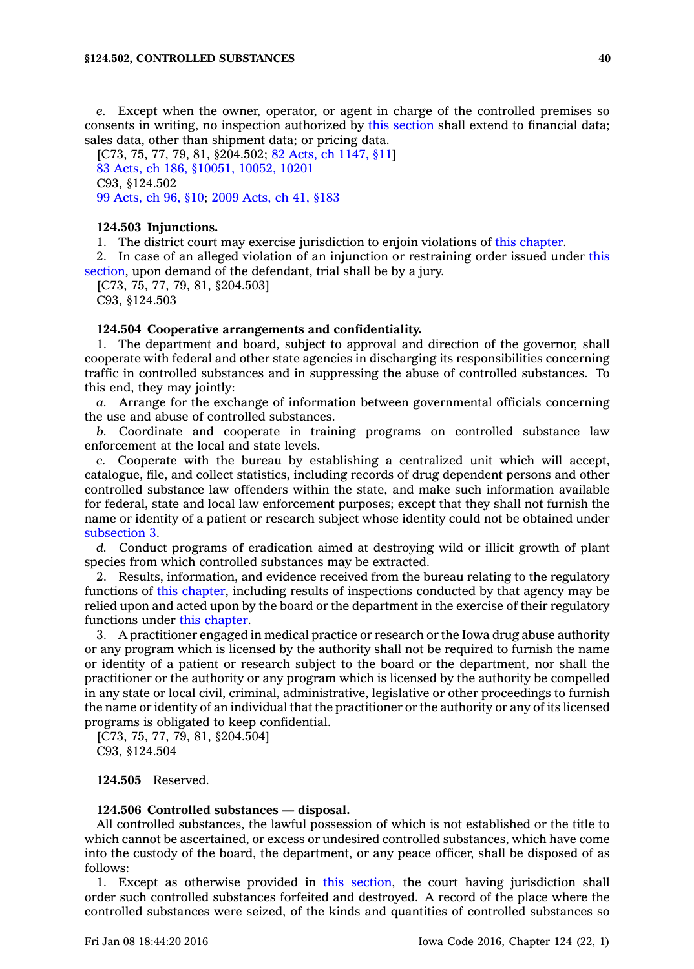*e.* Except when the owner, operator, or agent in charge of the controlled premises so consents in writing, no inspection authorized by this [section](https://www.legis.iowa.gov/docs/code//124.502.pdf) shall extend to financial data; sales data, other than shipment data; or pricing data.

[C73, 75, 77, 79, 81, §204.502; 82 Acts, ch [1147,](https://www.legis.iowa.gov/docs/acts/1982/CH1147.pdf) §11] 83 Acts, ch 186, [§10051,](https://www.legis.iowa.gov/docs/acts/1983/CH0186.pdf) 10052, 10201 C93, §124.502 99 [Acts,](https://www.legis.iowa.gov/docs/acts/1999/CH0096.pdf) ch 96, §10; 2009 [Acts,](https://www.legis.iowa.gov/docs/acts/2009/CH0041.pdf) ch 41, §183

#### **124.503 Injunctions.**

1. The district court may exercise jurisdiction to enjoin violations of this [chapter](https://www.legis.iowa.gov/docs/code//124.pdf).

2. In case of an alleged violation of an injunction or restraining order issued under [this](https://www.legis.iowa.gov/docs/code//124.503.pdf) [section](https://www.legis.iowa.gov/docs/code//124.503.pdf), upon demand of the defendant, trial shall be by <sup>a</sup> jury.

[C73, 75, 77, 79, 81, §204.503] C93, §124.503

## **124.504 Cooperative arrangements and confidentiality.**

1. The department and board, subject to approval and direction of the governor, shall cooperate with federal and other state agencies in discharging its responsibilities concerning traffic in controlled substances and in suppressing the abuse of controlled substances. To this end, they may jointly:

*a.* Arrange for the exchange of information between governmental officials concerning the use and abuse of controlled substances.

*b.* Coordinate and cooperate in training programs on controlled substance law enforcement at the local and state levels.

*c.* Cooperate with the bureau by establishing <sup>a</sup> centralized unit which will accept, catalogue, file, and collect statistics, including records of drug dependent persons and other controlled substance law offenders within the state, and make such information available for federal, state and local law enforcement purposes; except that they shall not furnish the name or identity of <sup>a</sup> patient or research subject whose identity could not be obtained under [subsection](https://www.legis.iowa.gov/docs/code//124.504.pdf) 3.

*d.* Conduct programs of eradication aimed at destroying wild or illicit growth of plant species from which controlled substances may be extracted.

2. Results, information, and evidence received from the bureau relating to the regulatory functions of this [chapter](https://www.legis.iowa.gov/docs/code//124.pdf), including results of inspections conducted by that agency may be relied upon and acted upon by the board or the department in the exercise of their regulatory functions under this [chapter](https://www.legis.iowa.gov/docs/code//124.pdf).

3. A practitioner engaged in medical practice or research or the Iowa drug abuse authority or any program which is licensed by the authority shall not be required to furnish the name or identity of <sup>a</sup> patient or research subject to the board or the department, nor shall the practitioner or the authority or any program which is licensed by the authority be compelled in any state or local civil, criminal, administrative, legislative or other proceedings to furnish the name or identity of an individual that the practitioner or the authority or any of its licensed programs is obligated to keep confidential.

[C73, 75, 77, 79, 81, §204.504] C93, §124.504

# **124.505** Reserved.

#### **124.506 Controlled substances — disposal.**

All controlled substances, the lawful possession of which is not established or the title to which cannot be ascertained, or excess or undesired controlled substances, which have come into the custody of the board, the department, or any peace officer, shall be disposed of as follows:

1. Except as otherwise provided in this [section](https://www.legis.iowa.gov/docs/code//124.506.pdf), the court having jurisdiction shall order such controlled substances forfeited and destroyed. A record of the place where the controlled substances were seized, of the kinds and quantities of controlled substances so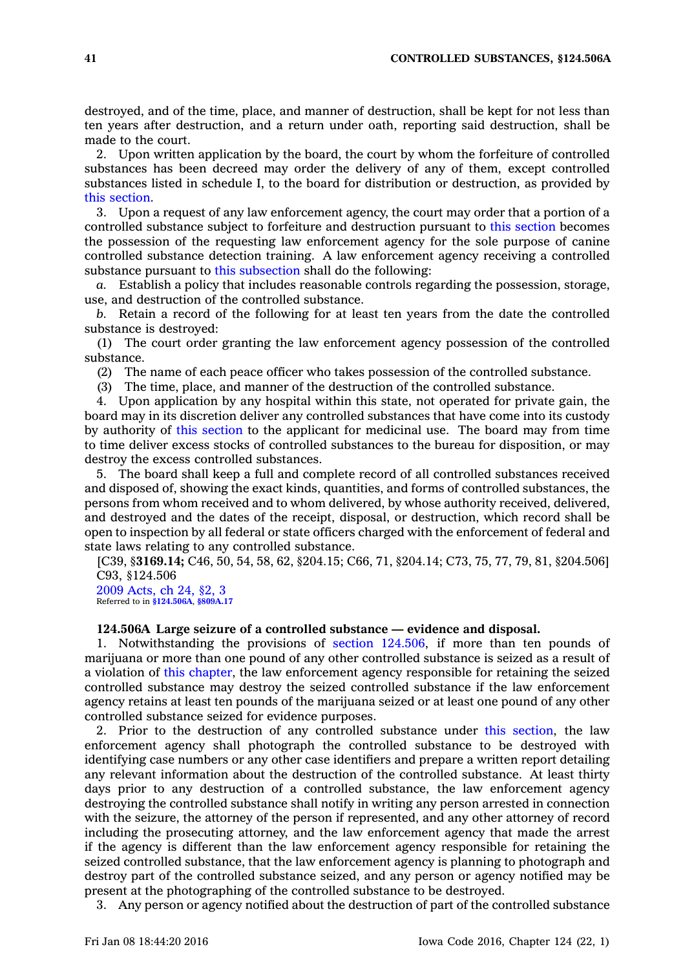destroyed, and of the time, place, and manner of destruction, shall be kept for not less than ten years after destruction, and <sup>a</sup> return under oath, reporting said destruction, shall be made to the court.

2. Upon written application by the board, the court by whom the forfeiture of controlled substances has been decreed may order the delivery of any of them, except controlled substances listed in schedule I, to the board for distribution or destruction, as provided by this [section](https://www.legis.iowa.gov/docs/code//124.506.pdf).

3. Upon <sup>a</sup> request of any law enforcement agency, the court may order that <sup>a</sup> portion of <sup>a</sup> controlled substance subject to forfeiture and destruction pursuant to this [section](https://www.legis.iowa.gov/docs/code//124.506.pdf) becomes the possession of the requesting law enforcement agency for the sole purpose of canine controlled substance detection training. A law enforcement agency receiving <sup>a</sup> controlled substance pursuant to this [subsection](https://www.legis.iowa.gov/docs/code//124.506.pdf) shall do the following:

*a.* Establish <sup>a</sup> policy that includes reasonable controls regarding the possession, storage, use, and destruction of the controlled substance.

*b.* Retain <sup>a</sup> record of the following for at least ten years from the date the controlled substance is destroyed:

(1) The court order granting the law enforcement agency possession of the controlled substance.

(2) The name of each peace officer who takes possession of the controlled substance.

(3) The time, place, and manner of the destruction of the controlled substance.

4. Upon application by any hospital within this state, not operated for private gain, the board may in its discretion deliver any controlled substances that have come into its custody by authority of this [section](https://www.legis.iowa.gov/docs/code//124.506.pdf) to the applicant for medicinal use. The board may from time to time deliver excess stocks of controlled substances to the bureau for disposition, or may destroy the excess controlled substances.

5. The board shall keep <sup>a</sup> full and complete record of all controlled substances received and disposed of, showing the exact kinds, quantities, and forms of controlled substances, the persons from whom received and to whom delivered, by whose authority received, delivered, and destroyed and the dates of the receipt, disposal, or destruction, which record shall be open to inspection by all federal or state officers charged with the enforcement of federal and state laws relating to any controlled substance.

[C39, §**3169.14;** C46, 50, 54, 58, 62, §204.15; C66, 71, §204.14; C73, 75, 77, 79, 81, §204.506] C93, §124.506

2009 [Acts,](https://www.legis.iowa.gov/docs/acts/2009/CH0024.pdf) ch 24, §2, 3 Referred to in **[§124.506A](https://www.legis.iowa.gov/docs/code/124.506A.pdf)**, **[§809A.17](https://www.legis.iowa.gov/docs/code/809A.17.pdf)**

## **124.506A Large seizure of <sup>a</sup> controlled substance — evidence and disposal.**

1. Notwithstanding the provisions of section [124.506](https://www.legis.iowa.gov/docs/code//124.506.pdf), if more than ten pounds of marijuana or more than one pound of any other controlled substance is seized as <sup>a</sup> result of <sup>a</sup> violation of this [chapter](https://www.legis.iowa.gov/docs/code//124.pdf), the law enforcement agency responsible for retaining the seized controlled substance may destroy the seized controlled substance if the law enforcement agency retains at least ten pounds of the marijuana seized or at least one pound of any other controlled substance seized for evidence purposes.

2. Prior to the destruction of any controlled substance under this [section](https://www.legis.iowa.gov/docs/code//124.506A.pdf), the law enforcement agency shall photograph the controlled substance to be destroyed with identifying case numbers or any other case identifiers and prepare <sup>a</sup> written report detailing any relevant information about the destruction of the controlled substance. At least thirty days prior to any destruction of <sup>a</sup> controlled substance, the law enforcement agency destroying the controlled substance shall notify in writing any person arrested in connection with the seizure, the attorney of the person if represented, and any other attorney of record including the prosecuting attorney, and the law enforcement agency that made the arrest if the agency is different than the law enforcement agency responsible for retaining the seized controlled substance, that the law enforcement agency is planning to photograph and destroy part of the controlled substance seized, and any person or agency notified may be present at the photographing of the controlled substance to be destroyed.

3. Any person or agency notified about the destruction of part of the controlled substance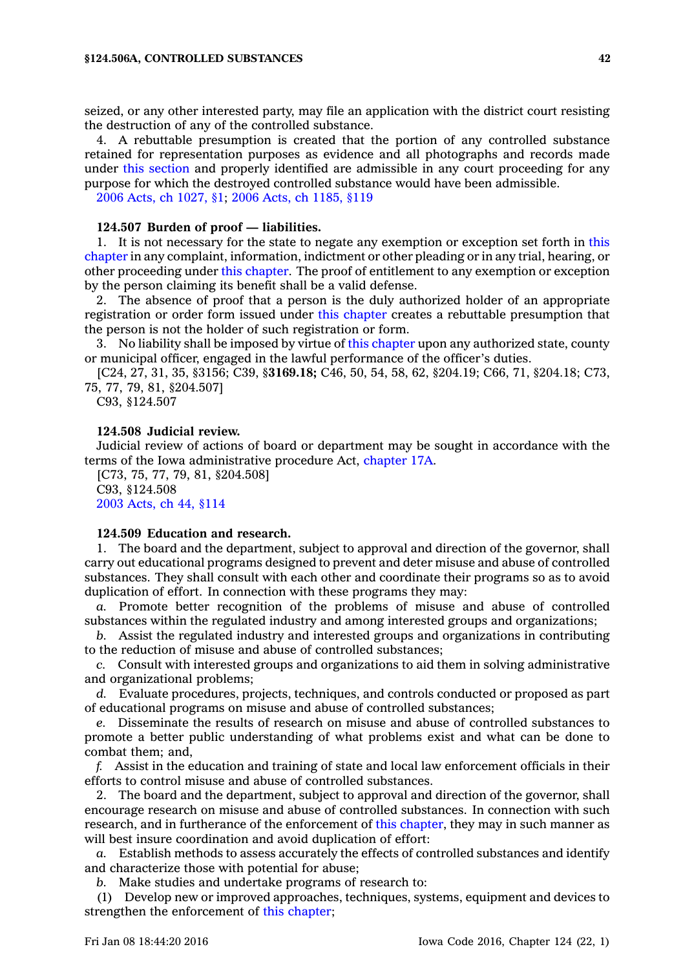seized, or any other interested party, may file an application with the district court resisting the destruction of any of the controlled substance.

4. A rebuttable presumption is created that the portion of any controlled substance retained for representation purposes as evidence and all photographs and records made under this [section](https://www.legis.iowa.gov/docs/code//124.506A.pdf) and properly identified are admissible in any court proceeding for any purpose for which the destroyed controlled substance would have been admissible.

2006 Acts, ch [1027,](https://www.legis.iowa.gov/docs/acts/2006/CH1027.pdf) §1; 2006 Acts, ch [1185,](https://www.legis.iowa.gov/docs/acts/2006/CH1185.pdf) §119

#### **124.507 Burden of proof —liabilities.**

1. It is not necessary for the state to negate any exemption or exception set forth in [this](https://www.legis.iowa.gov/docs/code//124.pdf) [chapter](https://www.legis.iowa.gov/docs/code//124.pdf) in any complaint, information, indictment or other pleading or in any trial, hearing, or other proceeding under this [chapter](https://www.legis.iowa.gov/docs/code//124.pdf). The proof of entitlement to any exemption or exception by the person claiming its benefit shall be <sup>a</sup> valid defense.

2. The absence of proof that <sup>a</sup> person is the duly authorized holder of an appropriate registration or order form issued under this [chapter](https://www.legis.iowa.gov/docs/code//124.pdf) creates <sup>a</sup> rebuttable presumption that the person is not the holder of such registration or form.

3. No liability shall be imposed by virtue of this [chapter](https://www.legis.iowa.gov/docs/code//124.pdf) upon any authorized state, county or municipal officer, engaged in the lawful performance of the officer's duties.

[C24, 27, 31, 35, §3156; C39, §**3169.18;** C46, 50, 54, 58, 62, §204.19; C66, 71, §204.18; C73, 75, 77, 79, 81, §204.507]

C93, §124.507

#### **124.508 Judicial review.**

Judicial review of actions of board or department may be sought in accordance with the terms of the Iowa administrative procedure Act, [chapter](https://www.legis.iowa.gov/docs/code//17A.pdf) 17A.

[C73, 75, 77, 79, 81, §204.508] C93, §124.508 2003 [Acts,](https://www.legis.iowa.gov/docs/acts/2003/CH0044.pdf) ch 44, §114

#### **124.509 Education and research.**

1. The board and the department, subject to approval and direction of the governor, shall carry out educational programs designed to prevent and deter misuse and abuse of controlled substances. They shall consult with each other and coordinate their programs so as to avoid duplication of effort. In connection with these programs they may:

*a.* Promote better recognition of the problems of misuse and abuse of controlled substances within the regulated industry and among interested groups and organizations;

*b.* Assist the regulated industry and interested groups and organizations in contributing to the reduction of misuse and abuse of controlled substances;

*c.* Consult with interested groups and organizations to aid them in solving administrative and organizational problems;

*d.* Evaluate procedures, projects, techniques, and controls conducted or proposed as part of educational programs on misuse and abuse of controlled substances;

*e.* Disseminate the results of research on misuse and abuse of controlled substances to promote <sup>a</sup> better public understanding of what problems exist and what can be done to combat them; and,

*f.* Assist in the education and training of state and local law enforcement officials in their efforts to control misuse and abuse of controlled substances.

2. The board and the department, subject to approval and direction of the governor, shall encourage research on misuse and abuse of controlled substances. In connection with such research, and in furtherance of the enforcement of this [chapter](https://www.legis.iowa.gov/docs/code//124.pdf), they may in such manner as will best insure coordination and avoid duplication of effort:

*a.* Establish methods to assess accurately the effects of controlled substances and identify and characterize those with potential for abuse;

*b.* Make studies and undertake programs of research to:

(1) Develop new or improved approaches, techniques, systems, equipment and devices to strengthen the enforcement of this [chapter](https://www.legis.iowa.gov/docs/code//124.pdf);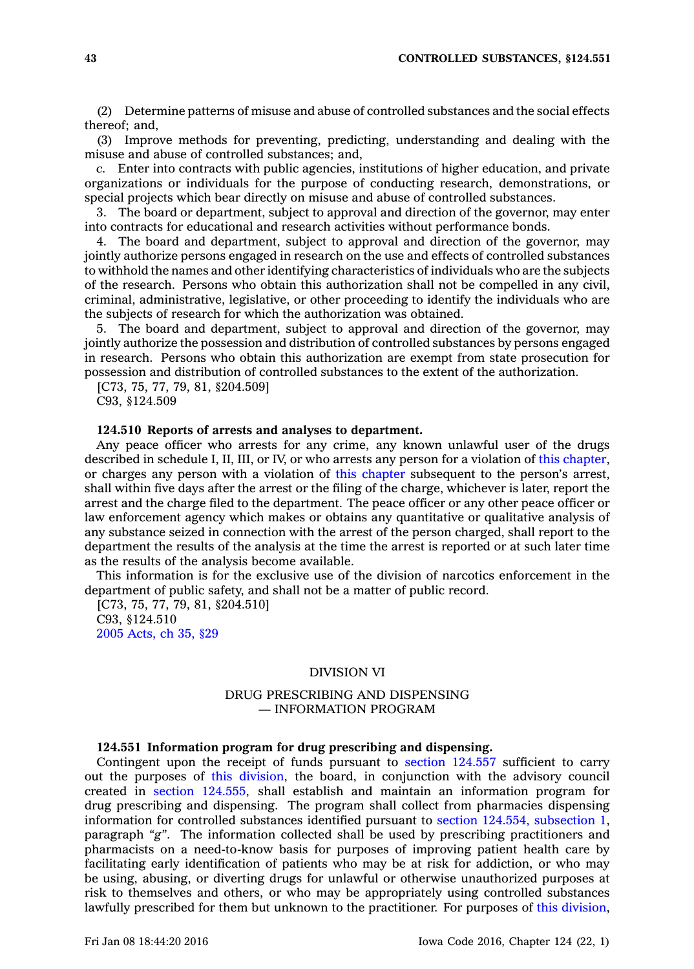(2) Determine patterns of misuse and abuse of controlled substances and the social effects thereof; and,

(3) Improve methods for preventing, predicting, understanding and dealing with the misuse and abuse of controlled substances; and,

*c.* Enter into contracts with public agencies, institutions of higher education, and private organizations or individuals for the purpose of conducting research, demonstrations, or special projects which bear directly on misuse and abuse of controlled substances.

3. The board or department, subject to approval and direction of the governor, may enter into contracts for educational and research activities without performance bonds.

4. The board and department, subject to approval and direction of the governor, may jointly authorize persons engaged in research on the use and effects of controlled substances to withhold the names and other identifying characteristics of individuals who are the subjects of the research. Persons who obtain this authorization shall not be compelled in any civil, criminal, administrative, legislative, or other proceeding to identify the individuals who are the subjects of research for which the authorization was obtained.

5. The board and department, subject to approval and direction of the governor, may jointly authorize the possession and distribution of controlled substances by persons engaged in research. Persons who obtain this authorization are exempt from state prosecution for possession and distribution of controlled substances to the extent of the authorization.

[C73, 75, 77, 79, 81, §204.509]

C93, §124.509

## **124.510 Reports of arrests and analyses to department.**

Any peace officer who arrests for any crime, any known unlawful user of the drugs described in schedule I, II, III, or IV, or who arrests any person for <sup>a</sup> violation of this [chapter](https://www.legis.iowa.gov/docs/code//124.pdf), or charges any person with <sup>a</sup> violation of this [chapter](https://www.legis.iowa.gov/docs/code//124.pdf) subsequent to the person's arrest, shall within five days after the arrest or the filing of the charge, whichever is later, report the arrest and the charge filed to the department. The peace officer or any other peace officer or law enforcement agency which makes or obtains any quantitative or qualitative analysis of any substance seized in connection with the arrest of the person charged, shall report to the department the results of the analysis at the time the arrest is reported or at such later time as the results of the analysis become available.

This information is for the exclusive use of the division of narcotics enforcement in the department of public safety, and shall not be <sup>a</sup> matter of public record.

[C73, 75, 77, 79, 81, §204.510] C93, §124.510 2005 [Acts,](https://www.legis.iowa.gov/docs/acts/2005/CH0035.pdf) ch 35, §29

#### DIVISION VI

## DRUG PRESCRIBING AND DISPENSING — INFORMATION PROGRAM

#### **124.551 Information program for drug prescribing and dispensing.**

Contingent upon the receipt of funds pursuant to section [124.557](https://www.legis.iowa.gov/docs/code//124.557.pdf) sufficient to carry out the purposes of this [division](https://www.legis.iowa.gov/docs/code//124.pdf), the board, in conjunction with the advisory council created in section [124.555](https://www.legis.iowa.gov/docs/code//124.555.pdf), shall establish and maintain an information program for drug prescribing and dispensing. The program shall collect from pharmacies dispensing information for controlled substances identified pursuant to section 124.554, [subsection](https://www.legis.iowa.gov/docs/code//124.554.pdf) 1, paragraph *"g"*. The information collected shall be used by prescribing practitioners and pharmacists on <sup>a</sup> need-to-know basis for purposes of improving patient health care by facilitating early identification of patients who may be at risk for addiction, or who may be using, abusing, or diverting drugs for unlawful or otherwise unauthorized purposes at risk to themselves and others, or who may be appropriately using controlled substances lawfully prescribed for them but unknown to the practitioner. For purposes of this [division](https://www.legis.iowa.gov/docs/code//124.pdf),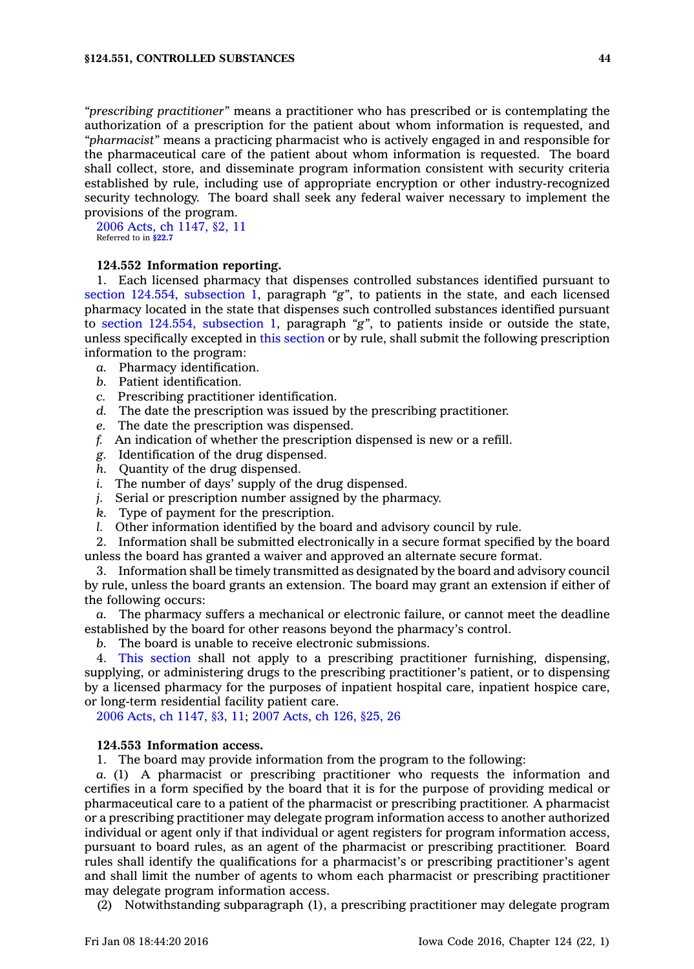*"prescribing practitioner"* means <sup>a</sup> practitioner who has prescribed or is contemplating the authorization of <sup>a</sup> prescription for the patient about whom information is requested, and *"pharmacist"* means <sup>a</sup> practicing pharmacist who is actively engaged in and responsible for the pharmaceutical care of the patient about whom information is requested. The board shall collect, store, and disseminate program information consistent with security criteria established by rule, including use of appropriate encryption or other industry-recognized security technology. The board shall seek any federal waiver necessary to implement the provisions of the program.

2006 Acts, ch [1147,](https://www.legis.iowa.gov/docs/acts/2006/CH1147.pdf) §2, 11 Referred to in **[§22.7](https://www.legis.iowa.gov/docs/code/22.7.pdf)**

# **124.552 Information reporting.**

1. Each licensed pharmacy that dispenses controlled substances identified pursuant to section 124.554, [subsection](https://www.legis.iowa.gov/docs/code//124.554.pdf) 1, paragraph *"g"*, to patients in the state, and each licensed pharmacy located in the state that dispenses such controlled substances identified pursuant to section 124.554, [subsection](https://www.legis.iowa.gov/docs/code//124.554.pdf) 1, paragraph *"g"*, to patients inside or outside the state, unless specifically excepted in this [section](https://www.legis.iowa.gov/docs/code//124.552.pdf) or by rule, shall submit the following prescription information to the program:

- *a.* Pharmacy identification.
- *b.* Patient identification.
- *c.* Prescribing practitioner identification.
- *d.* The date the prescription was issued by the prescribing practitioner.
- *e.* The date the prescription was dispensed.
- *f.* An indication of whether the prescription dispensed is new or <sup>a</sup> refill.
- *g.* Identification of the drug dispensed.
- *h.* Quantity of the drug dispensed.
- *i.* The number of days' supply of the drug dispensed.
- *j.* Serial or prescription number assigned by the pharmacy.
- *k.* Type of payment for the prescription.
- *l.* Other information identified by the board and advisory council by rule.

2. Information shall be submitted electronically in <sup>a</sup> secure format specified by the board unless the board has granted <sup>a</sup> waiver and approved an alternate secure format.

3. Information shall be timely transmitted as designated by the board and advisory council by rule, unless the board grants an extension. The board may grant an extension if either of the following occurs:

*a.* The pharmacy suffers <sup>a</sup> mechanical or electronic failure, or cannot meet the deadline established by the board for other reasons beyond the pharmacy's control.

*b.* The board is unable to receive electronic submissions.

4. This [section](https://www.legis.iowa.gov/docs/code//124.552.pdf) shall not apply to <sup>a</sup> prescribing practitioner furnishing, dispensing, supplying, or administering drugs to the prescribing practitioner's patient, or to dispensing by <sup>a</sup> licensed pharmacy for the purposes of inpatient hospital care, inpatient hospice care, or long-term residential facility patient care.

2006 Acts, ch [1147,](https://www.legis.iowa.gov/docs/acts/2006/CH1147.pdf) §3, 11; 2007 [Acts,](https://www.legis.iowa.gov/docs/acts/2007/CH0126.pdf) ch 126, §25, 26

#### **124.553 Information access.**

1. The board may provide information from the program to the following:

*a.* (1) A pharmacist or prescribing practitioner who requests the information and certifies in <sup>a</sup> form specified by the board that it is for the purpose of providing medical or pharmaceutical care to <sup>a</sup> patient of the pharmacist or prescribing practitioner. A pharmacist or <sup>a</sup> prescribing practitioner may delegate program information access to another authorized individual or agent only if that individual or agent registers for program information access, pursuant to board rules, as an agent of the pharmacist or prescribing practitioner. Board rules shall identify the qualifications for <sup>a</sup> pharmacist's or prescribing practitioner's agent and shall limit the number of agents to whom each pharmacist or prescribing practitioner may delegate program information access.

(2) Notwithstanding subparagraph (1), <sup>a</sup> prescribing practitioner may delegate program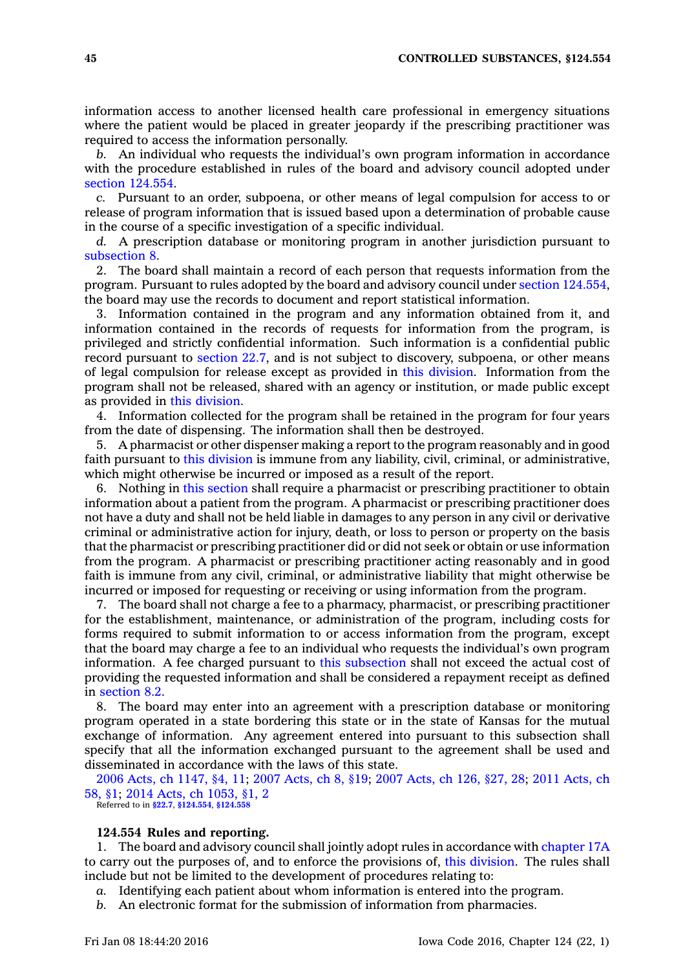information access to another licensed health care professional in emergency situations where the patient would be placed in greater jeopardy if the prescribing practitioner was required to access the information personally.

*b.* An individual who requests the individual's own program information in accordance with the procedure established in rules of the board and advisory council adopted under section [124.554](https://www.legis.iowa.gov/docs/code//124.554.pdf).

*c.* Pursuant to an order, subpoena, or other means of legal compulsion for access to or release of program information that is issued based upon <sup>a</sup> determination of probable cause in the course of <sup>a</sup> specific investigation of <sup>a</sup> specific individual.

*d.* A prescription database or monitoring program in another jurisdiction pursuant to [subsection](https://www.legis.iowa.gov/docs/code//124.553.pdf) 8.

2. The board shall maintain <sup>a</sup> record of each person that requests information from the program. Pursuant to rules adopted by the board and advisory council under section [124.554](https://www.legis.iowa.gov/docs/code//124.554.pdf), the board may use the records to document and report statistical information.

3. Information contained in the program and any information obtained from it, and information contained in the records of requests for information from the program, is privileged and strictly confidential information. Such information is <sup>a</sup> confidential public record pursuant to [section](https://www.legis.iowa.gov/docs/code//22.7.pdf) 22.7, and is not subject to discovery, subpoena, or other means of legal compulsion for release except as provided in this [division](https://www.legis.iowa.gov/docs/code//124.pdf). Information from the program shall not be released, shared with an agency or institution, or made public except as provided in this [division](https://www.legis.iowa.gov/docs/code//124.pdf).

4. Information collected for the program shall be retained in the program for four years from the date of dispensing. The information shall then be destroyed.

5. A pharmacist or other dispenser making <sup>a</sup> report to the program reasonably and in good faith pursuant to this [division](https://www.legis.iowa.gov/docs/code//124.pdf) is immune from any liability, civil, criminal, or administrative, which might otherwise be incurred or imposed as <sup>a</sup> result of the report.

6. Nothing in this [section](https://www.legis.iowa.gov/docs/code//124.553.pdf) shall require <sup>a</sup> pharmacist or prescribing practitioner to obtain information about <sup>a</sup> patient from the program. A pharmacist or prescribing practitioner does not have <sup>a</sup> duty and shall not be held liable in damages to any person in any civil or derivative criminal or administrative action for injury, death, or loss to person or property on the basis that the pharmacist or prescribing practitioner did or did not seek or obtain or use information from the program. A pharmacist or prescribing practitioner acting reasonably and in good faith is immune from any civil, criminal, or administrative liability that might otherwise be incurred or imposed for requesting or receiving or using information from the program.

7. The board shall not charge <sup>a</sup> fee to <sup>a</sup> pharmacy, pharmacist, or prescribing practitioner for the establishment, maintenance, or administration of the program, including costs for forms required to submit information to or access information from the program, except that the board may charge <sup>a</sup> fee to an individual who requests the individual's own program information. A fee charged pursuant to this [subsection](https://www.legis.iowa.gov/docs/code//124.553.pdf) shall not exceed the actual cost of providing the requested information and shall be considered <sup>a</sup> repayment receipt as defined in [section](https://www.legis.iowa.gov/docs/code//8.2.pdf) 8.2.

8. The board may enter into an agreement with <sup>a</sup> prescription database or monitoring program operated in <sup>a</sup> state bordering this state or in the state of Kansas for the mutual exchange of information. Any agreement entered into pursuant to this subsection shall specify that all the information exchanged pursuant to the agreement shall be used and disseminated in accordance with the laws of this state.

2006 Acts, ch [1147,](https://www.legis.iowa.gov/docs/acts/2006/CH1147.pdf) §4, 11; 2007 [Acts,](https://www.legis.iowa.gov/docs/acts/2007/CH0008.pdf) ch 8, §19; 2007 [Acts,](https://www.legis.iowa.gov/docs/acts/2007/CH0126.pdf) ch 126, §27, 28; 2011 [Acts,](https://www.legis.iowa.gov/docs/acts/2011/CH0058.pdf) ch [58,](https://www.legis.iowa.gov/docs/acts/2011/CH0058.pdf) §1; 2014 Acts, ch [1053,](https://www.legis.iowa.gov/docs/acts/2014/CH1053.pdf) §1, 2

Referred to in **[§22.7](https://www.legis.iowa.gov/docs/code/22.7.pdf)**, **[§124.554](https://www.legis.iowa.gov/docs/code/124.554.pdf)**, **[§124.558](https://www.legis.iowa.gov/docs/code/124.558.pdf)**

## **124.554 Rules and reporting.**

1. The board and advisory council shall jointly adopt rules in accordance with [chapter](https://www.legis.iowa.gov/docs/code//17A.pdf) 17A to carry out the purposes of, and to enforce the provisions of, this [division](https://www.legis.iowa.gov/docs/code//124.pdf). The rules shall include but not be limited to the development of procedures relating to:

*a.* Identifying each patient about whom information is entered into the program.

*b.* An electronic format for the submission of information from pharmacies.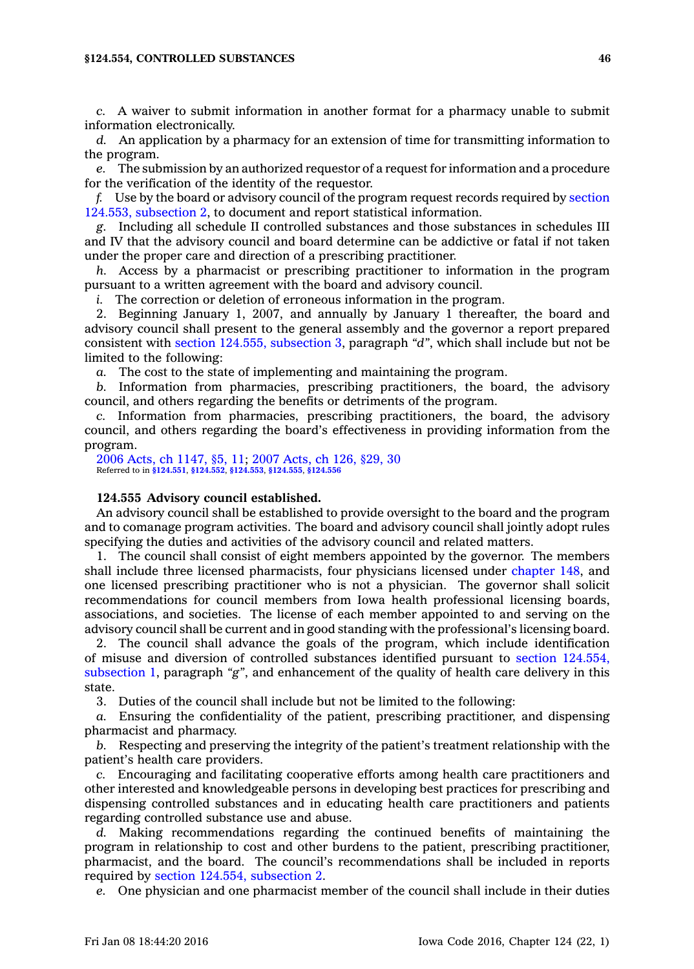#### **§124.554, CONTROLLED SUBSTANCES 46**

*c.* A waiver to submit information in another format for <sup>a</sup> pharmacy unable to submit information electronically.

*d.* An application by <sup>a</sup> pharmacy for an extension of time for transmitting information to the program.

*e.* The submission by an authorized requestor of <sup>a</sup> request for information and <sup>a</sup> procedure for the verification of the identity of the requestor.

*f.* Use by the board or advisory council of the program request records required by [section](https://www.legis.iowa.gov/docs/code//124.553.pdf) 124.553, [subsection](https://www.legis.iowa.gov/docs/code//124.553.pdf) 2, to document and report statistical information.

*g.* Including all schedule II controlled substances and those substances in schedules III and IV that the advisory council and board determine can be addictive or fatal if not taken under the proper care and direction of <sup>a</sup> prescribing practitioner.

*h.* Access by <sup>a</sup> pharmacist or prescribing practitioner to information in the program pursuant to <sup>a</sup> written agreement with the board and advisory council.

*i.* The correction or deletion of erroneous information in the program.

2. Beginning January 1, 2007, and annually by January 1 thereafter, the board and advisory council shall present to the general assembly and the governor <sup>a</sup> report prepared consistent with section 124.555, [subsection](https://www.legis.iowa.gov/docs/code//124.555.pdf) 3, paragraph *"d"*, which shall include but not be limited to the following:

*a.* The cost to the state of implementing and maintaining the program.

*b.* Information from pharmacies, prescribing practitioners, the board, the advisory council, and others regarding the benefits or detriments of the program.

*c.* Information from pharmacies, prescribing practitioners, the board, the advisory council, and others regarding the board's effectiveness in providing information from the program.

2006 Acts, ch [1147,](https://www.legis.iowa.gov/docs/acts/2006/CH1147.pdf) §5, 11; 2007 [Acts,](https://www.legis.iowa.gov/docs/acts/2007/CH0126.pdf) ch 126, §29, 30 Referred to in **[§124.551](https://www.legis.iowa.gov/docs/code/124.551.pdf)**, **[§124.552](https://www.legis.iowa.gov/docs/code/124.552.pdf)**, **[§124.553](https://www.legis.iowa.gov/docs/code/124.553.pdf)**, **[§124.555](https://www.legis.iowa.gov/docs/code/124.555.pdf)**, **[§124.556](https://www.legis.iowa.gov/docs/code/124.556.pdf)**

#### **124.555 Advisory council established.**

An advisory council shall be established to provide oversight to the board and the program and to comanage program activities. The board and advisory council shall jointly adopt rules specifying the duties and activities of the advisory council and related matters.

1. The council shall consist of eight members appointed by the governor. The members shall include three licensed pharmacists, four physicians licensed under [chapter](https://www.legis.iowa.gov/docs/code//148.pdf) 148, and one licensed prescribing practitioner who is not <sup>a</sup> physician. The governor shall solicit recommendations for council members from Iowa health professional licensing boards, associations, and societies. The license of each member appointed to and serving on the advisory council shall be current and in good standing with the professional's licensing board.

2. The council shall advance the goals of the program, which include identification of misuse and diversion of controlled substances identified pursuant to section [124.554,](https://www.legis.iowa.gov/docs/code//124.554.pdf) [subsection](https://www.legis.iowa.gov/docs/code//124.554.pdf) 1, paragraph *"g"*, and enhancement of the quality of health care delivery in this state.

3. Duties of the council shall include but not be limited to the following:

*a.* Ensuring the confidentiality of the patient, prescribing practitioner, and dispensing pharmacist and pharmacy.

*b.* Respecting and preserving the integrity of the patient's treatment relationship with the patient's health care providers.

*c.* Encouraging and facilitating cooperative efforts among health care practitioners and other interested and knowledgeable persons in developing best practices for prescribing and dispensing controlled substances and in educating health care practitioners and patients regarding controlled substance use and abuse.

*d.* Making recommendations regarding the continued benefits of maintaining the program in relationship to cost and other burdens to the patient, prescribing practitioner, pharmacist, and the board. The council's recommendations shall be included in reports required by section 124.554, [subsection](https://www.legis.iowa.gov/docs/code//124.554.pdf) 2.

*e.* One physician and one pharmacist member of the council shall include in their duties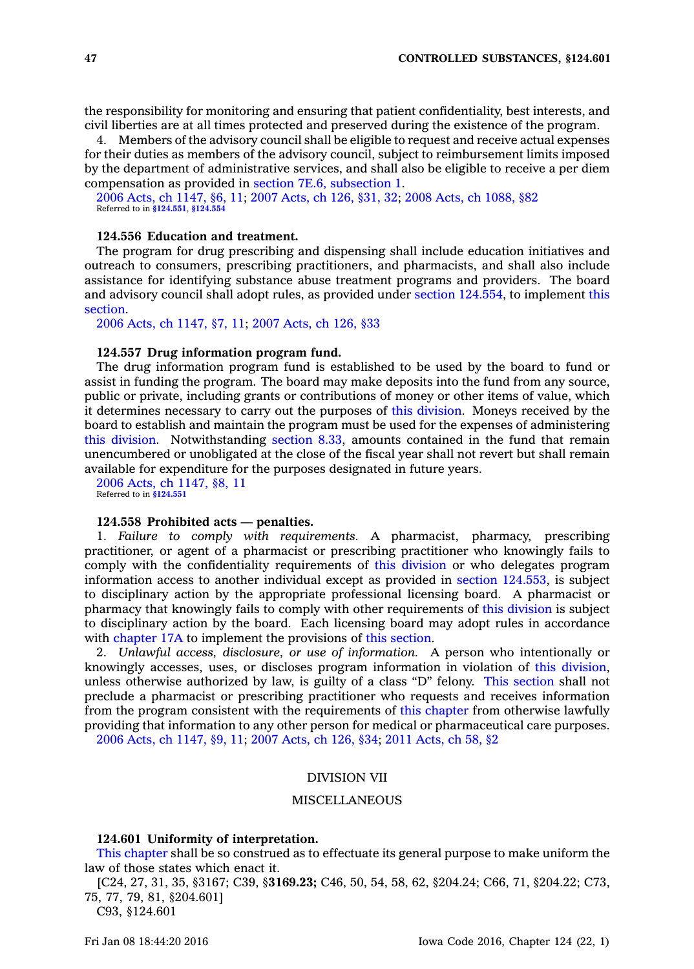the responsibility for monitoring and ensuring that patient confidentiality, best interests, and civil liberties are at all times protected and preserved during the existence of the program.

4. Members of the advisory council shall be eligible to request and receive actual expenses for their duties as members of the advisory council, subject to reimbursement limits imposed by the department of administrative services, and shall also be eligible to receive <sup>a</sup> per diem compensation as provided in section 7E.6, [subsection](https://www.legis.iowa.gov/docs/code//7E.6.pdf) 1.

2006 Acts, ch [1147,](https://www.legis.iowa.gov/docs/acts/2006/CH1147.pdf) §6, 11; 2007 [Acts,](https://www.legis.iowa.gov/docs/acts/2007/CH0126.pdf) ch 126, §31, 32; 2008 Acts, ch [1088,](https://www.legis.iowa.gov/docs/acts/2008/CH1088.pdf) §82 Referred to in **[§124.551](https://www.legis.iowa.gov/docs/code/124.551.pdf)**, **[§124.554](https://www.legis.iowa.gov/docs/code/124.554.pdf)**

# **124.556 Education and treatment.**

The program for drug prescribing and dispensing shall include education initiatives and outreach to consumers, prescribing practitioners, and pharmacists, and shall also include assistance for identifying substance abuse treatment programs and providers. The board and advisory council shall adopt rules, as provided under section [124.554](https://www.legis.iowa.gov/docs/code//124.554.pdf), to implement [this](https://www.legis.iowa.gov/docs/code//124.556.pdf) [section](https://www.legis.iowa.gov/docs/code//124.556.pdf).

2006 Acts, ch [1147,](https://www.legis.iowa.gov/docs/acts/2006/CH1147.pdf) §7, 11; 2007 [Acts,](https://www.legis.iowa.gov/docs/acts/2007/CH0126.pdf) ch 126, §33

## **124.557 Drug information program fund.**

The drug information program fund is established to be used by the board to fund or assist in funding the program. The board may make deposits into the fund from any source, public or private, including grants or contributions of money or other items of value, which it determines necessary to carry out the purposes of this [division](https://www.legis.iowa.gov/docs/code//124.pdf). Moneys received by the board to establish and maintain the program must be used for the expenses of administering this [division](https://www.legis.iowa.gov/docs/code//124.pdf). Notwithstanding [section](https://www.legis.iowa.gov/docs/code//8.33.pdf) 8.33, amounts contained in the fund that remain unencumbered or unobligated at the close of the fiscal year shall not revert but shall remain available for expenditure for the purposes designated in future years.

2006 Acts, ch [1147,](https://www.legis.iowa.gov/docs/acts/2006/CH1147.pdf) §8, 11 Referred to in **[§124.551](https://www.legis.iowa.gov/docs/code/124.551.pdf)**

## **124.558 Prohibited acts — penalties.**

1. *Failure to comply with requirements.* A pharmacist, pharmacy, prescribing practitioner, or agent of <sup>a</sup> pharmacist or prescribing practitioner who knowingly fails to comply with the confidentiality requirements of this [division](https://www.legis.iowa.gov/docs/code//124.pdf) or who delegates program information access to another individual except as provided in section [124.553](https://www.legis.iowa.gov/docs/code//124.553.pdf), is subject to disciplinary action by the appropriate professional licensing board. A pharmacist or pharmacy that knowingly fails to comply with other requirements of this [division](https://www.legis.iowa.gov/docs/code//124.pdf) is subject to disciplinary action by the board. Each licensing board may adopt rules in accordance with [chapter](https://www.legis.iowa.gov/docs/code//17A.pdf) 17A to implement the provisions of this [section](https://www.legis.iowa.gov/docs/code//124.558.pdf).

2. *Unlawful access, disclosure, or use of information.* A person who intentionally or knowingly accesses, uses, or discloses program information in violation of this [division](https://www.legis.iowa.gov/docs/code//124.pdf), unless otherwise authorized by law, is guilty of <sup>a</sup> class "D" felony. This [section](https://www.legis.iowa.gov/docs/code//124.558.pdf) shall not preclude <sup>a</sup> pharmacist or prescribing practitioner who requests and receives information from the program consistent with the requirements of this [chapter](https://www.legis.iowa.gov/docs/code//124.pdf) from otherwise lawfully providing that information to any other person for medical or pharmaceutical care purposes. 2006 Acts, ch [1147,](https://www.legis.iowa.gov/docs/acts/2006/CH1147.pdf) §9, 11; 2007 [Acts,](https://www.legis.iowa.gov/docs/acts/2007/CH0126.pdf) ch 126, §34; 2011 [Acts,](https://www.legis.iowa.gov/docs/acts/2011/CH0058.pdf) ch 58, §2

## DIVISION VII

## MISCELLANEOUS

#### **124.601 Uniformity of interpretation.**

This [chapter](https://www.legis.iowa.gov/docs/code//124.pdf) shall be so construed as to effectuate its general purpose to make uniform the law of those states which enact it.

[C24, 27, 31, 35, §3167; C39, §**3169.23;** C46, 50, 54, 58, 62, §204.24; C66, 71, §204.22; C73, 75, 77, 79, 81, §204.601]

C93, §124.601